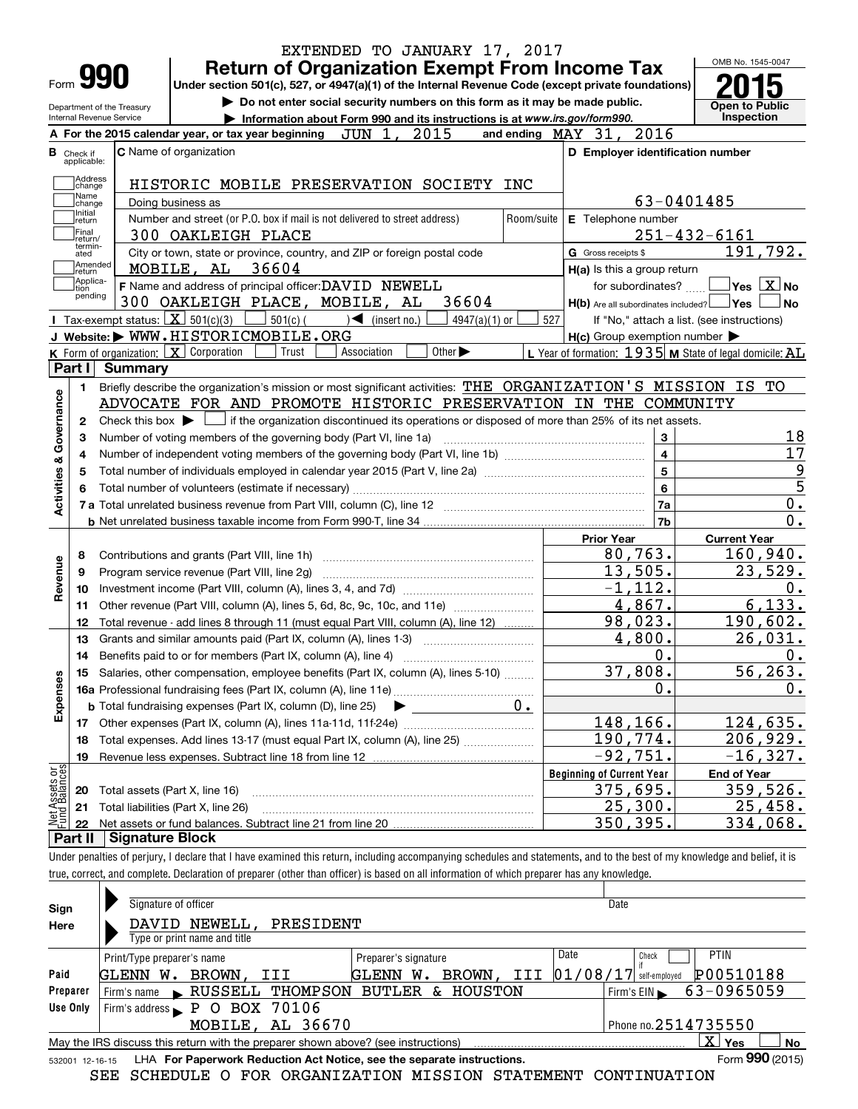|                                |                                  |                                  |                                                                                                                                                                            | EXTENDED TO JANUARY 17, 2017                                                              |                                   |                                                     |                                                         |
|--------------------------------|----------------------------------|----------------------------------|----------------------------------------------------------------------------------------------------------------------------------------------------------------------------|-------------------------------------------------------------------------------------------|-----------------------------------|-----------------------------------------------------|---------------------------------------------------------|
|                                |                                  | Form 990                         |                                                                                                                                                                            | <b>Return of Organization Exempt From Income Tax</b>                                      |                                   |                                                     | OMB No. 1545-0047                                       |
|                                |                                  |                                  | Under section 501(c), 527, or 4947(a)(1) of the Internal Revenue Code (except private foundations)                                                                         |                                                                                           |                                   |                                                     |                                                         |
|                                |                                  | Department of the Treasury       |                                                                                                                                                                            | Do not enter social security numbers on this form as it may be made public.               |                                   |                                                     | <b>Open to Public</b>                                   |
|                                |                                  | Internal Revenue Service         |                                                                                                                                                                            | Information about Form 990 and its instructions is at www.irs.gov/form990.<br>JUN 1, 2015 |                                   |                                                     | Inspection                                              |
|                                |                                  |                                  | A For the 2015 calendar year, or tax year beginning<br>C Name of organization                                                                                              |                                                                                           |                                   | and ending MAY 31, 2016                             |                                                         |
|                                | <b>B</b> Check if<br>applicable: |                                  |                                                                                                                                                                            |                                                                                           |                                   | D Employer identification number                    |                                                         |
|                                | Address<br>change                |                                  | HISTORIC MOBILE PRESERVATION SOCIETY INC                                                                                                                                   |                                                                                           |                                   |                                                     |                                                         |
|                                | Name<br>change                   |                                  | Doing business as                                                                                                                                                          |                                                                                           |                                   |                                                     | 63-0401485                                              |
|                                | Initial<br>return                |                                  | Number and street (or P.O. box if mail is not delivered to street address)                                                                                                 |                                                                                           |                                   | Room/suite E Telephone number                       |                                                         |
|                                | Final<br>return/                 |                                  | 300 OAKLEIGH PLACE                                                                                                                                                         |                                                                                           |                                   |                                                     | $251 - 432 - 6161$                                      |
|                                | termin-<br>ated                  |                                  | City or town, state or province, country, and ZIP or foreign postal code                                                                                                   |                                                                                           |                                   | G Gross receipts \$                                 | 191,792.                                                |
|                                | Amended<br>Ireturn               |                                  | MOBILE, AL 36604                                                                                                                                                           |                                                                                           |                                   | H(a) Is this a group return                         |                                                         |
|                                | Applica-<br>tion<br>pending      |                                  | F Name and address of principal officer: DAVID NEWELL                                                                                                                      |                                                                                           |                                   | for subordinates?                                   |                                                         |
|                                |                                  |                                  | 300 OAKLEIGH PLACE, MOBILE, AL                                                                                                                                             | 36604                                                                                     |                                   | $H(b)$ Are all subordinates included? $\Box$ Yes    | ⊥No                                                     |
|                                |                                  | Tax-exempt status: $X$ 501(c)(3) | $501(c)$ (                                                                                                                                                                 | $\sqrt{\bullet}$ (insert no.)<br>$4947(a)(1)$ or                                          | 527                               |                                                     | If "No," attach a list. (see instructions)              |
|                                |                                  |                                  | Website: WWW.HISTORICMOBILE.ORG                                                                                                                                            |                                                                                           |                                   | $H(c)$ Group exemption number $\blacktriangleright$ |                                                         |
|                                | Part I                           | <b>Summary</b>                   | <b>K</b> Form of organization: $\boxed{\mathbf{X}}$ Corporation<br>Trust                                                                                                   | Association<br>Other $\blacktriangleright$                                                |                                   |                                                     | L Year of formation: 1935 M State of legal domicile: AL |
|                                | 1                                |                                  | Briefly describe the organization's mission or most significant activities: THE ORGANIZATION'S MISSION IS TO                                                               |                                                                                           |                                   |                                                     |                                                         |
| Governance                     |                                  |                                  | ADVOCATE FOR AND PROMOTE HISTORIC PRESERVATION IN THE COMMUNITY                                                                                                            |                                                                                           |                                   |                                                     |                                                         |
|                                | 2                                |                                  | Check this box $\blacktriangleright \Box$ if the organization discontinued its operations or disposed of more than 25% of its net assets.                                  |                                                                                           |                                   |                                                     |                                                         |
|                                | 3                                |                                  | Number of voting members of the governing body (Part VI, line 1a)                                                                                                          |                                                                                           |                                   | 3                                                   | 18                                                      |
|                                | 4                                |                                  |                                                                                                                                                                            |                                                                                           |                                   | $\overline{4}$                                      | 17                                                      |
|                                | 5                                |                                  | Total number of individuals employed in calendar year 2015 (Part V, line 2a) manufacture controller to intervent                                                           |                                                                                           |                                   | $\overline{5}$                                      | <u>و</u>                                                |
| <b>Activities &amp;</b>        | 6                                |                                  | 5                                                                                                                                                                          |                                                                                           |                                   |                                                     |                                                         |
|                                |                                  |                                  |                                                                                                                                                                            |                                                                                           |                                   | 7a                                                  | 0.                                                      |
|                                |                                  |                                  |                                                                                                                                                                            |                                                                                           |                                   | 7b                                                  | 0.                                                      |
|                                |                                  |                                  |                                                                                                                                                                            |                                                                                           |                                   | <b>Prior Year</b>                                   | <b>Current Year</b>                                     |
|                                | 8                                |                                  | Contributions and grants (Part VIII, line 1h)                                                                                                                              |                                                                                           |                                   | 80, 763.                                            | 160,940.                                                |
| Revenue                        | 9                                |                                  | Program service revenue (Part VIII, line 2g)                                                                                                                               |                                                                                           |                                   | 13,505.<br>$-1, 112.$                               | 23,529.<br>0.                                           |
|                                | 10<br>11                         |                                  | Other revenue (Part VIII, column (A), lines 5, 6d, 8c, 9c, 10c, and 11e)                                                                                                   |                                                                                           |                                   | 4,867.                                              | 6, 133.                                                 |
|                                | 12                               |                                  | Total revenue - add lines 8 through 11 (must equal Part VIII, column (A), line 12)                                                                                         |                                                                                           |                                   | 98,023.                                             | 190,602.                                                |
|                                | 13                               |                                  | Grants and similar amounts paid (Part IX, column (A), lines 1-3) <i>manoronononononon</i>                                                                                  |                                                                                           |                                   | 4,800.                                              | 26,031.                                                 |
|                                | 14                               |                                  |                                                                                                                                                                            |                                                                                           |                                   | О.                                                  | 0.                                                      |
|                                | 15                               |                                  | Salaries, other compensation, employee benefits (Part IX, column (A), lines 5-10)                                                                                          |                                                                                           |                                   | 37,808.                                             | $\frac{56}{263}$ .                                      |
|                                |                                  |                                  |                                                                                                                                                                            |                                                                                           |                                   | 0.                                                  | $0_{\cdot}$                                             |
| Expenses                       |                                  |                                  | <b>b</b> Total fundraising expenses (Part IX, column (D), line 25)                                                                                                         |                                                                                           | $0$ .                             |                                                     |                                                         |
|                                | 17                               |                                  |                                                                                                                                                                            |                                                                                           |                                   | <u>148,166.</u>                                     | <u>124,635.</u>                                         |
|                                | 18                               |                                  | Total expenses. Add lines 13-17 (must equal Part IX, column (A), line 25)                                                                                                  |                                                                                           |                                   | 190,774.                                            | <u>206,929.</u>                                         |
|                                | 19                               |                                  |                                                                                                                                                                            |                                                                                           |                                   | $-92,751.$                                          | $-16, 327.$                                             |
| Net Assets or<br>Fund Balances |                                  |                                  |                                                                                                                                                                            |                                                                                           |                                   | <b>Beginning of Current Year</b>                    | <b>End of Year</b>                                      |
|                                | 20                               |                                  | Total assets (Part X, line 16)                                                                                                                                             |                                                                                           |                                   | <u>375,695.</u>                                     | 359,526.                                                |
|                                | 21<br>22                         |                                  | Total liabilities (Part X, line 26)                                                                                                                                        | 25,300.<br>350,395                                                                        | <u>25,458.</u><br><u>334,068.</u> |                                                     |                                                         |
|                                | Part II                          | <b>Signature Block</b>           |                                                                                                                                                                            |                                                                                           |                                   |                                                     |                                                         |
|                                |                                  |                                  | Under penalties of perjury, I declare that I have examined this return, including accompanying schedules and statements, and to the best of my knowledge and belief, it is |                                                                                           |                                   |                                                     |                                                         |
|                                |                                  |                                  | true, correct, and complete. Declaration of preparer (other than officer) is based on all information of which preparer has any knowledge.                                 |                                                                                           |                                   |                                                     |                                                         |
|                                |                                  |                                  |                                                                                                                                                                            |                                                                                           |                                   |                                                     |                                                         |
| Sign                           |                                  |                                  | Signature of officer                                                                                                                                                       |                                                                                           |                                   | Date                                                |                                                         |
| Here                           |                                  |                                  | DAVID NEWELL,<br>PRESIDENT                                                                                                                                                 |                                                                                           |                                   |                                                     |                                                         |
|                                |                                  |                                  | Type or print name and title                                                                                                                                               |                                                                                           |                                   |                                                     |                                                         |
|                                |                                  | Print/Type preparer's name       |                                                                                                                                                                            | Preparer's signature                                                                      |                                   | Date<br>Check                                       | PTIN                                                    |
| Paid                           |                                  |                                  | GLENN W. BROWN,<br>III                                                                                                                                                     | GLENN W. BROWN, III                                                                       |                                   | $01/08/17$ self-employed                            | P00510188                                               |
| Preparer                       | <b>Ilee Only</b>                 | Firm's name<br>Firm's address.   | RUSSELL THOMPSON<br><u>חחות צחם ה</u> ם                                                                                                                                    | BUTLER & HOUSTON                                                                          |                                   | Firm's EIN                                          | 63-0965059                                              |

|          |                              |                                                                                   |                     |            | $\cdots$ |
|----------|------------------------------|-----------------------------------------------------------------------------------|---------------------|------------|----------|
|          |                              | May the IRS discuss this return with the preparer shown above? (see instructions) |                     | <b>Yes</b> | No       |
|          |                              | MOBILE, AL 36670                                                                  | Phone no.2514735550 |            |          |
| Use Only | Firm's address P O BOX 70106 |                                                                                   |                     |            |          |

532001 12-16-15 **For Paperwork Reduction Act Notice, see the separate instructions.** LHA Form (2015)

Form **990** (2015)

SEE SCHEDULE O FOR ORGANIZATION MISSION STATEMENT CONTINUATION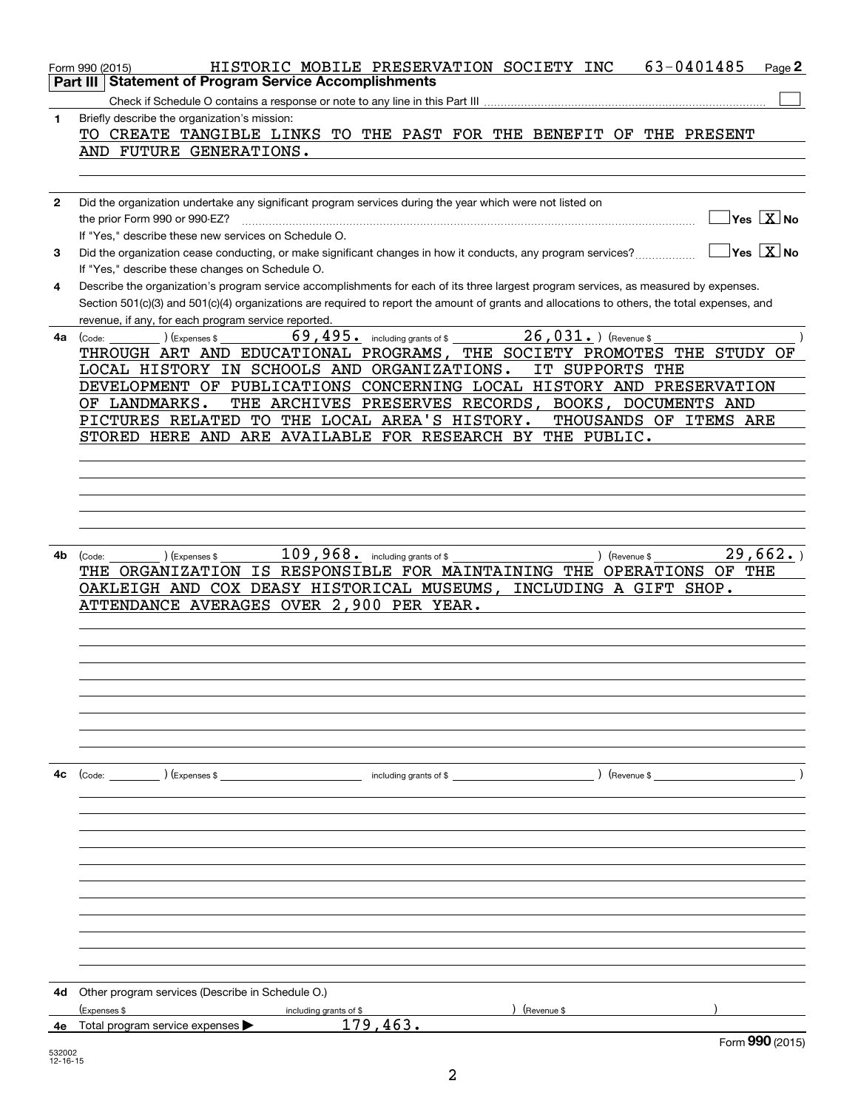|              | $63 - 0401485$<br>HISTORIC MOBILE PRESERVATION SOCIETY INC<br>Page 2<br>Form 990 (2015)<br><b>Statement of Program Service Accomplishments</b><br>Part III                        |
|--------------|-----------------------------------------------------------------------------------------------------------------------------------------------------------------------------------|
|              |                                                                                                                                                                                   |
|              |                                                                                                                                                                                   |
| 1            | Briefly describe the organization's mission:                                                                                                                                      |
|              | TO CREATE TANGIBLE LINKS TO THE PAST FOR THE BENEFIT OF THE PRESENT                                                                                                               |
|              | AND FUTURE GENERATIONS.                                                                                                                                                           |
|              |                                                                                                                                                                                   |
| $\mathbf{2}$ | Did the organization undertake any significant program services during the year which were not listed on                                                                          |
|              | $\sqrt{}$ Yes $\sqrt{}\,$ X $\sqrt{}\,$ No<br>the prior Form 990 or 990-EZ?                                                                                                       |
|              | If "Yes," describe these new services on Schedule O.                                                                                                                              |
| 3            | $ {\mathsf Y}{\mathsf e}{\mathsf s} $ $\overline{{\mathsf X}}$ No<br>Did the organization cease conducting, or make significant changes in how it conducts, any program services? |
|              | If "Yes," describe these changes on Schedule O.                                                                                                                                   |
| 4            | Describe the organization's program service accomplishments for each of its three largest program services, as measured by expenses.                                              |
|              | Section 501(c)(3) and 501(c)(4) organizations are required to report the amount of grants and allocations to others, the total expenses, and                                      |
|              | revenue, if any, for each program service reported.                                                                                                                               |
| 4a           | 26,031. ) (Revenue \$<br>69, 495. including grants of \$<br>) (Expenses \$<br>(Code:                                                                                              |
|              | THROUGH ART AND EDUCATIONAL PROGRAMS, THE SOCIETY PROMOTES THE STUDY OF                                                                                                           |
|              | LOCAL HISTORY IN SCHOOLS AND ORGANIZATIONS.<br>IT SUPPORTS THE                                                                                                                    |
|              | DEVELOPMENT OF PUBLICATIONS CONCERNING LOCAL HISTORY AND PRESERVATION                                                                                                             |
|              | OF LANDMARKS.<br>THE ARCHIVES PRESERVES RECORDS, BOOKS, DOCUMENTS AND                                                                                                             |
|              | PICTURES RELATED TO THE LOCAL AREA'S HISTORY.<br>THOUSANDS OF ITEMS ARE                                                                                                           |
|              |                                                                                                                                                                                   |
|              | STORED HERE AND ARE AVAILABLE FOR RESEARCH BY THE PUBLIC.                                                                                                                         |
|              |                                                                                                                                                                                   |
|              |                                                                                                                                                                                   |
|              |                                                                                                                                                                                   |
|              |                                                                                                                                                                                   |
|              |                                                                                                                                                                                   |
|              |                                                                                                                                                                                   |
| 4b           | 29,662.<br>109,968. including grants of \$<br>) (Revenue \$<br>) (Expenses \$<br>(Code:                                                                                           |
|              | THE ORGANIZATION IS RESPONSIBLE FOR MAINTAINING THE OPERATIONS OF THE                                                                                                             |
|              | OAKLEIGH AND COX DEASY HISTORICAL MUSEUMS,<br>INCLUDING A GIFT SHOP.                                                                                                              |
|              | ATTENDANCE AVERAGES OVER 2,900 PER YEAR.                                                                                                                                          |
|              |                                                                                                                                                                                   |
|              |                                                                                                                                                                                   |
|              |                                                                                                                                                                                   |
|              |                                                                                                                                                                                   |
|              |                                                                                                                                                                                   |
|              |                                                                                                                                                                                   |
|              |                                                                                                                                                                                   |
|              |                                                                                                                                                                                   |
|              |                                                                                                                                                                                   |
| 4с           | $\left(\text{Revenue }$ \$                                                                                                                                                        |
|              |                                                                                                                                                                                   |
|              |                                                                                                                                                                                   |
|              |                                                                                                                                                                                   |
|              |                                                                                                                                                                                   |
|              |                                                                                                                                                                                   |
|              |                                                                                                                                                                                   |
|              |                                                                                                                                                                                   |
|              |                                                                                                                                                                                   |
|              |                                                                                                                                                                                   |
|              |                                                                                                                                                                                   |
|              |                                                                                                                                                                                   |
|              |                                                                                                                                                                                   |
|              |                                                                                                                                                                                   |
|              |                                                                                                                                                                                   |
| 4d.          | Other program services (Describe in Schedule O.)                                                                                                                                  |
| 4е           | (Expenses \$<br>Revenue \$<br>including grants of \$<br>179,463.<br>Total program service expenses                                                                                |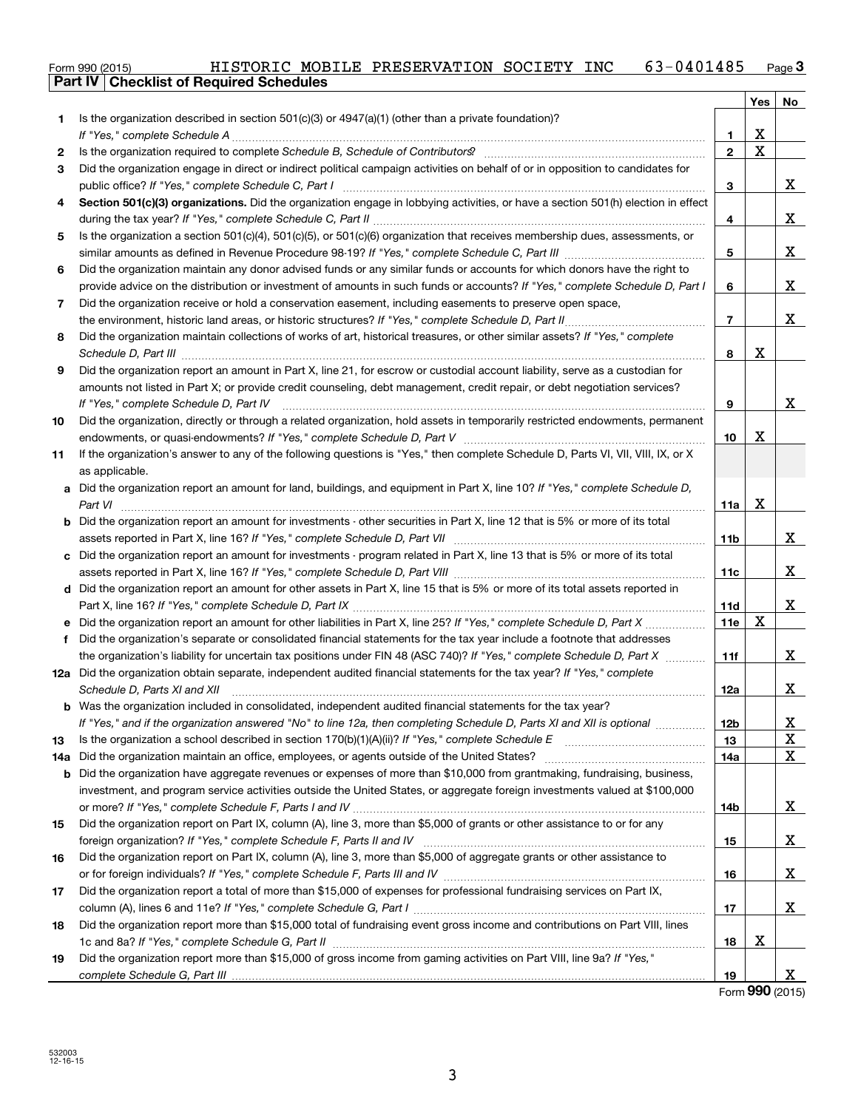| Form 990 (2015) |                                                |  | HISTORIC MOBILE PRESERVATION SOCIETY INC |  | 63-0401485 | Page 3 |
|-----------------|------------------------------------------------|--|------------------------------------------|--|------------|--------|
|                 | <b>Part IV Checklist of Required Schedules</b> |  |                                          |  |            |        |

|     |                                                                                                                                                                 |                 | Yes         | No                    |
|-----|-----------------------------------------------------------------------------------------------------------------------------------------------------------------|-----------------|-------------|-----------------------|
| 1   | Is the organization described in section $501(c)(3)$ or $4947(a)(1)$ (other than a private foundation)?                                                         |                 |             |                       |
|     |                                                                                                                                                                 | 1               | Х           |                       |
| 2   | Is the organization required to complete Schedule B, Schedule of Contributors? [11] the organization required to complete Schedule B, Schedule of Contributors? | $\mathbf{2}$    | $\mathbf X$ |                       |
| 3   | Did the organization engage in direct or indirect political campaign activities on behalf of or in opposition to candidates for                                 | 3               |             | x                     |
| 4   | Section 501(c)(3) organizations. Did the organization engage in lobbying activities, or have a section 501(h) election in effect                                |                 |             |                       |
|     |                                                                                                                                                                 | 4               |             | x                     |
| 5   | Is the organization a section 501(c)(4), 501(c)(5), or 501(c)(6) organization that receives membership dues, assessments, or                                    |                 |             |                       |
|     |                                                                                                                                                                 | 5               |             | X                     |
| 6   | Did the organization maintain any donor advised funds or any similar funds or accounts for which donors have the right to                                       |                 |             |                       |
|     | provide advice on the distribution or investment of amounts in such funds or accounts? If "Yes," complete Schedule D, Part I                                    | 6               |             | x                     |
| 7   | Did the organization receive or hold a conservation easement, including easements to preserve open space,                                                       |                 |             |                       |
|     |                                                                                                                                                                 | $\overline{7}$  |             | X                     |
| 8   | Did the organization maintain collections of works of art, historical treasures, or other similar assets? If "Yes," complete                                    |                 | Х           |                       |
|     | Did the organization report an amount in Part X, line 21, for escrow or custodial account liability, serve as a custodian for                                   | 8               |             |                       |
| 9   | amounts not listed in Part X; or provide credit counseling, debt management, credit repair, or debt negotiation services?                                       |                 |             |                       |
|     | If "Yes," complete Schedule D, Part IV                                                                                                                          | 9               |             | X                     |
|     | Did the organization, directly or through a related organization, hold assets in temporarily restricted endowments, permanent                                   |                 |             |                       |
| 10  |                                                                                                                                                                 | 10              | х           |                       |
| 11  | If the organization's answer to any of the following questions is "Yes," then complete Schedule D, Parts VI, VIII, VIII, IX, or X                               |                 |             |                       |
|     | as applicable.                                                                                                                                                  |                 |             |                       |
|     | a Did the organization report an amount for land, buildings, and equipment in Part X, line 10? If "Yes," complete Schedule D,                                   |                 |             |                       |
|     | Part VI                                                                                                                                                         | 11a             | Χ           |                       |
| b   | Did the organization report an amount for investments - other securities in Part X, line 12 that is 5% or more of its total                                     |                 |             |                       |
|     |                                                                                                                                                                 | 11 <sub>b</sub> |             | X                     |
|     | c Did the organization report an amount for investments - program related in Part X, line 13 that is 5% or more of its total                                    |                 |             |                       |
|     |                                                                                                                                                                 | 11c             |             | X                     |
|     | d Did the organization report an amount for other assets in Part X, line 15 that is 5% or more of its total assets reported in                                  |                 |             |                       |
|     |                                                                                                                                                                 | 11d             |             | X                     |
|     |                                                                                                                                                                 | 11e             | X           |                       |
| f   | Did the organization's separate or consolidated financial statements for the tax year include a footnote that addresses                                         |                 |             |                       |
|     | the organization's liability for uncertain tax positions under FIN 48 (ASC 740)? If "Yes," complete Schedule D, Part X                                          | 11f             |             | X                     |
|     | 12a Did the organization obtain separate, independent audited financial statements for the tax year? If "Yes," complete                                         |                 |             |                       |
|     | Schedule D, Parts XI and XII                                                                                                                                    | 12a             |             | X                     |
|     | <b>b</b> Was the organization included in consolidated, independent audited financial statements for the tax year?                                              |                 |             |                       |
|     | If "Yes," and if the organization answered "No" to line 12a, then completing Schedule D, Parts XI and XII is optional                                           | 12b             |             | $\overline{\text{X}}$ |
| 13  |                                                                                                                                                                 | 13              |             | X                     |
| 14a | Did the organization maintain an office, employees, or agents outside of the United States?                                                                     | 14a             |             | X                     |
| b   | Did the organization have aggregate revenues or expenses of more than \$10,000 from grantmaking, fundraising, business,                                         |                 |             |                       |
|     | investment, and program service activities outside the United States, or aggregate foreign investments valued at \$100,000                                      |                 |             |                       |
|     |                                                                                                                                                                 | 14b             |             | X                     |
| 15  | Did the organization report on Part IX, column (A), line 3, more than \$5,000 of grants or other assistance to or for any                                       |                 |             |                       |
|     |                                                                                                                                                                 | 15              |             | X                     |
| 16  | Did the organization report on Part IX, column (A), line 3, more than \$5,000 of aggregate grants or other assistance to                                        |                 |             |                       |
|     |                                                                                                                                                                 | 16              |             | X                     |
| 17  | Did the organization report a total of more than \$15,000 of expenses for professional fundraising services on Part IX,                                         |                 |             |                       |
|     |                                                                                                                                                                 | 17              |             | x                     |
| 18  | Did the organization report more than \$15,000 total of fundraising event gross income and contributions on Part VIII. lines                                    |                 |             |                       |
|     | Did the organization report more than \$15,000 of gross income from gaming activities on Part VIII, line 9a? If "Yes,"                                          | 18              | х           |                       |
| 19  |                                                                                                                                                                 |                 |             | x                     |
|     |                                                                                                                                                                 | 19              |             |                       |

Form (2015) **990**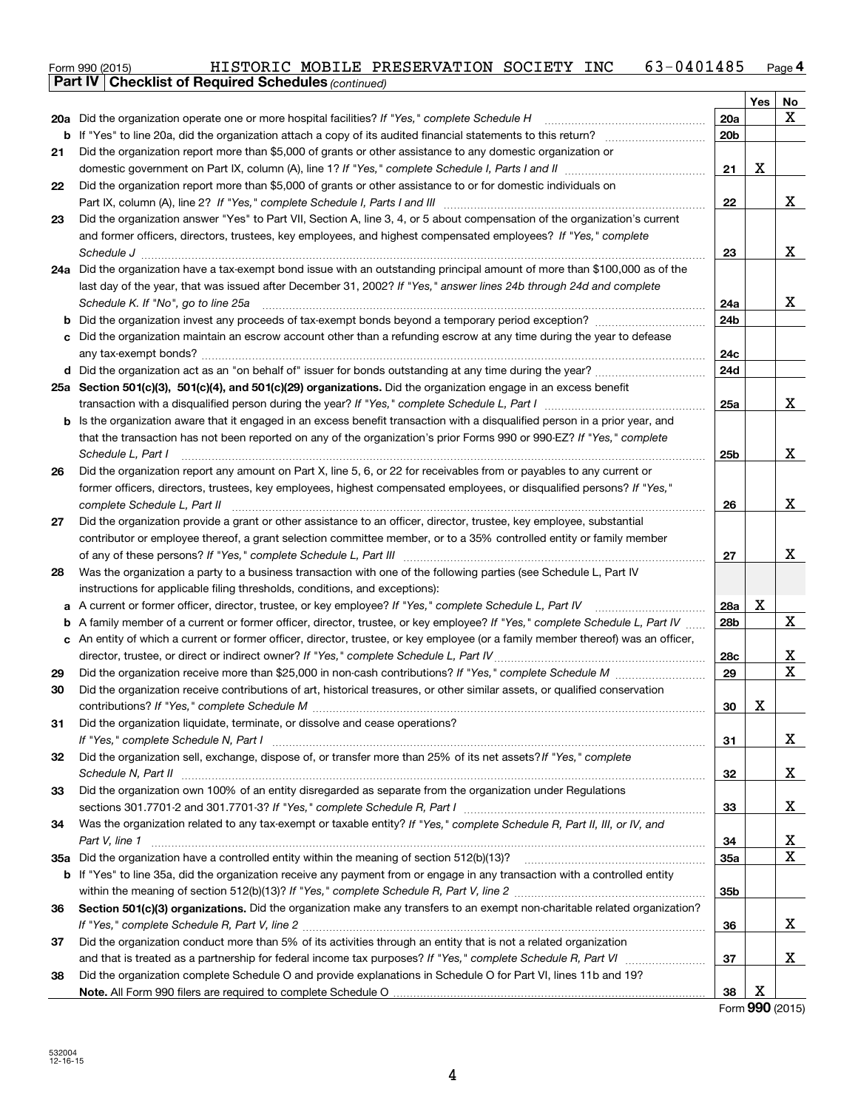| Form 990 (2015)                                              |  |  |  | HISTORIC MOBILE PRESERVATION SOCIETY |  | INC | 63-0401485 | Page 4 |
|--------------------------------------------------------------|--|--|--|--------------------------------------|--|-----|------------|--------|
| <b>Part IV   Checklist of Required Schedules (continued)</b> |  |  |  |                                      |  |     |            |        |

|     |                                                                                                                                   |            | <b>Yes</b> | No     |
|-----|-----------------------------------------------------------------------------------------------------------------------------------|------------|------------|--------|
| 20a | Did the organization operate one or more hospital facilities? If "Yes," complete Schedule H                                       | 20a        |            | х      |
| b   | If "Yes" to line 20a, did the organization attach a copy of its audited financial statements to this return?                      | 20b        |            |        |
| 21  | Did the organization report more than \$5,000 of grants or other assistance to any domestic organization or                       |            |            |        |
|     |                                                                                                                                   | 21         | х          |        |
| 22  | Did the organization report more than \$5,000 of grants or other assistance to or for domestic individuals on                     |            |            |        |
|     |                                                                                                                                   | 22         |            | x      |
| 23  | Did the organization answer "Yes" to Part VII, Section A, line 3, 4, or 5 about compensation of the organization's current        |            |            |        |
|     | and former officers, directors, trustees, key employees, and highest compensated employees? If "Yes," complete                    |            |            |        |
|     |                                                                                                                                   | 23         |            | x      |
|     | 24a Did the organization have a tax-exempt bond issue with an outstanding principal amount of more than \$100,000 as of the       |            |            |        |
|     | last day of the year, that was issued after December 31, 2002? If "Yes," answer lines 24b through 24d and complete                |            |            |        |
|     | Schedule K. If "No", go to line 25a                                                                                               | 24a        |            | x      |
| b   | Did the organization invest any proceeds of tax-exempt bonds beyond a temporary period exception?                                 | 24b        |            |        |
| c   | Did the organization maintain an escrow account other than a refunding escrow at any time during the year to defease              | 24c        |            |        |
|     |                                                                                                                                   | 24d        |            |        |
|     | 25a Section 501(c)(3), 501(c)(4), and 501(c)(29) organizations. Did the organization engage in an excess benefit                  |            |            |        |
|     |                                                                                                                                   | 25a        |            | x      |
|     | b Is the organization aware that it engaged in an excess benefit transaction with a disqualified person in a prior year, and      |            |            |        |
|     | that the transaction has not been reported on any of the organization's prior Forms 990 or 990-EZ? If "Yes," complete             |            |            |        |
|     | Schedule L, Part I                                                                                                                | 25b        |            | X      |
| 26  | Did the organization report any amount on Part X, line 5, 6, or 22 for receivables from or payables to any current or             |            |            |        |
|     | former officers, directors, trustees, key employees, highest compensated employees, or disqualified persons? If "Yes,"            |            |            |        |
|     |                                                                                                                                   | 26         |            | х      |
| 27  | Did the organization provide a grant or other assistance to an officer, director, trustee, key employee, substantial              |            |            |        |
|     | contributor or employee thereof, a grant selection committee member, or to a 35% controlled entity or family member               |            |            |        |
|     |                                                                                                                                   | 27         |            | X      |
| 28  | Was the organization a party to a business transaction with one of the following parties (see Schedule L, Part IV                 |            |            |        |
|     | instructions for applicable filing thresholds, conditions, and exceptions):                                                       |            |            |        |
| a   | A current or former officer, director, trustee, or key employee? If "Yes," complete Schedule L, Part IV                           | <b>28a</b> | х          |        |
| b   | A family member of a current or former officer, director, trustee, or key employee? If "Yes," complete Schedule L, Part IV        | 28b        |            | X      |
|     | c An entity of which a current or former officer, director, trustee, or key employee (or a family member thereof) was an officer, |            |            |        |
| 29  |                                                                                                                                   | 28c<br>29  |            | х<br>X |
| 30  | Did the organization receive contributions of art, historical treasures, or other similar assets, or qualified conservation       |            |            |        |
|     |                                                                                                                                   | 30         | х          |        |
| 31  | Did the organization liquidate, terminate, or dissolve and cease operations?                                                      |            |            |        |
|     |                                                                                                                                   | 31         |            | х      |
| 32  | Did the organization sell, exchange, dispose of, or transfer more than 25% of its net assets? If "Yes," complete                  |            |            |        |
|     |                                                                                                                                   | 32         |            | х      |
| 33  | Did the organization own 100% of an entity disregarded as separate from the organization under Regulations                        |            |            |        |
|     |                                                                                                                                   | 33         |            | х      |
| 34  | Was the organization related to any tax-exempt or taxable entity? If "Yes," complete Schedule R, Part II, III, or IV, and         |            |            |        |
|     | Part V, line 1                                                                                                                    | 34         |            | х      |
| 35а |                                                                                                                                   | 35a        |            | X      |
|     | b If "Yes" to line 35a, did the organization receive any payment from or engage in any transaction with a controlled entity       |            |            |        |
|     |                                                                                                                                   | 35b        |            |        |
| 36  | Section 501(c)(3) organizations. Did the organization make any transfers to an exempt non-charitable related organization?        |            |            |        |
|     |                                                                                                                                   | 36         |            | х      |
| 37  | Did the organization conduct more than 5% of its activities through an entity that is not a related organization                  |            |            |        |
|     |                                                                                                                                   | 37         |            | х      |
| 38  | Did the organization complete Schedule O and provide explanations in Schedule O for Part VI, lines 11b and 19?                    |            |            |        |
|     |                                                                                                                                   | 38         | X          |        |

Form (2015) **990**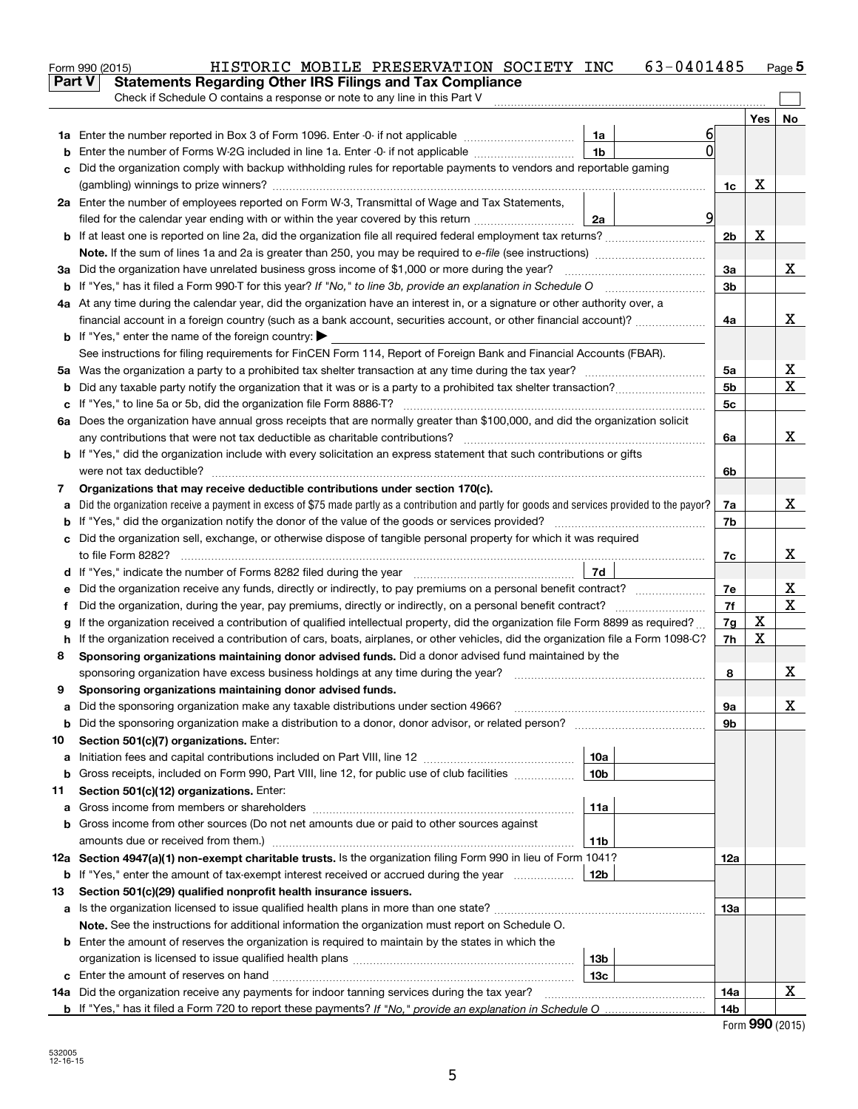|               | HISTORIC MOBILE PRESERVATION SOCIETY INC<br>Form 990 (2015)                                                                                     | 63-0401485     |                 |     | Page 5 |
|---------------|-------------------------------------------------------------------------------------------------------------------------------------------------|----------------|-----------------|-----|--------|
| <b>Part V</b> | <b>Statements Regarding Other IRS Filings and Tax Compliance</b>                                                                                |                |                 |     |        |
|               | Check if Schedule O contains a response or note to any line in this Part V                                                                      |                |                 |     |        |
|               |                                                                                                                                                 |                |                 | Yes | No     |
|               | 1a                                                                                                                                              | 6              |                 |     |        |
| b             | 1 <sub>b</sub><br>Enter the number of Forms W-2G included in line 1a. Enter -0- if not applicable                                               | 0              |                 |     |        |
| c             | Did the organization comply with backup withholding rules for reportable payments to vendors and reportable gaming                              |                |                 |     |        |
|               |                                                                                                                                                 |                | 1c              | х   |        |
|               | 2a Enter the number of employees reported on Form W-3, Transmittal of Wage and Tax Statements,                                                  |                |                 |     |        |
|               | filed for the calendar year ending with or within the year covered by this return<br>2a                                                         | 9              |                 |     |        |
|               |                                                                                                                                                 |                | 2 <sub>b</sub>  | х   |        |
|               |                                                                                                                                                 |                |                 |     |        |
| За            | Did the organization have unrelated business gross income of \$1,000 or more during the year?                                                   | 3a             |                 |     | Χ      |
|               |                                                                                                                                                 | 3 <sub>b</sub> |                 |     |        |
|               | 4a At any time during the calendar year, did the organization have an interest in, or a signature or other authority over, a                    |                |                 |     |        |
|               | financial account in a foreign country (such as a bank account, securities account, or other financial account)?                                |                | 4a              |     | X      |
|               | <b>b</b> If "Yes," enter the name of the foreign country: $\blacktriangleright$                                                                 |                |                 |     |        |
|               | See instructions for filing requirements for FinCEN Form 114, Report of Foreign Bank and Financial Accounts (FBAR).                             |                |                 |     |        |
| 5a            |                                                                                                                                                 | 5а             |                 |     | X      |
| b             |                                                                                                                                                 | 5b             |                 |     | X      |
| c             |                                                                                                                                                 |                | 5c              |     |        |
| 6a            | Does the organization have annual gross receipts that are normally greater than \$100,000, and did the organization solicit                     |                |                 |     |        |
|               |                                                                                                                                                 |                | 6a              |     | х      |
|               | <b>b</b> If "Yes," did the organization include with every solicitation an express statement that such contributions or gifts                   |                |                 |     |        |
|               |                                                                                                                                                 |                | 6b              |     |        |
| 7             | Organizations that may receive deductible contributions under section 170(c).                                                                   |                |                 |     |        |
| a             | Did the organization receive a payment in excess of \$75 made partly as a contribution and partly for goods and services provided to the payor? | 7a             |                 |     | X      |
| b             |                                                                                                                                                 |                | 7b              |     |        |
|               | c Did the organization sell, exchange, or otherwise dispose of tangible personal property for which it was required                             |                |                 |     |        |
|               |                                                                                                                                                 |                | 7c              |     | х      |
|               | 7d                                                                                                                                              |                |                 |     |        |
| е             |                                                                                                                                                 |                | 7е              |     | Х      |
| f             |                                                                                                                                                 |                | 7f              |     | X      |
| g             | If the organization received a contribution of qualified intellectual property, did the organization file Form 8899 as required?                | 7g             |                 | х   |        |
| h.            | If the organization received a contribution of cars, boats, airplanes, or other vehicles, did the organization file a Form 1098-C?              |                | 7h              | X   |        |
| 8             | Sponsoring organizations maintaining donor advised funds. Did a donor advised fund maintained by the                                            |                |                 |     |        |
|               |                                                                                                                                                 |                | 8               |     | Χ      |
|               | Sponsoring organizations maintaining donor advised funds.                                                                                       |                |                 |     |        |
| a             | Did the sponsoring organization make any taxable distributions under section 4966?                                                              |                | 9а              |     | x      |
| b             | Did the sponsoring organization make a distribution to a donor, donor advisor, or related person?                                               | 9b             |                 |     |        |
| 10            | Section 501(c)(7) organizations. Enter:                                                                                                         |                |                 |     |        |
| a             | 10a                                                                                                                                             |                |                 |     |        |
| b             | Gross receipts, included on Form 990, Part VIII, line 12, for public use of club facilities<br>10 <sub>b</sub>                                  |                |                 |     |        |
| 11            | Section 501(c)(12) organizations. Enter:                                                                                                        |                |                 |     |        |
| a             | 11a                                                                                                                                             |                |                 |     |        |
| b             | Gross income from other sources (Do not net amounts due or paid to other sources against                                                        |                |                 |     |        |
|               | 11b                                                                                                                                             |                |                 |     |        |
|               | 12a Section 4947(a)(1) non-exempt charitable trusts. Is the organization filing Form 990 in lieu of Form 1041?                                  |                | 12a             |     |        |
|               | <b>b</b> If "Yes," enter the amount of tax-exempt interest received or accrued during the year<br>12b                                           |                |                 |     |        |
| 13            | Section 501(c)(29) qualified nonprofit health insurance issuers.                                                                                |                |                 |     |        |
| a             | Is the organization licensed to issue qualified health plans in more than one state?                                                            |                | 13a             |     |        |
|               | Note. See the instructions for additional information the organization must report on Schedule O.                                               |                |                 |     |        |
|               | <b>b</b> Enter the amount of reserves the organization is required to maintain by the states in which the                                       |                |                 |     |        |
|               | 13b                                                                                                                                             |                |                 |     |        |
|               | 13с                                                                                                                                             |                |                 |     |        |
|               | 14a Did the organization receive any payments for indoor tanning services during the tax year?                                                  |                | 14a             |     | х      |
|               |                                                                                                                                                 |                | 14 <sub>b</sub> |     |        |

| Form 990 (2015) |  |
|-----------------|--|
|-----------------|--|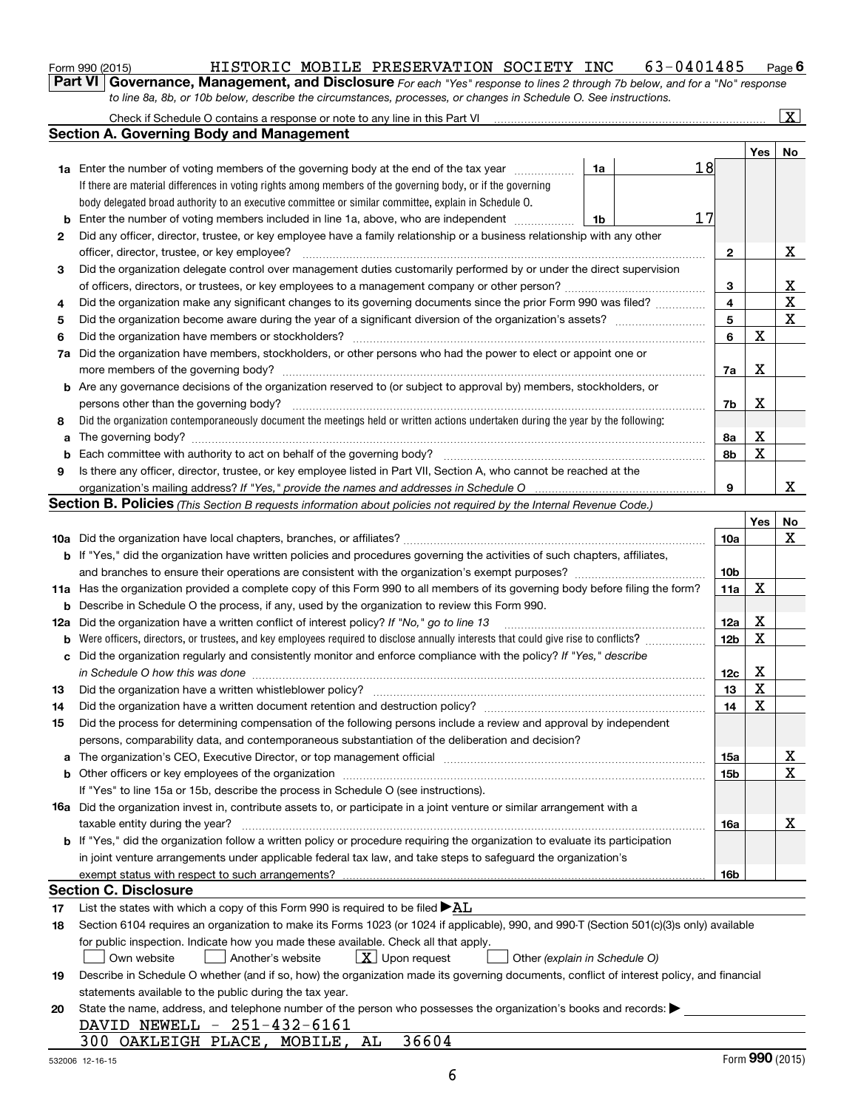| Form 990 (2015)      |  |
|----------------------|--|
| <b>Part VI Gover</b> |  |

#### HISTORIC MOBILE PRESERVATION SOCIETY INC 63-0401485 Page

**6**

**Part VI** Governance, Management, and Disclosure For each "Yes" response to lines 2 through 7b below, and for a "No" response *to line 8a, 8b, or 10b below, describe the circumstances, processes, or changes in Schedule O. See instructions.*

|     | Check if Schedule O contains a response or note to any line in this Part VI                                                               |                 |             | $\mathbf{X}$ |
|-----|-------------------------------------------------------------------------------------------------------------------------------------------|-----------------|-------------|--------------|
|     | <b>Section A. Governing Body and Management</b>                                                                                           |                 |             |              |
|     |                                                                                                                                           |                 | <b>Yes</b>  | No           |
|     | 18<br>1a Enter the number of voting members of the governing body at the end of the tax year<br>1a                                        |                 |             |              |
|     | If there are material differences in voting rights among members of the governing body, or if the governing                               |                 |             |              |
|     | body delegated broad authority to an executive committee or similar committee, explain in Schedule O.                                     |                 |             |              |
| b   | 17<br>Enter the number of voting members included in line 1a, above, who are independent<br>1b                                            |                 |             |              |
| 2   | Did any officer, director, trustee, or key employee have a family relationship or a business relationship with any other                  |                 |             |              |
|     | officer, director, trustee, or key employee?                                                                                              | 2               |             | <u>x</u>     |
| 3   | Did the organization delegate control over management duties customarily performed by or under the direct supervision                     |                 |             |              |
|     |                                                                                                                                           | 3               |             | X            |
| 4   | Did the organization make any significant changes to its governing documents since the prior Form 990 was filed?                          | 4               |             | x            |
| 5   |                                                                                                                                           | 5               |             | X            |
| 6   | Did the organization have members or stockholders?                                                                                        | 6               | X           |              |
| 7а  | Did the organization have members, stockholders, or other persons who had the power to elect or appoint one or                            |                 |             |              |
|     |                                                                                                                                           | 7a              | X           |              |
| b   | Are any governance decisions of the organization reserved to (or subject to approval by) members, stockholders, or                        |                 |             |              |
|     | persons other than the governing body?                                                                                                    | 7b              | х           |              |
| 8   | Did the organization contemporaneously document the meetings held or written actions undertaken during the year by the following:         |                 |             |              |
| a   |                                                                                                                                           | 8а              | $\mathbf X$ |              |
| b   |                                                                                                                                           | 8b              | X           |              |
| 9   | Is there any officer, director, trustee, or key employee listed in Part VII, Section A, who cannot be reached at the                      |                 |             |              |
|     |                                                                                                                                           | 9               |             | X            |
|     | Section B. Policies (This Section B requests information about policies not required by the Internal Revenue Code.)                       |                 |             |              |
|     |                                                                                                                                           |                 | Yes         | No           |
|     |                                                                                                                                           | 10a             |             | X            |
|     | <b>b</b> If "Yes," did the organization have written policies and procedures governing the activities of such chapters, affiliates,       |                 |             |              |
|     |                                                                                                                                           | 10b             |             |              |
| 11a | Has the organization provided a complete copy of this Form 990 to all members of its governing body before filing the form?               | 11a             | х           |              |
| b   | Describe in Schedule O the process, if any, used by the organization to review this Form 990.                                             |                 |             |              |
| 12a | Did the organization have a written conflict of interest policy? If "No," go to line 13                                                   | 12a             | Х           |              |
| b   |                                                                                                                                           | <b>12b</b>      | Х           |              |
| с   | Did the organization regularly and consistently monitor and enforce compliance with the policy? If "Yes," describe                        |                 |             |              |
|     | in Schedule O how this was done manufactured and an according to the state of the state of the state of the st                            | 12c             | Х           |              |
| 13  |                                                                                                                                           | 13              | х           |              |
| 14  | Did the organization have a written document retention and destruction policy? [11] manufaction manufaction in                            | 14              | х           |              |
| 15  | Did the process for determining compensation of the following persons include a review and approval by independent                        |                 |             |              |
|     | persons, comparability data, and contemporaneous substantiation of the deliberation and decision?                                         |                 |             |              |
| a   |                                                                                                                                           | 15a             |             | <u>x</u>     |
|     |                                                                                                                                           | 15b             |             | X            |
|     | If "Yes" to line 15a or 15b, describe the process in Schedule O (see instructions).                                                       |                 |             |              |
|     | 16a Did the organization invest in, contribute assets to, or participate in a joint venture or similar arrangement with a                 |                 |             |              |
|     | taxable entity during the year?                                                                                                           | 16a             |             | X            |
|     | <b>b</b> If "Yes," did the organization follow a written policy or procedure requiring the organization to evaluate its participation     |                 |             |              |
|     | in joint venture arrangements under applicable federal tax law, and take steps to safeguard the organization's                            |                 |             |              |
|     | exempt status with respect to such arrangements?                                                                                          | 16 <sub>b</sub> |             |              |
|     | <b>Section C. Disclosure</b>                                                                                                              |                 |             |              |
| 17  | List the states with which a copy of this Form 990 is required to be filed $\blacktriangleright$ AL                                       |                 |             |              |
| 18  | Section 6104 requires an organization to make its Forms 1023 (or 1024 if applicable), 990, and 990-T (Section 501(c)(3)s only) available  |                 |             |              |
|     | for public inspection. Indicate how you made these available. Check all that apply.                                                       |                 |             |              |
|     | $\lfloor x \rfloor$ Upon request<br>Own website<br>Another's website<br>Other (explain in Schedule O)                                     |                 |             |              |
| 19  | Describe in Schedule O whether (and if so, how) the organization made its governing documents, conflict of interest policy, and financial |                 |             |              |
|     | statements available to the public during the tax year.                                                                                   |                 |             |              |
| 20  | State the name, address, and telephone number of the person who possesses the organization's books and records:                           |                 |             |              |

DAVID NEWELL - 251-432-6161

300 OAKLEIGH PLACE, MOBILE, AL 36604

6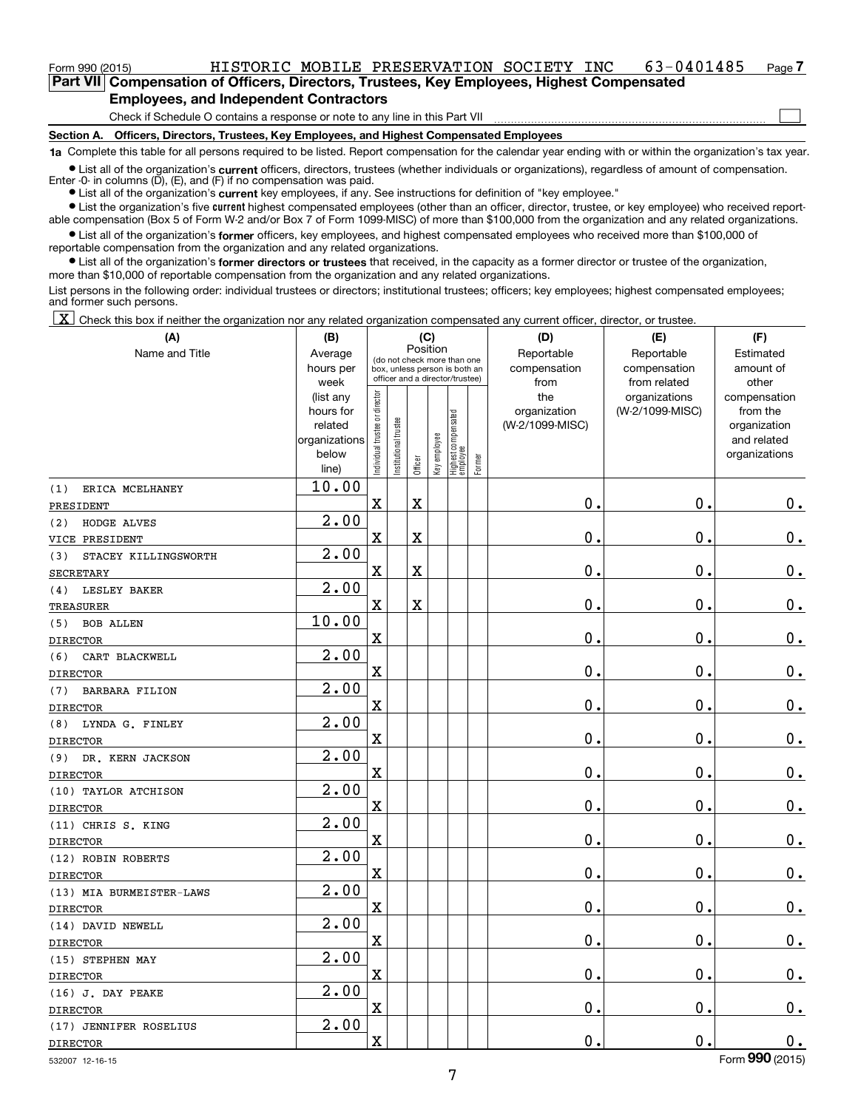#### Form 990 (2015)HISTORIC MOBILE PRESERVATION SOCIETY INC 63-0401485 Page **7 Part VII Compensation of Officers, Directors, Trustees, Key Employees, Highest Compensated Employees, and Independent Contractors**

Check if Schedule O contains a response or note to any line in this Part VII  $\overline{\phantom{a}}$ 

**Section A. Officers, Directors, Trustees, Key Employees, and Highest Compensated Employees**

**1a**  Complete this table for all persons required to be listed. Report compensation for the calendar year ending with or within the organization's tax year.

 $\bullet$  List all of the organization's current officers, directors, trustees (whether individuals or organizations), regardless of amount of compensation.

Enter  $-0$ - in columns  $(D)$ ,  $(E)$ , and  $(F)$  if no compensation was paid.

**Examber 20 List all of the organization's current** key employees, if any. See instructions for definition of "key employee."

**Examber 1** List the organization's five current highest compensated employees (other than an officer, director, trustee, or key employee) who received reportable compensation (Box 5 of Form W-2 and/or Box 7 of Form 1099-MISC) of more than \$100,000 from the organization and any related organizations.

**•** List all of the organization's former officers, key employees, and highest compensated employees who received more than \$100,000 of reportable compensation from the organization and any related organizations.

**Examber 1** List all of the organization's former directors or trustees that received, in the capacity as a former director or trustee of the organization, more than \$10,000 of reportable compensation from the organization and any related organizations.

List persons in the following order: individual trustees or directors; institutional trustees; officers; key employees; highest compensated employees; and former such persons.

 $X$  Check this box if neither the organization nor any related organization compensated any current officer, director, or trustee.

| (A)                          | (B)                  | (C)                                     |                      |                                                                  |              |                                  |        | (D)                             | (E)             | (F)                      |  |  |
|------------------------------|----------------------|-----------------------------------------|----------------------|------------------------------------------------------------------|--------------|----------------------------------|--------|---------------------------------|-----------------|--------------------------|--|--|
| Name and Title               | Average              | Position<br>(do not check more than one |                      |                                                                  |              |                                  |        | Reportable                      | Reportable      | Estimated                |  |  |
|                              | hours per            |                                         |                      | box, unless person is both an<br>officer and a director/trustee) |              |                                  |        | compensation                    | compensation    | amount of                |  |  |
|                              | week                 |                                         |                      |                                                                  |              |                                  |        | from                            | from related    | other                    |  |  |
|                              | (list any            | trustee or director                     |                      |                                                                  |              |                                  |        | the                             | organizations   | compensation             |  |  |
|                              | hours for<br>related |                                         |                      |                                                                  |              |                                  |        | organization<br>(W-2/1099-MISC) | (W-2/1099-MISC) | from the<br>organization |  |  |
|                              | organizations        |                                         |                      |                                                                  |              |                                  |        |                                 |                 | and related              |  |  |
|                              | below                |                                         | nstitutional trustee |                                                                  | Key employee |                                  |        |                                 |                 | organizations            |  |  |
|                              | line)                | Individual t                            |                      | Officer                                                          |              | Highest compensated<br> employee | Former |                                 |                 |                          |  |  |
| ERICA MCELHANEY<br>(1)       | 10.00                |                                         |                      |                                                                  |              |                                  |        |                                 |                 |                          |  |  |
| PRESIDENT                    |                      | $\mathbf x$                             |                      | $\mathbf X$                                                      |              |                                  |        | $\mathbf 0$                     | $\mathbf 0$ .   | 0.                       |  |  |
| HODGE ALVES<br>(2)           | 2.00                 |                                         |                      |                                                                  |              |                                  |        |                                 |                 |                          |  |  |
| VICE PRESIDENT               |                      | $\mathbf X$                             |                      | X                                                                |              |                                  |        | $\mathbf 0$                     | $\mathbf 0$ .   | 0.                       |  |  |
| STACEY KILLINGSWORTH<br>(3)  | 2.00                 |                                         |                      |                                                                  |              |                                  |        |                                 |                 |                          |  |  |
| <b>SECRETARY</b>             |                      | $\mathbf x$                             |                      | X                                                                |              |                                  |        | 0                               | 0               | $0_{.}$                  |  |  |
| <b>LESLEY BAKER</b><br>(4)   | 2.00                 |                                         |                      |                                                                  |              |                                  |        |                                 |                 |                          |  |  |
| <b>TREASURER</b>             |                      | $\overline{\text{X}}$                   |                      | $\mathbf X$                                                      |              |                                  |        | $\mathbf 0$                     | $\mathbf 0$     | $0_{.}$                  |  |  |
| <b>BOB ALLEN</b><br>(5)      | 10.00                |                                         |                      |                                                                  |              |                                  |        |                                 |                 |                          |  |  |
| <b>DIRECTOR</b>              |                      | $\mathbf X$                             |                      |                                                                  |              |                                  |        | $\mathbf 0$ .                   | $\mathbf 0$ .   | $0_{.}$                  |  |  |
| (6)<br>CART BLACKWELL        | 2.00                 |                                         |                      |                                                                  |              |                                  |        |                                 |                 |                          |  |  |
| <b>DIRECTOR</b>              |                      | $\mathbf X$                             |                      |                                                                  |              |                                  |        | $\mathbf 0$                     | $\mathbf 0$     | $0_{.}$                  |  |  |
| <b>BARBARA FILION</b><br>(7) | 2.00                 |                                         |                      |                                                                  |              |                                  |        |                                 |                 |                          |  |  |
| <b>DIRECTOR</b>              |                      | $\mathbf x$                             |                      |                                                                  |              |                                  |        | $\mathbf 0$                     | 0               | 0.                       |  |  |
| LYNDA G. FINLEY<br>(8)       | 2.00                 |                                         |                      |                                                                  |              |                                  |        |                                 |                 |                          |  |  |
| <b>DIRECTOR</b>              |                      | $\mathbf X$                             |                      |                                                                  |              |                                  |        | $\mathbf 0$                     | $\mathbf 0$     | $\mathbf 0$ .            |  |  |
| DR. KERN JACKSON<br>(9)      | 2.00                 |                                         |                      |                                                                  |              |                                  |        |                                 |                 |                          |  |  |
| <b>DIRECTOR</b>              |                      | $\mathbf X$                             |                      |                                                                  |              |                                  |        | 0.                              | $\mathbf 0$ .   | 0.                       |  |  |
| (10) TAYLOR ATCHISON         | 2.00                 |                                         |                      |                                                                  |              |                                  |        |                                 |                 |                          |  |  |
| <b>DIRECTOR</b>              |                      | $\mathbf X$                             |                      |                                                                  |              |                                  |        | $\mathbf 0$                     | $\mathbf 0$ .   | $0_{\cdot}$              |  |  |
| (11) CHRIS S. KING           | 2.00                 |                                         |                      |                                                                  |              |                                  |        |                                 |                 |                          |  |  |
| <b>DIRECTOR</b>              |                      | $\mathbf x$                             |                      |                                                                  |              |                                  |        | $\mathbf 0$                     | $\mathbf 0$ .   | $0_{\cdot}$              |  |  |
| (12) ROBIN ROBERTS           | 2.00                 |                                         |                      |                                                                  |              |                                  |        |                                 |                 |                          |  |  |
| <b>DIRECTOR</b>              |                      | $\mathbf X$                             |                      |                                                                  |              |                                  |        | $\mathbf 0$ .                   | $\mathbf 0$ .   | $\mathbf 0$ .            |  |  |
| (13) MIA BURMEISTER-LAWS     | 2.00                 |                                         |                      |                                                                  |              |                                  |        |                                 |                 |                          |  |  |
| <b>DIRECTOR</b>              |                      | $\mathbf X$                             |                      |                                                                  |              |                                  |        | $\mathbf 0$ .                   | $\mathbf 0$ .   | 0.                       |  |  |
| (14) DAVID NEWELL            | 2.00                 |                                         |                      |                                                                  |              |                                  |        |                                 |                 |                          |  |  |
| <b>DIRECTOR</b>              |                      | X                                       |                      |                                                                  |              |                                  |        | 0                               | 0               | $0_{.}$                  |  |  |
| (15) STEPHEN MAY             | 2.00                 |                                         |                      |                                                                  |              |                                  |        |                                 |                 |                          |  |  |
| <b>DIRECTOR</b>              |                      | $\mathbf X$                             |                      |                                                                  |              |                                  |        | 0                               | $\mathbf 0$     | $0_{\cdot}$              |  |  |
| (16) J. DAY PEAKE            | 2.00                 |                                         |                      |                                                                  |              |                                  |        |                                 |                 |                          |  |  |
| <b>DIRECTOR</b>              |                      | $\mathbf x$                             |                      |                                                                  |              |                                  |        | $\mathbf 0$                     | $\mathbf 0$     | $0_{\cdot}$              |  |  |
| (17) JENNIFER ROSELIUS       | 2.00                 |                                         |                      |                                                                  |              |                                  |        |                                 |                 |                          |  |  |
| <b>DIRECTOR</b>              |                      | $\rm X$                                 |                      |                                                                  |              |                                  |        | $\mathbf 0$                     | $\mathbf 0$ .   | $0$ .                    |  |  |

532007 12-16-15

Form (2015) **990**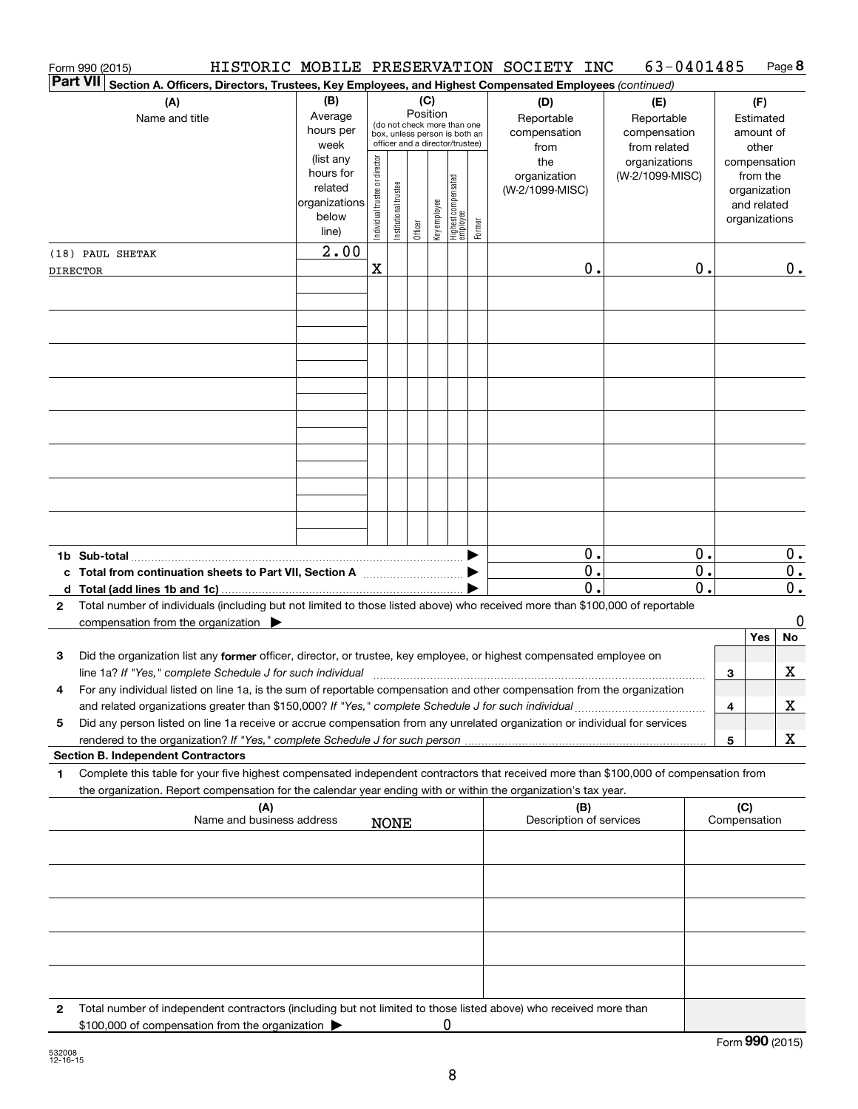|                 | Form 990 (2015)                                                                                                                                                                                                                                                   |                                                                      |                                |                       |         |                                                                                                 |                                 |                                           | HISTORIC MOBILE PRESERVATION SOCIETY INC          | 63-0401485                       |                    |                                        |                                                                          | Page 8            |
|-----------------|-------------------------------------------------------------------------------------------------------------------------------------------------------------------------------------------------------------------------------------------------------------------|----------------------------------------------------------------------|--------------------------------|-----------------------|---------|-------------------------------------------------------------------------------------------------|---------------------------------|-------------------------------------------|---------------------------------------------------|----------------------------------|--------------------|----------------------------------------|--------------------------------------------------------------------------|-------------------|
| <b>Part VII</b> | Section A. Officers, Directors, Trustees, Key Employees, and Highest Compensated Employees (continued)                                                                                                                                                            |                                                                      |                                |                       |         |                                                                                                 |                                 |                                           |                                                   |                                  |                    |                                        |                                                                          |                   |
|                 | (A)<br>Name and title                                                                                                                                                                                                                                             | (B)<br>Average<br>hours per<br>week                                  |                                | (C)<br>Position       |         | (do not check more than one<br>box, unless person is both an<br>officer and a director/trustee) |                                 | (D)<br>Reportable<br>compensation<br>from | (E)<br>Reportable<br>compensation<br>from related |                                  |                    | (F)<br>Estimated<br>amount of<br>other |                                                                          |                   |
|                 |                                                                                                                                                                                                                                                                   | (list any<br>hours for<br>related<br>organizations<br>below<br>line) | Individual trustee or director | Institutional trustee | Officer | Key employee                                                                                    | Highest compensated<br>employee | Former                                    | the<br>organization<br>(W-2/1099-MISC)            | organizations<br>(W-2/1099-MISC) |                    |                                        | compensation<br>from the<br>organization<br>and related<br>organizations |                   |
|                 | (18) PAUL SHETAK                                                                                                                                                                                                                                                  | 2.00                                                                 |                                |                       |         |                                                                                                 |                                 |                                           |                                                   |                                  |                    |                                        |                                                                          |                   |
|                 | <b>DIRECTOR</b>                                                                                                                                                                                                                                                   |                                                                      | X                              |                       |         |                                                                                                 |                                 |                                           | 0.                                                |                                  | $\mathbf 0$ .      |                                        |                                                                          | 0.                |
|                 |                                                                                                                                                                                                                                                                   |                                                                      |                                |                       |         |                                                                                                 |                                 |                                           |                                                   |                                  |                    |                                        |                                                                          |                   |
|                 |                                                                                                                                                                                                                                                                   |                                                                      |                                |                       |         |                                                                                                 |                                 |                                           |                                                   |                                  |                    |                                        |                                                                          |                   |
|                 |                                                                                                                                                                                                                                                                   |                                                                      |                                |                       |         |                                                                                                 |                                 |                                           |                                                   |                                  |                    |                                        |                                                                          |                   |
|                 |                                                                                                                                                                                                                                                                   |                                                                      |                                |                       |         |                                                                                                 |                                 |                                           |                                                   |                                  |                    |                                        |                                                                          |                   |
|                 |                                                                                                                                                                                                                                                                   |                                                                      |                                |                       |         |                                                                                                 |                                 |                                           | $\mathbf 0$ .                                     |                                  | $\mathbf 0$ .      |                                        |                                                                          | 0.                |
|                 |                                                                                                                                                                                                                                                                   |                                                                      |                                |                       |         |                                                                                                 |                                 |                                           | 0.<br>0                                           |                                  | $\mathbf 0$ .<br>0 |                                        |                                                                          | 0.<br>0.          |
| $\mathbf{2}$    | Total number of individuals (including but not limited to those listed above) who received more than \$100,000 of reportable                                                                                                                                      |                                                                      |                                |                       |         |                                                                                                 |                                 |                                           |                                                   |                                  |                    |                                        |                                                                          |                   |
|                 | compensation from the organization $\blacktriangleright$                                                                                                                                                                                                          |                                                                      |                                |                       |         |                                                                                                 |                                 |                                           |                                                   |                                  |                    |                                        | Yes                                                                      | $\mathbf 0$<br>No |
| 3               | Did the organization list any former officer, director, or trustee, key employee, or highest compensated employee on<br>line 1a? If "Yes," complete Schedule J for such individual manufactured content to the successive complete schedule J for such individual |                                                                      |                                |                       |         |                                                                                                 |                                 |                                           |                                                   |                                  |                    | З                                      |                                                                          | x                 |
|                 | For any individual listed on line 1a, is the sum of reportable compensation and other compensation from the organization<br>and related organizations greater than \$150,000? If "Yes," complete Schedule J for such individual.                                  |                                                                      |                                |                       |         |                                                                                                 |                                 |                                           |                                                   |                                  |                    | 4                                      |                                                                          | x                 |
| 5               | Did any person listed on line 1a receive or accrue compensation from any unrelated organization or individual for services<br>rendered to the organization? If "Yes," complete Schedule J for such person.                                                        |                                                                      |                                |                       |         |                                                                                                 |                                 |                                           |                                                   |                                  |                    | 5                                      |                                                                          | <u>x</u>          |
|                 | <b>Section B. Independent Contractors</b>                                                                                                                                                                                                                         |                                                                      |                                |                       |         |                                                                                                 |                                 |                                           |                                                   |                                  |                    |                                        |                                                                          |                   |
| 1               | Complete this table for your five highest compensated independent contractors that received more than \$100,000 of compensation from<br>the organization. Report compensation for the calendar year ending with or within the organization's tax year.            |                                                                      |                                |                       |         |                                                                                                 |                                 |                                           |                                                   |                                  |                    |                                        |                                                                          |                   |
|                 | (A)<br>Name and business address                                                                                                                                                                                                                                  |                                                                      |                                | <b>NONE</b>           |         |                                                                                                 |                                 |                                           | (B)<br>Description of services                    |                                  |                    | (C)                                    | Compensation                                                             |                   |
|                 |                                                                                                                                                                                                                                                                   |                                                                      |                                |                       |         |                                                                                                 |                                 |                                           |                                                   |                                  |                    |                                        |                                                                          |                   |
|                 |                                                                                                                                                                                                                                                                   |                                                                      |                                |                       |         |                                                                                                 |                                 |                                           |                                                   |                                  |                    |                                        |                                                                          |                   |
|                 |                                                                                                                                                                                                                                                                   |                                                                      |                                |                       |         |                                                                                                 |                                 |                                           |                                                   |                                  |                    |                                        |                                                                          |                   |
|                 |                                                                                                                                                                                                                                                                   |                                                                      |                                |                       |         |                                                                                                 |                                 |                                           |                                                   |                                  |                    |                                        |                                                                          |                   |
|                 |                                                                                                                                                                                                                                                                   |                                                                      |                                |                       |         |                                                                                                 |                                 |                                           |                                                   |                                  |                    |                                        |                                                                          |                   |
| 2               | Total number of independent contractors (including but not limited to those listed above) who received more than<br>\$100,000 of compensation from the organization                                                                                               |                                                                      |                                |                       |         |                                                                                                 | 0                               |                                           |                                                   |                                  |                    |                                        |                                                                          |                   |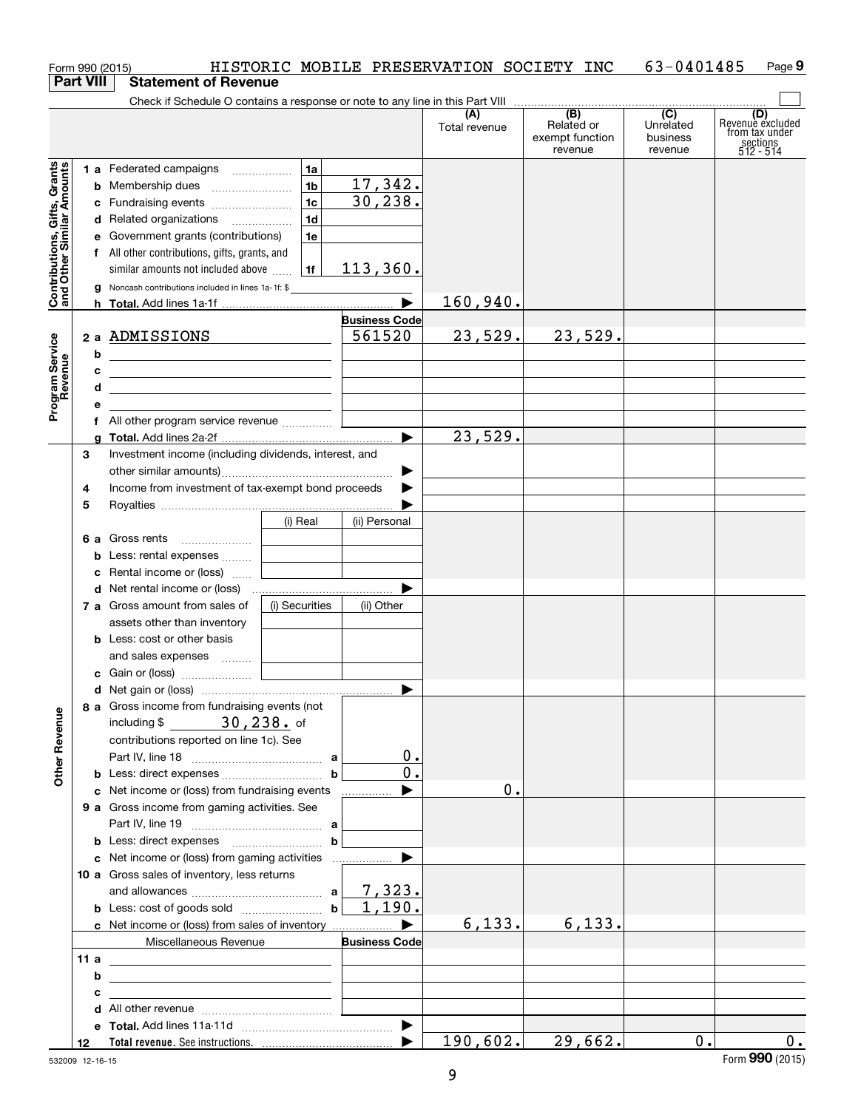|                                                           |                  | Form 990 (2015)                                                                                                                                                                                                                                                                                      |                                                                      |                                        |                      | HISTORIC MOBILE PRESERVATION SOCIETY INC        | 63-0401485                                         | Page 9                                                                         |
|-----------------------------------------------------------|------------------|------------------------------------------------------------------------------------------------------------------------------------------------------------------------------------------------------------------------------------------------------------------------------------------------------|----------------------------------------------------------------------|----------------------------------------|----------------------|-------------------------------------------------|----------------------------------------------------|--------------------------------------------------------------------------------|
|                                                           | <b>Part VIII</b> | <b>Statement of Revenue</b>                                                                                                                                                                                                                                                                          |                                                                      |                                        |                      |                                                 |                                                    |                                                                                |
|                                                           |                  |                                                                                                                                                                                                                                                                                                      |                                                                      |                                        | (A)<br>Total revenue | (B)<br>Related or<br>exempt function<br>revenue | $\overline{C}$<br>Unrelated<br>business<br>revenue | (D)<br>Revenue excluded<br>from tax under<br>sections<br>sections<br>512 - 514 |
| Contributions, Gifts, Grants<br>and Other Similar Amounts |                  | 1 a Federated campaigns<br><b>b</b> Membership dues<br>c Fundraising events<br>d Related organizations<br>e Government grants (contributions)<br>f All other contributions, gifts, grants, and<br>similar amounts not included above<br><b>g</b> Noncash contributions included in lines 1a-1f: \$   | 1a<br>1 <sub>b</sub><br>1 <sub>c</sub><br>1 <sub>d</sub><br>1e<br>1f | 17,342.<br>30, 238.<br><u>113,360.</u> |                      |                                                 |                                                    |                                                                                |
|                                                           |                  |                                                                                                                                                                                                                                                                                                      |                                                                      |                                        | 160,940.             |                                                 |                                                    |                                                                                |
|                                                           | b                | 2 a ADMISSIONS<br><u> 1989 - Andrea Barbara, poeta espainiar político e a la propia de la propia de la propia de la propia de la p</u>                                                                                                                                                               |                                                                      | <b>Business Code</b><br>561520         | 23,529.              | 23,529.                                         |                                                    |                                                                                |
| Program Service<br>Revenue                                | c<br>d<br>е      | <u> 1980 - Jan Samuel Barbara, martin da shekara 1980 - An tsa a tsa a tsa a tsa a tsa a tsa a tsa a tsa a tsa a</u><br><u> 1989 - Johann Harry Harry Harry Harry Harry Harry Harry Harry Harry Harry Harry Harry Harry Harry Harry Harry</u><br>f All other program service revenue <i>mimiming</i> |                                                                      |                                        |                      |                                                 |                                                    |                                                                                |
|                                                           |                  |                                                                                                                                                                                                                                                                                                      |                                                                      | $\blacktriangleright$                  | 23,529.              |                                                 |                                                    |                                                                                |
|                                                           | 3<br>4           | Investment income (including dividends, interest, and<br>Income from investment of tax-exempt bond proceeds                                                                                                                                                                                          |                                                                      | ▶<br>▶                                 |                      |                                                 |                                                    |                                                                                |
|                                                           | 5                |                                                                                                                                                                                                                                                                                                      | (i) Real                                                             | (ii) Personal                          |                      |                                                 |                                                    |                                                                                |
|                                                           |                  | 6 a Gross rents<br><b>b</b> Less: rental expenses<br>c Rental income or (loss)                                                                                                                                                                                                                       |                                                                      |                                        |                      |                                                 |                                                    |                                                                                |
|                                                           |                  | 7 a Gross amount from sales of<br>assets other than inventory<br><b>b</b> Less: cost or other basis                                                                                                                                                                                                  | (i) Securities                                                       | (ii) Other                             |                      |                                                 |                                                    |                                                                                |
|                                                           |                  | and sales expenses                                                                                                                                                                                                                                                                                   |                                                                      |                                        |                      |                                                 |                                                    |                                                                                |
| <b>Other Revenue</b>                                      |                  | 8 a Gross income from fundraising events (not<br>including \$ 30, 238. of<br>contributions reported on line 1c). See                                                                                                                                                                                 |                                                                      | υ.                                     |                      |                                                 |                                                    |                                                                                |
|                                                           |                  |                                                                                                                                                                                                                                                                                                      |                                                                      | 0.                                     |                      |                                                 |                                                    |                                                                                |
|                                                           |                  | c Net income or (loss) from fundraising events<br>9 a Gross income from gaming activities. See                                                                                                                                                                                                       |                                                                      | .                                      | 0.                   |                                                 |                                                    |                                                                                |
|                                                           |                  | c Net income or (loss) from gaming activities<br>10 a Gross sales of inventory, less returns                                                                                                                                                                                                         | $\mathbf b$                                                          | ▶<br>7,323.                            |                      |                                                 |                                                    |                                                                                |
|                                                           |                  | c Net income or (loss) from sales of inventory  ▶<br>Miscellaneous Revenue                                                                                                                                                                                                                           | $\mathbf{b}$                                                         | 1,190.<br><b>Business Code</b>         | 6,133.               | 6,133.                                          |                                                    |                                                                                |
|                                                           | 11 $a$<br>b      | <u> 1999 - Johann Barn, mars ann an Catharin ann an t-</u><br><u> 1989 - Johann Harry Harry Harry Harry Harry Harry Harry Harry Harry Harry Harry Harry Harry Harry Harry Harry</u>                                                                                                                  |                                                                      |                                        |                      |                                                 |                                                    |                                                                                |
|                                                           | c                | the contract of the contract of the contract of the contract of the contract of                                                                                                                                                                                                                      |                                                                      |                                        |                      |                                                 |                                                    |                                                                                |
|                                                           | 12               |                                                                                                                                                                                                                                                                                                      |                                                                      |                                        | 190,602.             | 29,662.                                         | 0.                                                 | 0.                                                                             |

Form (2015) **990**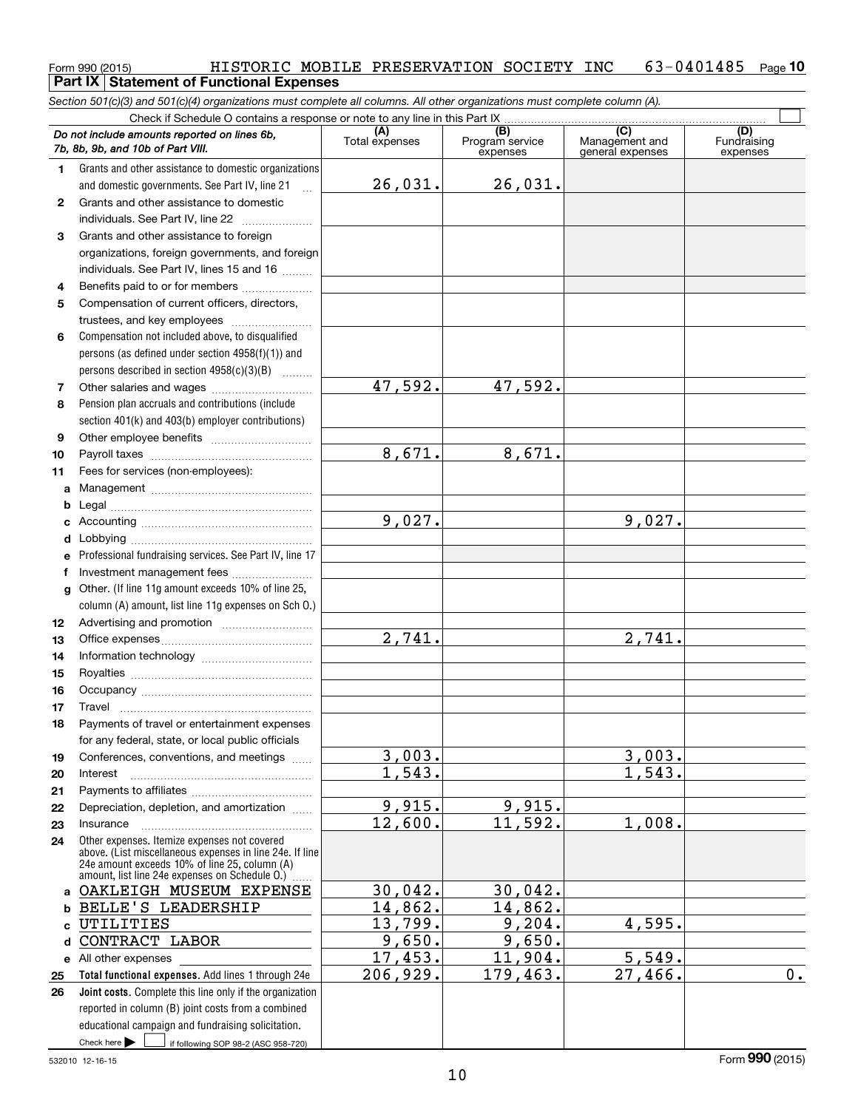#### Form 990 (2015) HISTORIC MOBILE PRESERVATION SOCIETY INC 63-0401485 Page 63-0401485 Page 10 **Part IX | Statement of Functional Expenses** HISTORIC MOBILE PRESERVATION SOCIETY INC 63-0401485

*Section 501(c)(3) and 501(c)(4) organizations must complete all columns. All other organizations must complete column (A).*

|              | Do not include amounts reported on lines 6b,<br>7b, 8b, 9b, and 10b of Part VIII.                                                                           | (A)<br>Total expenses | (B)<br>Program service<br>expenses | $\overline{C}$<br>Management and<br>general expenses | (D)<br>Fundraising<br>expenses |  |  |  |  |  |  |
|--------------|-------------------------------------------------------------------------------------------------------------------------------------------------------------|-----------------------|------------------------------------|------------------------------------------------------|--------------------------------|--|--|--|--|--|--|
| 1.           | Grants and other assistance to domestic organizations                                                                                                       |                       |                                    |                                                      |                                |  |  |  |  |  |  |
|              | and domestic governments. See Part IV, line 21                                                                                                              | 26,031.               | $26,031$ .                         |                                                      |                                |  |  |  |  |  |  |
| $\mathbf{2}$ | Grants and other assistance to domestic                                                                                                                     |                       |                                    |                                                      |                                |  |  |  |  |  |  |
|              | individuals. See Part IV, line 22                                                                                                                           |                       |                                    |                                                      |                                |  |  |  |  |  |  |
| 3            | Grants and other assistance to foreign                                                                                                                      |                       |                                    |                                                      |                                |  |  |  |  |  |  |
|              | organizations, foreign governments, and foreign                                                                                                             |                       |                                    |                                                      |                                |  |  |  |  |  |  |
|              | individuals. See Part IV, lines 15 and 16                                                                                                                   |                       |                                    |                                                      |                                |  |  |  |  |  |  |
| 4            | Benefits paid to or for members                                                                                                                             |                       |                                    |                                                      |                                |  |  |  |  |  |  |
| 5            | Compensation of current officers, directors,                                                                                                                |                       |                                    |                                                      |                                |  |  |  |  |  |  |
|              | trustees, and key employees                                                                                                                                 |                       |                                    |                                                      |                                |  |  |  |  |  |  |
| 6            | Compensation not included above, to disqualified                                                                                                            |                       |                                    |                                                      |                                |  |  |  |  |  |  |
|              | persons (as defined under section $4958(f)(1)$ ) and                                                                                                        |                       |                                    |                                                      |                                |  |  |  |  |  |  |
|              | persons described in section $4958(c)(3)(B)$                                                                                                                |                       |                                    |                                                      |                                |  |  |  |  |  |  |
| 7            | Other salaries and wages                                                                                                                                    | 47,592.               | 47,592.                            |                                                      |                                |  |  |  |  |  |  |
| 8            | Pension plan accruals and contributions (include                                                                                                            |                       |                                    |                                                      |                                |  |  |  |  |  |  |
|              | section 401(k) and 403(b) employer contributions)                                                                                                           |                       |                                    |                                                      |                                |  |  |  |  |  |  |
| 9            |                                                                                                                                                             |                       |                                    |                                                      |                                |  |  |  |  |  |  |
| 10           |                                                                                                                                                             | 8,671.                | 8,671.                             |                                                      |                                |  |  |  |  |  |  |
| 11           | Fees for services (non-employees):                                                                                                                          |                       |                                    |                                                      |                                |  |  |  |  |  |  |
| a            |                                                                                                                                                             |                       |                                    |                                                      |                                |  |  |  |  |  |  |
| b            |                                                                                                                                                             |                       |                                    |                                                      |                                |  |  |  |  |  |  |
| c            |                                                                                                                                                             | 9,027.                |                                    | 9,027.                                               |                                |  |  |  |  |  |  |
| d            |                                                                                                                                                             |                       |                                    |                                                      |                                |  |  |  |  |  |  |
|              | Professional fundraising services. See Part IV, line 17                                                                                                     |                       |                                    |                                                      |                                |  |  |  |  |  |  |
| f            | Investment management fees                                                                                                                                  |                       |                                    |                                                      |                                |  |  |  |  |  |  |
| g            | Other. (If line 11g amount exceeds 10% of line 25,                                                                                                          |                       |                                    |                                                      |                                |  |  |  |  |  |  |
|              | column (A) amount, list line 11g expenses on Sch O.)                                                                                                        |                       |                                    |                                                      |                                |  |  |  |  |  |  |
| 12           |                                                                                                                                                             |                       |                                    |                                                      |                                |  |  |  |  |  |  |
| 13           |                                                                                                                                                             | 2,741.                |                                    | 2,741.                                               |                                |  |  |  |  |  |  |
| 14           |                                                                                                                                                             |                       |                                    |                                                      |                                |  |  |  |  |  |  |
| 15           |                                                                                                                                                             |                       |                                    |                                                      |                                |  |  |  |  |  |  |
| 16           |                                                                                                                                                             |                       |                                    |                                                      |                                |  |  |  |  |  |  |
| 17           | Travel                                                                                                                                                      |                       |                                    |                                                      |                                |  |  |  |  |  |  |
| 18           | Payments of travel or entertainment expenses                                                                                                                |                       |                                    |                                                      |                                |  |  |  |  |  |  |
|              | for any federal, state, or local public officials                                                                                                           |                       |                                    |                                                      |                                |  |  |  |  |  |  |
| 19           | Conferences, conventions, and meetings                                                                                                                      | 3,003.                |                                    | 3,003.                                               |                                |  |  |  |  |  |  |
| 20           | Interest                                                                                                                                                    | 1,543.                |                                    | 1,543.                                               |                                |  |  |  |  |  |  |
| 21           | Depreciation, depletion, and amortization                                                                                                                   | 9,915.                | 9,915.                             |                                                      |                                |  |  |  |  |  |  |
| 22           | Insurance                                                                                                                                                   | 12,600.               | 11,592.                            | 1,008.                                               |                                |  |  |  |  |  |  |
| 23           | Other expenses. Itemize expenses not covered                                                                                                                |                       |                                    |                                                      |                                |  |  |  |  |  |  |
| 24           | above. (List miscellaneous expenses in line 24e. If line<br>24e amount exceeds 10% of line 25, column (A)<br>amount, list line 24e expenses on Schedule O.) |                       |                                    |                                                      |                                |  |  |  |  |  |  |
| a            | OAKLEIGH MUSEUM EXPENSE                                                                                                                                     | $30,042$ .            | 30,042.                            |                                                      |                                |  |  |  |  |  |  |
| b            | BELLE'S LEADERSHIP                                                                                                                                          | 14,862.               | 14,862.                            |                                                      |                                |  |  |  |  |  |  |
| C            | UTILITIES                                                                                                                                                   | 13,799.               | 9,204.                             | 4,595.                                               |                                |  |  |  |  |  |  |
| d            | CONTRACT LABOR                                                                                                                                              | 9,650.                | 9,650.                             |                                                      |                                |  |  |  |  |  |  |
|              | e All other expenses                                                                                                                                        | 17,453.               | 11,904.                            | 5,549.                                               |                                |  |  |  |  |  |  |
| 25           | Total functional expenses. Add lines 1 through 24e                                                                                                          | 206,929.              | 179,463.                           | 27,466.                                              | 0.                             |  |  |  |  |  |  |
| 26           | <b>Joint costs.</b> Complete this line only if the organization                                                                                             |                       |                                    |                                                      |                                |  |  |  |  |  |  |
|              | reported in column (B) joint costs from a combined                                                                                                          |                       |                                    |                                                      |                                |  |  |  |  |  |  |
|              | educational campaign and fundraising solicitation.                                                                                                          |                       |                                    |                                                      |                                |  |  |  |  |  |  |
|              | Check here $\blacktriangleright$<br>if following SOP 98-2 (ASC 958-720)                                                                                     |                       |                                    |                                                      |                                |  |  |  |  |  |  |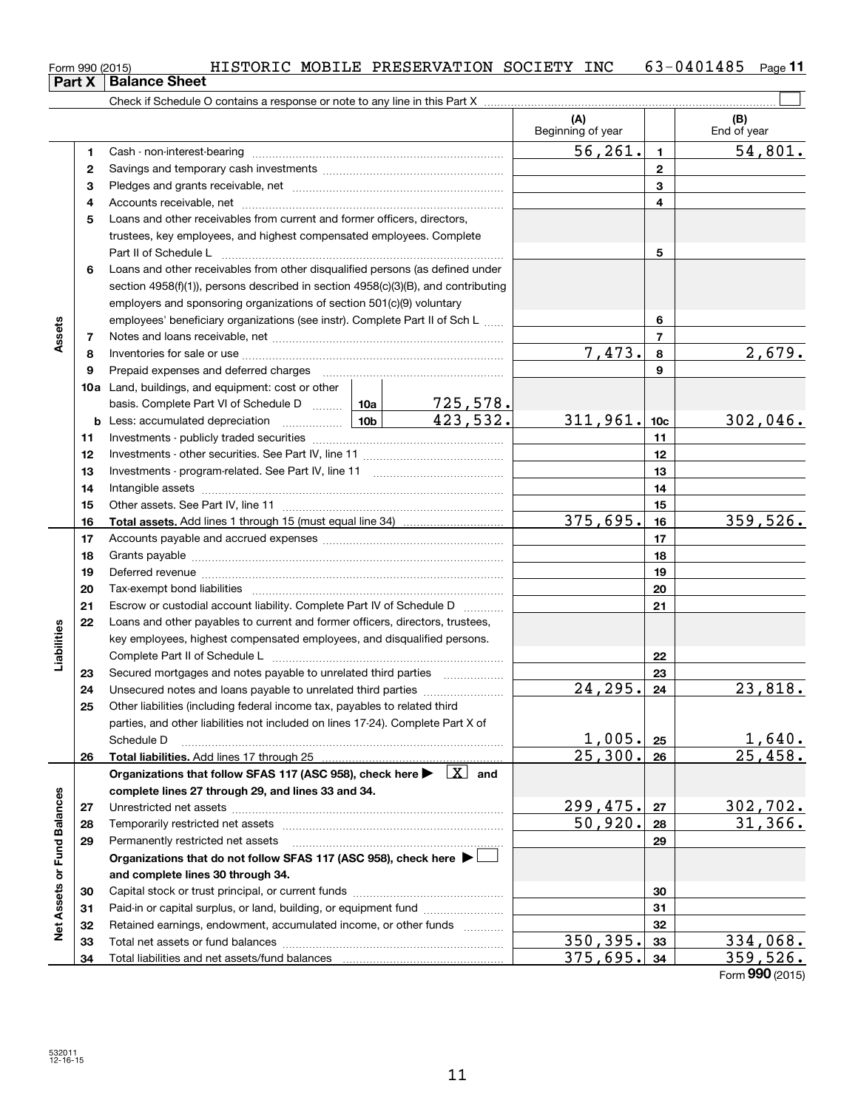## HISTORIC MOBILE PRESERVATION SOCIETY INC 63-0401485 Page 11

|                             |              |                                                                                                                     |                 |                 | (A)<br>Beginning of year |                 | (B)<br>End of year |
|-----------------------------|--------------|---------------------------------------------------------------------------------------------------------------------|-----------------|-----------------|--------------------------|-----------------|--------------------|
|                             | 1            |                                                                                                                     |                 |                 | 56, 261.                 | $\mathbf{1}$    | 54,801.            |
|                             | $\mathbf{2}$ |                                                                                                                     |                 |                 |                          | $\mathbf{2}$    |                    |
|                             | з            |                                                                                                                     |                 |                 |                          | 3               |                    |
|                             | 4            |                                                                                                                     |                 |                 |                          | 4               |                    |
|                             | 5            | Loans and other receivables from current and former officers, directors,                                            |                 |                 |                          |                 |                    |
|                             |              | trustees, key employees, and highest compensated employees. Complete                                                |                 |                 |                          |                 |                    |
|                             |              |                                                                                                                     |                 |                 |                          | 5               |                    |
|                             | 6            | Loans and other receivables from other disqualified persons (as defined under                                       |                 |                 |                          |                 |                    |
|                             |              | section $4958(f)(1)$ , persons described in section $4958(c)(3)(B)$ , and contributing                              |                 |                 |                          |                 |                    |
|                             |              | employers and sponsoring organizations of section 501(c)(9) voluntary                                               |                 |                 |                          |                 |                    |
|                             |              | employees' beneficiary organizations (see instr). Complete Part II of Sch L                                         |                 |                 |                          | 6               |                    |
| Assets                      | 7            |                                                                                                                     |                 |                 |                          | $\overline{7}$  |                    |
|                             | 8            |                                                                                                                     |                 |                 | 7,473.                   | 8               | 2,679.             |
|                             | 9            | Prepaid expenses and deferred charges [11] [11] prepaid expenses and deferred charges [11] [11] minimum materials   |                 |                 |                          | 9               |                    |
|                             |              | 10a Land, buildings, and equipment: cost or other                                                                   |                 |                 |                          |                 |                    |
|                             |              | basis. Complete Part VI of Schedule D  10a                                                                          |                 | <u>725,578.</u> |                          |                 |                    |
|                             |              | <b>b</b> Less: accumulated depreciation                                                                             | 10 <sub>b</sub> | 423,532.        | 311,961.                 | 10 <sub>c</sub> | 302,046.           |
|                             | 11           |                                                                                                                     |                 |                 |                          | 11              |                    |
|                             | 12           |                                                                                                                     |                 |                 |                          | 12              |                    |
|                             | 13           |                                                                                                                     |                 |                 |                          | 13              |                    |
|                             | 14           |                                                                                                                     |                 |                 |                          | 14              |                    |
|                             | 15           |                                                                                                                     |                 |                 |                          | 15              |                    |
|                             | 16           |                                                                                                                     |                 |                 | 375,695.                 | 16              | 359,526.           |
|                             | 17           |                                                                                                                     |                 |                 |                          | 17              |                    |
|                             | 18           |                                                                                                                     |                 |                 | 18                       |                 |                    |
|                             | 19           | Deferred revenue manual contracts and contracts are all the manual contracts and contracts are all the contracts of |                 |                 | 19                       |                 |                    |
|                             | 20           |                                                                                                                     |                 |                 |                          | 20              |                    |
|                             | 21           | Escrow or custodial account liability. Complete Part IV of Schedule D                                               |                 | $\cdots$        |                          | 21              |                    |
|                             | 22           | Loans and other payables to current and former officers, directors, trustees,                                       |                 |                 |                          |                 |                    |
| Liabilities                 |              | key employees, highest compensated employees, and disqualified persons.                                             |                 |                 |                          |                 |                    |
|                             |              |                                                                                                                     |                 |                 |                          | 22              |                    |
|                             | 23           | Secured mortgages and notes payable to unrelated third parties                                                      |                 |                 |                          | 23              |                    |
|                             | 24           |                                                                                                                     |                 |                 | 24,295.                  | 24              | 23,818.            |
|                             | 25           | Other liabilities (including federal income tax, payables to related third                                          |                 |                 |                          |                 |                    |
|                             |              | parties, and other liabilities not included on lines 17-24). Complete Part X of                                     |                 |                 |                          |                 |                    |
|                             |              | Schedule D                                                                                                          |                 |                 | 1,005.                   | 25              | 1,640.             |
|                             | 26           |                                                                                                                     |                 |                 | 25,300.                  | 26              | 25,458.            |
|                             |              | Organizations that follow SFAS 117 (ASC 958), check here $\blacktriangleright \Box X$ and                           |                 |                 |                          |                 |                    |
|                             |              | complete lines 27 through 29, and lines 33 and 34.                                                                  |                 |                 |                          |                 |                    |
|                             | 27           |                                                                                                                     |                 |                 | 299,475.                 | 27              | <u>302,702.</u>    |
|                             | 28           |                                                                                                                     |                 |                 | 50,920.                  | 28              | 31, 366.           |
|                             | 29           | Permanently restricted net assets                                                                                   |                 |                 |                          | 29              |                    |
|                             |              | Organizations that do not follow SFAS 117 (ASC 958), check here ▶ $\Box$                                            |                 |                 |                          |                 |                    |
|                             |              | and complete lines 30 through 34.                                                                                   |                 |                 |                          |                 |                    |
|                             | 30           |                                                                                                                     |                 |                 |                          | 30              |                    |
|                             | 31           | Paid-in or capital surplus, or land, building, or equipment fund                                                    |                 |                 |                          | 31              |                    |
| Net Assets or Fund Balances | 32           | Retained earnings, endowment, accumulated income, or other funds                                                    |                 |                 |                          | 32              |                    |
|                             | 33           |                                                                                                                     |                 |                 | 350, 395.                | 33              | 334,068.           |
|                             | 34           |                                                                                                                     |                 |                 | 375,695.                 | 34              | 359,526.           |

Form (2015) **990**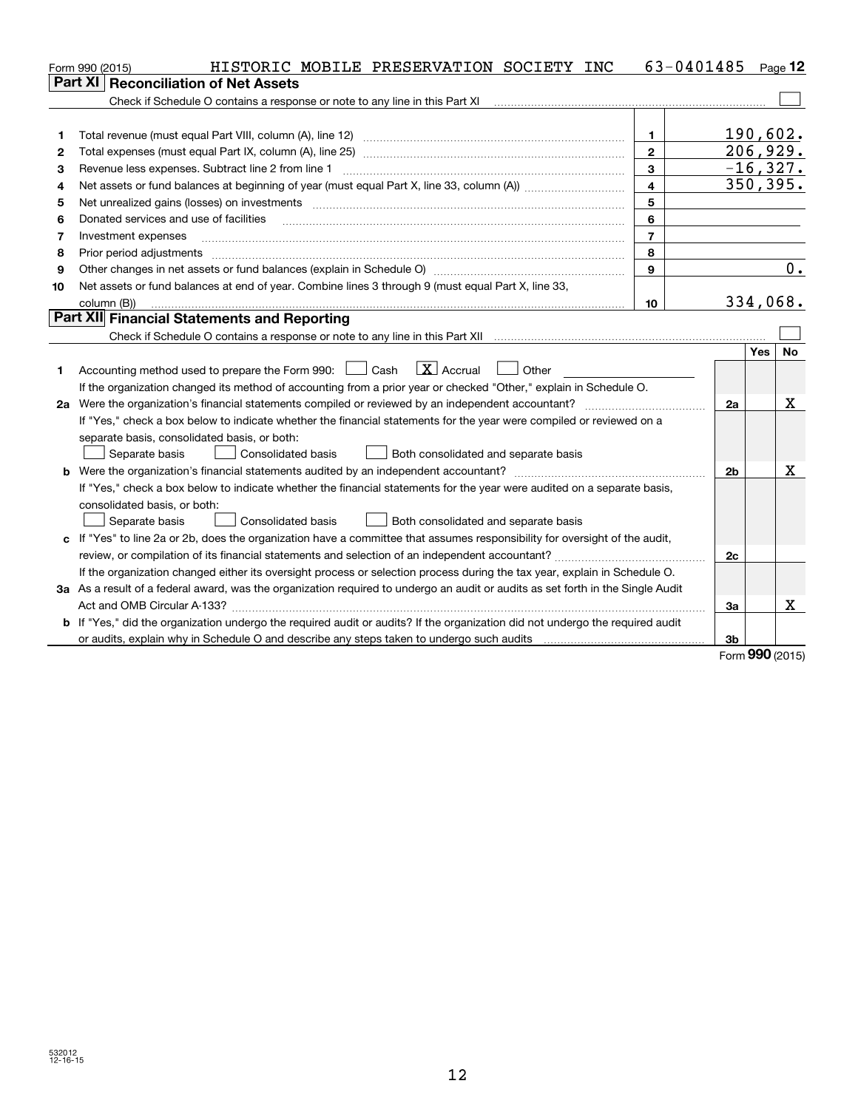|    | HISTORIC MOBILE PRESERVATION SOCIETY INC<br>Form 990 (2015)                                                                                                                                                                    | 63-0401485     |                 |     | Page 12         |
|----|--------------------------------------------------------------------------------------------------------------------------------------------------------------------------------------------------------------------------------|----------------|-----------------|-----|-----------------|
|    | Part XI   Reconciliation of Net Assets                                                                                                                                                                                         |                |                 |     |                 |
|    |                                                                                                                                                                                                                                |                |                 |     |                 |
|    |                                                                                                                                                                                                                                |                |                 |     |                 |
| 1  |                                                                                                                                                                                                                                | $\mathbf{1}$   |                 |     | <u>190,602.</u> |
| 2  |                                                                                                                                                                                                                                | $\overline{2}$ |                 |     | 206,929.        |
| з  | Revenue less expenses. Subtract line 2 from line 1                                                                                                                                                                             | 3              |                 |     | $-16,327.$      |
| 4  |                                                                                                                                                                                                                                | $\overline{4}$ |                 |     | 350,395.        |
| 5  | Net unrealized gains (losses) on investments [11] matter than the control of the state of the state of the state of the state of the state of the state of the state of the state of the state of the state of the state of th | 5              |                 |     |                 |
| 6  | Donated services and use of facilities                                                                                                                                                                                         | 6              |                 |     |                 |
| 7  | Investment expenses                                                                                                                                                                                                            | $\overline{7}$ |                 |     |                 |
| 8  | Prior period adjustments                                                                                                                                                                                                       | 8              |                 |     |                 |
| 9  |                                                                                                                                                                                                                                | $\mathbf{Q}$   |                 |     | 0.              |
| 10 | Net assets or fund balances at end of year. Combine lines 3 through 9 (must equal Part X, line 33,                                                                                                                             |                |                 |     |                 |
|    | column (B))                                                                                                                                                                                                                    | 10             |                 |     | 334,068.        |
|    | Part XII Financial Statements and Reporting                                                                                                                                                                                    |                |                 |     |                 |
|    |                                                                                                                                                                                                                                |                |                 |     |                 |
|    |                                                                                                                                                                                                                                |                |                 | Yes | No              |
| 1  | $\lfloor x \rfloor$ Accrual<br>Accounting method used to prepare the Form 990: <u>[</u> Cash<br>Other                                                                                                                          |                |                 |     |                 |
|    | If the organization changed its method of accounting from a prior year or checked "Other," explain in Schedule O.                                                                                                              |                |                 |     |                 |
| 2a |                                                                                                                                                                                                                                |                | 2a              |     | X               |
|    | If "Yes," check a box below to indicate whether the financial statements for the year were compiled or reviewed on a                                                                                                           |                |                 |     |                 |
|    | separate basis, consolidated basis, or both:                                                                                                                                                                                   |                |                 |     |                 |
|    | Consolidated basis<br>Separate basis<br>Both consolidated and separate basis                                                                                                                                                   |                |                 |     |                 |
| b  |                                                                                                                                                                                                                                |                | 2 <sub>b</sub>  |     | x               |
|    | If "Yes," check a box below to indicate whether the financial statements for the year were audited on a separate basis,                                                                                                        |                |                 |     |                 |
|    | consolidated basis, or both:                                                                                                                                                                                                   |                |                 |     |                 |
|    | Separate basis<br>Both consolidated and separate basis<br>Consolidated basis                                                                                                                                                   |                |                 |     |                 |
|    | c If "Yes" to line 2a or 2b, does the organization have a committee that assumes responsibility for oversight of the audit,                                                                                                    |                |                 |     |                 |
|    | review, or compilation of its financial statements and selection of an independent accountant?                                                                                                                                 |                | 2c              |     |                 |
|    | If the organization changed either its oversight process or selection process during the tax year, explain in Schedule O.                                                                                                      |                |                 |     |                 |
|    | 3a As a result of a federal award, was the organization required to undergo an audit or audits as set forth in the Single Audit                                                                                                |                |                 |     |                 |
|    | Act and OMB Circular A-133?                                                                                                                                                                                                    |                | За              |     | x               |
|    | b If "Yes," did the organization undergo the required audit or audits? If the organization did not undergo the required audit                                                                                                  |                |                 |     |                 |
|    |                                                                                                                                                                                                                                |                | Зb              |     |                 |
|    |                                                                                                                                                                                                                                |                | Form 990 (2015) |     |                 |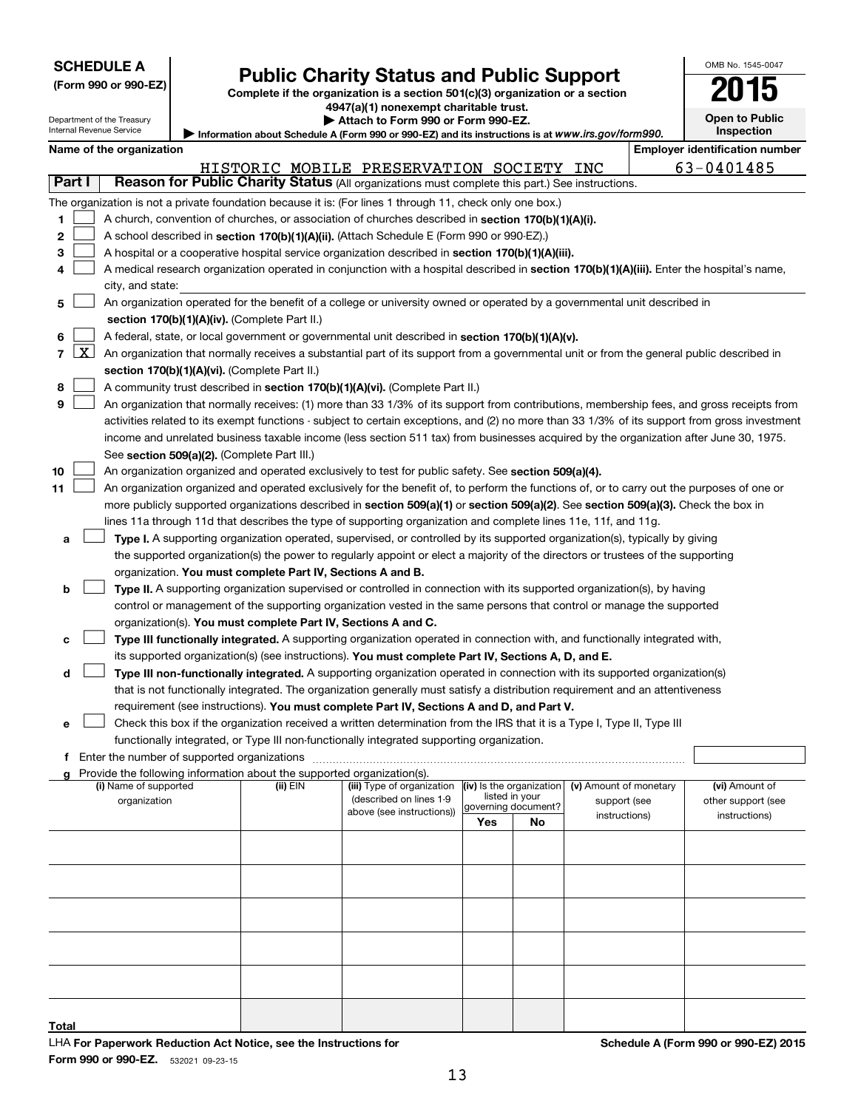| <b>SCHEDULE A</b>             |                            |                                                                        |                                                                                                                                                                                                                           |                     |                          |                        | OMB No. 1545-0047                     |
|-------------------------------|----------------------------|------------------------------------------------------------------------|---------------------------------------------------------------------------------------------------------------------------------------------------------------------------------------------------------------------------|---------------------|--------------------------|------------------------|---------------------------------------|
|                               | (Form 990 or 990-EZ)       |                                                                        | <b>Public Charity Status and Public Support</b><br>Complete if the organization is a section 501(c)(3) organization or a section                                                                                          |                     |                          |                        |                                       |
|                               | Department of the Treasury |                                                                        | 4947(a)(1) nonexempt charitable trust.<br>Attach to Form 990 or Form 990-EZ.                                                                                                                                              |                     |                          |                        | Open to Public                        |
| Internal Revenue Service      |                            |                                                                        | Information about Schedule A (Form 990 or 990-EZ) and its instructions is at www.irs.gov/form990.                                                                                                                         |                     |                          |                        | Inspection                            |
|                               | Name of the organization   |                                                                        |                                                                                                                                                                                                                           |                     |                          |                        | <b>Employer identification number</b> |
| Part I                        |                            |                                                                        | HISTORIC MOBILE PRESERVATION SOCIETY INC<br>Reason for Public Charity Status (All organizations must complete this part.) See instructions.                                                                               |                     |                          |                        | 63-0401485                            |
|                               |                            |                                                                        | The organization is not a private foundation because it is: (For lines 1 through 11, check only one box.)                                                                                                                 |                     |                          |                        |                                       |
| 1                             |                            |                                                                        | A church, convention of churches, or association of churches described in section 170(b)(1)(A)(i).                                                                                                                        |                     |                          |                        |                                       |
| 2                             |                            |                                                                        | A school described in section 170(b)(1)(A)(ii). (Attach Schedule E (Form 990 or 990-EZ).)                                                                                                                                 |                     |                          |                        |                                       |
| з                             |                            |                                                                        | A hospital or a cooperative hospital service organization described in section 170(b)(1)(A)(iii).                                                                                                                         |                     |                          |                        |                                       |
| 4                             |                            |                                                                        | A medical research organization operated in conjunction with a hospital described in section 170(b)(1)(A)(iii). Enter the hospital's name,                                                                                |                     |                          |                        |                                       |
|                               | city, and state:           |                                                                        |                                                                                                                                                                                                                           |                     |                          |                        |                                       |
| 5                             |                            |                                                                        | An organization operated for the benefit of a college or university owned or operated by a governmental unit described in                                                                                                 |                     |                          |                        |                                       |
|                               |                            | section 170(b)(1)(A)(iv). (Complete Part II.)                          |                                                                                                                                                                                                                           |                     |                          |                        |                                       |
| 6                             |                            |                                                                        | A federal, state, or local government or governmental unit described in section 170(b)(1)(A)(v).                                                                                                                          |                     |                          |                        |                                       |
| $\mathbf X$<br>$\overline{7}$ |                            |                                                                        | An organization that normally receives a substantial part of its support from a governmental unit or from the general public described in                                                                                 |                     |                          |                        |                                       |
|                               |                            | section 170(b)(1)(A)(vi). (Complete Part II.)                          |                                                                                                                                                                                                                           |                     |                          |                        |                                       |
| 8<br>9                        |                            |                                                                        | A community trust described in section 170(b)(1)(A)(vi). (Complete Part II.)<br>An organization that normally receives: (1) more than 33 1/3% of its support from contributions, membership fees, and gross receipts from |                     |                          |                        |                                       |
|                               |                            |                                                                        | activities related to its exempt functions - subject to certain exceptions, and (2) no more than 33 1/3% of its support from gross investment                                                                             |                     |                          |                        |                                       |
|                               |                            |                                                                        | income and unrelated business taxable income (less section 511 tax) from businesses acquired by the organization after June 30, 1975.                                                                                     |                     |                          |                        |                                       |
|                               |                            | See section 509(a)(2). (Complete Part III.)                            |                                                                                                                                                                                                                           |                     |                          |                        |                                       |
| 10                            |                            |                                                                        | An organization organized and operated exclusively to test for public safety. See section 509(a)(4).                                                                                                                      |                     |                          |                        |                                       |
| 11                            |                            |                                                                        | An organization organized and operated exclusively for the benefit of, to perform the functions of, or to carry out the purposes of one or                                                                                |                     |                          |                        |                                       |
|                               |                            |                                                                        | more publicly supported organizations described in section 509(a)(1) or section 509(a)(2). See section 509(a)(3). Check the box in                                                                                        |                     |                          |                        |                                       |
|                               |                            |                                                                        | lines 11a through 11d that describes the type of supporting organization and complete lines 11e, 11f, and 11g.                                                                                                            |                     |                          |                        |                                       |
| а                             |                            |                                                                        | Type I. A supporting organization operated, supervised, or controlled by its supported organization(s), typically by giving                                                                                               |                     |                          |                        |                                       |
|                               |                            |                                                                        | the supported organization(s) the power to regularly appoint or elect a majority of the directors or trustees of the supporting                                                                                           |                     |                          |                        |                                       |
| b                             |                            | organization. You must complete Part IV, Sections A and B.             | Type II. A supporting organization supervised or controlled in connection with its supported organization(s), by having                                                                                                   |                     |                          |                        |                                       |
|                               |                            |                                                                        | control or management of the supporting organization vested in the same persons that control or manage the supported                                                                                                      |                     |                          |                        |                                       |
|                               |                            | organization(s). You must complete Part IV, Sections A and C.          |                                                                                                                                                                                                                           |                     |                          |                        |                                       |
| с                             |                            |                                                                        | Type III functionally integrated. A supporting organization operated in connection with, and functionally integrated with,                                                                                                |                     |                          |                        |                                       |
|                               |                            |                                                                        | its supported organization(s) (see instructions). You must complete Part IV, Sections A, D, and E.                                                                                                                        |                     |                          |                        |                                       |
| d                             |                            |                                                                        | Type III non-functionally integrated. A supporting organization operated in connection with its supported organization(s)                                                                                                 |                     |                          |                        |                                       |
|                               |                            |                                                                        | that is not functionally integrated. The organization generally must satisfy a distribution requirement and an attentiveness                                                                                              |                     |                          |                        |                                       |
|                               |                            |                                                                        | requirement (see instructions). You must complete Part IV, Sections A and D, and Part V.                                                                                                                                  |                     |                          |                        |                                       |
| е                             |                            |                                                                        | Check this box if the organization received a written determination from the IRS that it is a Type I, Type II, Type III                                                                                                   |                     |                          |                        |                                       |
|                               |                            |                                                                        | functionally integrated, or Type III non-functionally integrated supporting organization.                                                                                                                                 |                     |                          |                        |                                       |
|                               |                            | Provide the following information about the supported organization(s). |                                                                                                                                                                                                                           |                     |                          |                        |                                       |
|                               | (i) Name of supported      | (ii) EIN                                                               | (iii) Type of organization                                                                                                                                                                                                |                     | (iv) Is the organization | (v) Amount of monetary | (vi) Amount of                        |
|                               | organization               |                                                                        | (described on lines 1-9<br>above (see instructions))                                                                                                                                                                      | governing document? | listed in your           | support (see           | other support (see                    |
|                               |                            |                                                                        |                                                                                                                                                                                                                           | Yes                 | No                       | instructions)          | instructions)                         |
|                               |                            |                                                                        |                                                                                                                                                                                                                           |                     |                          |                        |                                       |
|                               |                            |                                                                        |                                                                                                                                                                                                                           |                     |                          |                        |                                       |
|                               |                            |                                                                        |                                                                                                                                                                                                                           |                     |                          |                        |                                       |
|                               |                            |                                                                        |                                                                                                                                                                                                                           |                     |                          |                        |                                       |
|                               |                            |                                                                        |                                                                                                                                                                                                                           |                     |                          |                        |                                       |
|                               |                            |                                                                        |                                                                                                                                                                                                                           |                     |                          |                        |                                       |
|                               |                            |                                                                        |                                                                                                                                                                                                                           |                     |                          |                        |                                       |
|                               |                            |                                                                        |                                                                                                                                                                                                                           |                     |                          |                        |                                       |
|                               |                            |                                                                        |                                                                                                                                                                                                                           |                     |                          |                        |                                       |
|                               |                            |                                                                        |                                                                                                                                                                                                                           |                     |                          |                        |                                       |
| Total                         |                            |                                                                        |                                                                                                                                                                                                                           |                     |                          |                        |                                       |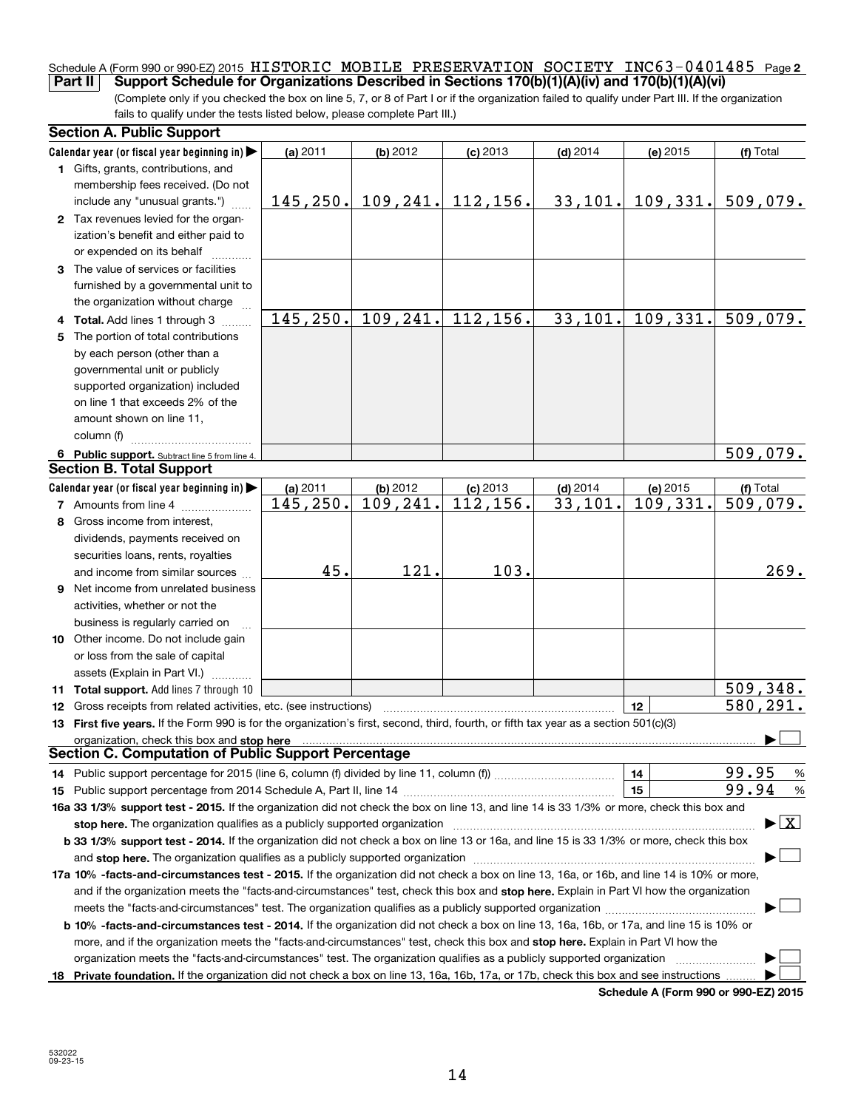#### Schedule A (Form 990 or 990-EZ) 2015 <code>HISTORIC MOBILE PRESERVATION SOCIETY INC63-0401485 Page 2</code> **Part II Support Schedule for Organizations Described in Sections 170(b)(1)(A)(iv) and 170(b)(1)(A)(vi)** HISTORIC MOBILE PRESERVATION SOCIETY INC63-0401485

(Complete only if you checked the box on line 5, 7, or 8 of Part I or if the organization failed to qualify under Part III. If the organization fails to qualify under the tests listed below, please complete Part III.)

|   | <b>Section A. Public Support</b>                                                                                                                                                                                              |           |           |                        |            |                      |                       |
|---|-------------------------------------------------------------------------------------------------------------------------------------------------------------------------------------------------------------------------------|-----------|-----------|------------------------|------------|----------------------|-----------------------|
|   | Calendar year (or fiscal year beginning in) $\blacktriangleright$                                                                                                                                                             | (a) 2011  | (b) 2012  | $(c)$ 2013             | $(d)$ 2014 | (e) 2015             | (f) Total             |
|   | 1 Gifts, grants, contributions, and                                                                                                                                                                                           |           |           |                        |            |                      |                       |
|   | membership fees received. (Do not                                                                                                                                                                                             |           |           |                        |            |                      |                       |
|   | include any "unusual grants.")                                                                                                                                                                                                | 145, 250. | 109, 241. | 112, 156.              | 33,101.    | 109,331.             | <u>509,079.</u>       |
|   | 2 Tax revenues levied for the organ-                                                                                                                                                                                          |           |           |                        |            |                      |                       |
|   | ization's benefit and either paid to                                                                                                                                                                                          |           |           |                        |            |                      |                       |
|   | or expended on its behalf                                                                                                                                                                                                     |           |           |                        |            |                      |                       |
|   | 3 The value of services or facilities                                                                                                                                                                                         |           |           |                        |            |                      |                       |
|   | furnished by a governmental unit to                                                                                                                                                                                           |           |           |                        |            |                      |                       |
|   | the organization without charge                                                                                                                                                                                               |           |           |                        |            |                      |                       |
|   | 4 Total. Add lines 1 through 3                                                                                                                                                                                                | 145,250.  | 109,241.  | 112,156.               | 33,101.    | 109,331.             | 509,079.              |
| 5 | The portion of total contributions                                                                                                                                                                                            |           |           |                        |            |                      |                       |
|   | by each person (other than a                                                                                                                                                                                                  |           |           |                        |            |                      |                       |
|   | governmental unit or publicly                                                                                                                                                                                                 |           |           |                        |            |                      |                       |
|   | supported organization) included                                                                                                                                                                                              |           |           |                        |            |                      |                       |
|   | on line 1 that exceeds 2% of the                                                                                                                                                                                              |           |           |                        |            |                      |                       |
|   | amount shown on line 11,                                                                                                                                                                                                      |           |           |                        |            |                      |                       |
|   |                                                                                                                                                                                                                               |           |           |                        |            |                      |                       |
|   |                                                                                                                                                                                                                               |           |           |                        |            |                      | 509,079.              |
|   | 6 Public support. Subtract line 5 from line 4.<br><b>Section B. Total Support</b>                                                                                                                                             |           |           |                        |            |                      |                       |
|   | Calendar year (or fiscal year beginning in) $\blacktriangleright$                                                                                                                                                             | (a) 2011  | (b) 2012  |                        | $(d)$ 2014 |                      |                       |
|   | <b>7</b> Amounts from line 4                                                                                                                                                                                                  | 145,250.  | 109,241.  | $(c)$ 2013<br>112,156. | 33,101.    | (e) 2015<br>109,331. | (f) Total<br>509,079. |
|   | 8 Gross income from interest,                                                                                                                                                                                                 |           |           |                        |            |                      |                       |
|   |                                                                                                                                                                                                                               |           |           |                        |            |                      |                       |
|   | dividends, payments received on                                                                                                                                                                                               |           |           |                        |            |                      |                       |
|   | securities loans, rents, royalties                                                                                                                                                                                            | 45.       | 121.      | 103.                   |            |                      | 269.                  |
|   | and income from similar sources                                                                                                                                                                                               |           |           |                        |            |                      |                       |
|   | 9 Net income from unrelated business                                                                                                                                                                                          |           |           |                        |            |                      |                       |
|   | activities, whether or not the                                                                                                                                                                                                |           |           |                        |            |                      |                       |
|   | business is regularly carried on                                                                                                                                                                                              |           |           |                        |            |                      |                       |
|   | 10 Other income. Do not include gain                                                                                                                                                                                          |           |           |                        |            |                      |                       |
|   | or loss from the sale of capital                                                                                                                                                                                              |           |           |                        |            |                      |                       |
|   | assets (Explain in Part VI.)                                                                                                                                                                                                  |           |           |                        |            |                      |                       |
|   | 11 Total support. Add lines 7 through 10                                                                                                                                                                                      |           |           |                        |            |                      | 509, 348.             |
|   | <b>12</b> Gross receipts from related activities, etc. (see instructions)                                                                                                                                                     |           |           |                        |            | 12                   | 580,291.              |
|   | 13 First five years. If the Form 990 is for the organization's first, second, third, fourth, or fifth tax year as a section 501(c)(3)                                                                                         |           |           |                        |            |                      |                       |
|   | organization, check this box and stop here manufactured and announced contract of the state of the state of the<br><b>Section C. Computation of Public Support Percentage</b>                                                 |           |           |                        |            |                      |                       |
|   |                                                                                                                                                                                                                               |           |           |                        |            |                      |                       |
|   | 14 Public support percentage for 2015 (line 6, column (f) divided by line 11, column (f) <i>manumumumumum</i>                                                                                                                 |           |           |                        |            | 14                   | 99.95<br>%            |
|   |                                                                                                                                                                                                                               |           |           |                        |            | 15                   | 99.94<br>$\%$         |
|   | 16a 33 1/3% support test - 2015. If the organization did not check the box on line 13, and line 14 is 33 1/3% or more, check this box and                                                                                     |           |           |                        |            |                      |                       |
|   | stop here. The organization qualifies as a publicly supported organization manufaction manufacture or the organization manufacture or the organization manufacture or the organization of the state of the state of the state |           |           |                        |            |                      | ▶│Ⅹ│                  |
|   | b 33 1/3% support test - 2014. If the organization did not check a box on line 13 or 16a, and line 15 is 33 1/3% or more, check this box                                                                                      |           |           |                        |            |                      |                       |
|   |                                                                                                                                                                                                                               |           |           |                        |            |                      |                       |
|   | 17a 10% -facts-and-circumstances test - 2015. If the organization did not check a box on line 13, 16a, or 16b, and line 14 is 10% or more,                                                                                    |           |           |                        |            |                      |                       |
|   | and if the organization meets the "facts-and-circumstances" test, check this box and stop here. Explain in Part VI how the organization                                                                                       |           |           |                        |            |                      |                       |
|   | meets the "facts-and-circumstances" test. The organization qualifies as a publicly supported organization                                                                                                                     |           |           |                        |            |                      |                       |
|   | <b>b 10%</b> -facts-and-circumstances test - 2014. If the organization did not check a box on line 13, 16a, 16b, or 17a, and line 15 is 10% or                                                                                |           |           |                        |            |                      |                       |
|   | more, and if the organization meets the "facts-and-circumstances" test, check this box and stop here. Explain in Part VI how the                                                                                              |           |           |                        |            |                      |                       |
|   | organization meets the "facts-and-circumstances" test. The organization qualifies as a publicly supported organization                                                                                                        |           |           |                        |            |                      |                       |
|   | 18 Private foundation. If the organization did not check a box on line 13, 16a, 16b, 17a, or 17b, check this box and see instructions                                                                                         |           |           |                        |            |                      |                       |

**Schedule A (Form 990 or 990-EZ) 2015**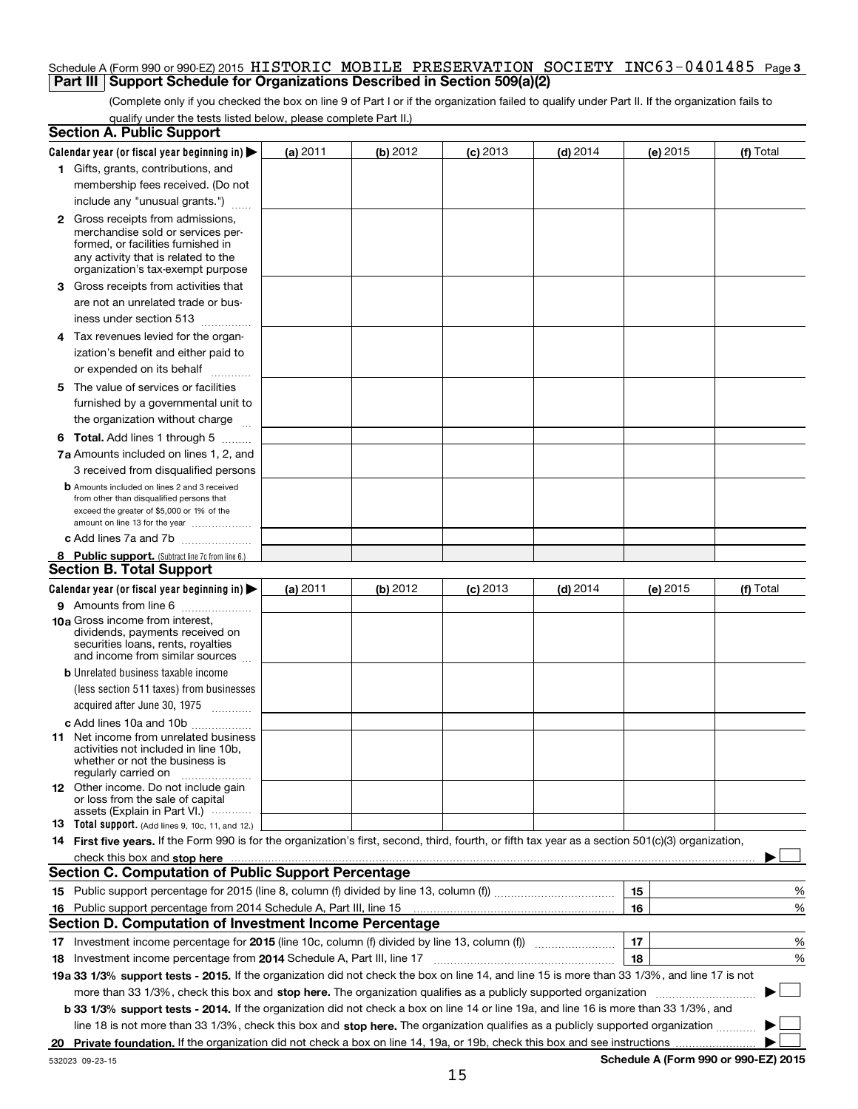#### Schedule A (Form 990 or 990-EZ) 2015 HISTORIC MOBILE PRESERVATION SOCIETY INC63-0401485 Page 3 **Part III Support Schedule for Organizations Described in Section 509(a)(2)**

(Complete only if you checked the box on line 9 of Part I or if the organization failed to qualify under Part II. If the organization fails to qualify under the tests listed below, please complete Part II.)

| <b>Section A. Public Support</b>                                                                                                                                                                                               |            |          |            |            |          |           |
|--------------------------------------------------------------------------------------------------------------------------------------------------------------------------------------------------------------------------------|------------|----------|------------|------------|----------|-----------|
| Calendar year (or fiscal year beginning in)                                                                                                                                                                                    | (a) $2011$ | (b) 2012 | $(c)$ 2013 | $(d)$ 2014 | (e) 2015 | (f) Total |
| 1 Gifts, grants, contributions, and                                                                                                                                                                                            |            |          |            |            |          |           |
| membership fees received. (Do not                                                                                                                                                                                              |            |          |            |            |          |           |
| include any "unusual grants.")                                                                                                                                                                                                 |            |          |            |            |          |           |
| <b>2</b> Gross receipts from admissions,                                                                                                                                                                                       |            |          |            |            |          |           |
| merchandise sold or services per-                                                                                                                                                                                              |            |          |            |            |          |           |
| formed, or facilities furnished in                                                                                                                                                                                             |            |          |            |            |          |           |
| any activity that is related to the                                                                                                                                                                                            |            |          |            |            |          |           |
| organization's tax-exempt purpose                                                                                                                                                                                              |            |          |            |            |          |           |
| 3 Gross receipts from activities that                                                                                                                                                                                          |            |          |            |            |          |           |
| are not an unrelated trade or bus-                                                                                                                                                                                             |            |          |            |            |          |           |
| iness under section 513                                                                                                                                                                                                        |            |          |            |            |          |           |
| 4 Tax revenues levied for the organ-                                                                                                                                                                                           |            |          |            |            |          |           |
| ization's benefit and either paid to                                                                                                                                                                                           |            |          |            |            |          |           |
| or expended on its behalf<br>.                                                                                                                                                                                                 |            |          |            |            |          |           |
| 5 The value of services or facilities                                                                                                                                                                                          |            |          |            |            |          |           |
| furnished by a governmental unit to                                                                                                                                                                                            |            |          |            |            |          |           |
| the organization without charge                                                                                                                                                                                                |            |          |            |            |          |           |
| <b>6 Total.</b> Add lines 1 through 5                                                                                                                                                                                          |            |          |            |            |          |           |
| 7a Amounts included on lines 1, 2, and                                                                                                                                                                                         |            |          |            |            |          |           |
| 3 received from disqualified persons                                                                                                                                                                                           |            |          |            |            |          |           |
| <b>b</b> Amounts included on lines 2 and 3 received                                                                                                                                                                            |            |          |            |            |          |           |
| from other than disqualified persons that                                                                                                                                                                                      |            |          |            |            |          |           |
| exceed the greater of \$5,000 or 1% of the<br>amount on line 13 for the year                                                                                                                                                   |            |          |            |            |          |           |
| c Add lines 7a and 7b                                                                                                                                                                                                          |            |          |            |            |          |           |
| 8 Public support. (Subtract line 7c from line 6.)                                                                                                                                                                              |            |          |            |            |          |           |
| <b>Section B. Total Support</b>                                                                                                                                                                                                |            |          |            |            |          |           |
| Calendar year (or fiscal year beginning in)                                                                                                                                                                                    | (a) $2011$ | (b) 2012 | $(c)$ 2013 | $(d)$ 2014 | (e) 2015 | (f) Total |
| 9 Amounts from line 6                                                                                                                                                                                                          |            |          |            |            |          |           |
| <b>10a</b> Gross income from interest,                                                                                                                                                                                         |            |          |            |            |          |           |
| dividends, payments received on                                                                                                                                                                                                |            |          |            |            |          |           |
| securities loans, rents, royalties<br>and income from similar sources                                                                                                                                                          |            |          |            |            |          |           |
| <b>b</b> Unrelated business taxable income                                                                                                                                                                                     |            |          |            |            |          |           |
| (less section 511 taxes) from businesses                                                                                                                                                                                       |            |          |            |            |          |           |
| acquired after June 30, 1975                                                                                                                                                                                                   |            |          |            |            |          |           |
|                                                                                                                                                                                                                                |            |          |            |            |          |           |
| c Add lines 10a and 10b                                                                                                                                                                                                        |            |          |            |            |          |           |
| 11 Net income from unrelated business<br>activities not included in line 10b,                                                                                                                                                  |            |          |            |            |          |           |
| whether or not the business is                                                                                                                                                                                                 |            |          |            |            |          |           |
| regularly carried on                                                                                                                                                                                                           |            |          |            |            |          |           |
| 12 Other income. Do not include gain<br>or loss from the sale of capital                                                                                                                                                       |            |          |            |            |          |           |
| assets (Explain in Part VI.)                                                                                                                                                                                                   |            |          |            |            |          |           |
| 13 Total support. (Add lines 9, 10c, 11, and 12.)                                                                                                                                                                              |            |          |            |            |          |           |
| 14 First five years. If the Form 990 is for the organization's first, second, third, fourth, or fifth tax year as a section 501(c)(3) organization,                                                                            |            |          |            |            |          |           |
| check this box and stop here manufactured and and stop here are all the manufactured and stop here and stop here and stop here and stop here and stop here and stop here and stop here and stop here and stop here and stop he |            |          |            |            |          |           |
| <b>Section C. Computation of Public Support Percentage</b>                                                                                                                                                                     |            |          |            |            |          |           |
|                                                                                                                                                                                                                                |            |          |            |            | 15       | %         |
| 16 Public support percentage from 2014 Schedule A, Part III, line 15                                                                                                                                                           |            |          |            |            | 16       | %         |
| Section D. Computation of Investment Income Percentage                                                                                                                                                                         |            |          |            |            |          |           |
|                                                                                                                                                                                                                                |            |          |            |            | 17       | %         |
| 18 Investment income percentage from 2014 Schedule A, Part III, line 17                                                                                                                                                        |            |          |            |            | 18       | %         |
| 19a 33 1/3% support tests - 2015. If the organization did not check the box on line 14, and line 15 is more than 33 1/3%, and line 17 is not                                                                                   |            |          |            |            |          |           |
| more than 33 1/3%, check this box and stop here. The organization qualifies as a publicly supported organization                                                                                                               |            |          |            |            |          |           |
| b 33 1/3% support tests - 2014. If the organization did not check a box on line 14 or line 19a, and line 16 is more than 33 1/3%, and                                                                                          |            |          |            |            |          |           |
| line 18 is not more than 33 1/3%, check this box and stop here. The organization qualifies as a publicly supported organization                                                                                                |            |          |            |            |          |           |
|                                                                                                                                                                                                                                |            |          |            |            |          |           |
|                                                                                                                                                                                                                                |            |          |            |            |          |           |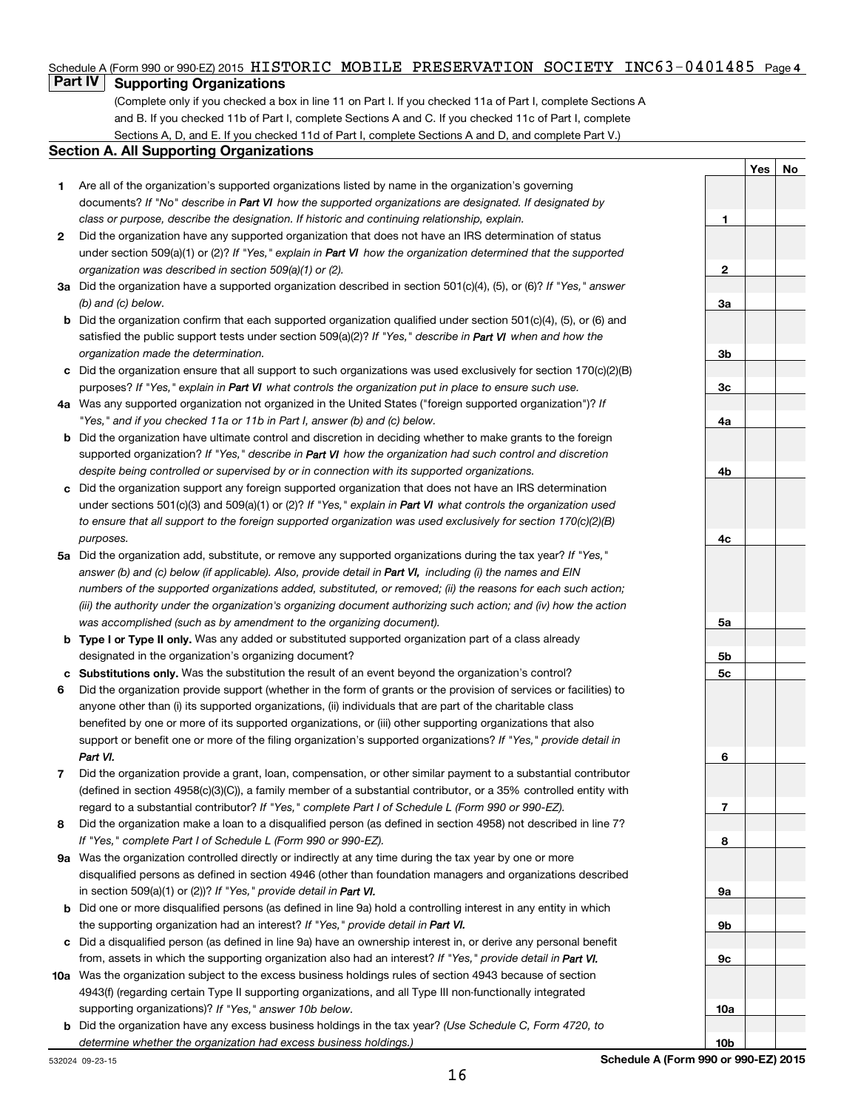#### Schedule A (Form 990 or 990-EZ) 2015 HISTORIC MOBILE PRESERVATION SOCIETY INC63-0401485 Page 4

## **Part IV** | Supporting Organizations

(Complete only if you checked a box in line 11 on Part I. If you checked 11a of Part I, complete Sections Aand B. If you checked 11b of Part I, complete Sections A and C. If you checked 11c of Part I, completeSections A, D, and E. If you checked 11d of Part I, complete Sections A and D, and complete Part V.)

### **Section A. All Supporting Organizations**

|   |                                                                                                                           |                         | Ye: |
|---|---------------------------------------------------------------------------------------------------------------------------|-------------------------|-----|
| 1 | Are all of the organization's supported organizations listed by name in the organization's governing                      |                         |     |
|   | documents? If "No" describe in Part VI how the supported organizations are designated. If designated by                   |                         |     |
|   | class or purpose, describe the designation. If historic and continuing relationship, explain.                             | 1                       |     |
| 2 | Did the organization have any supported organization that does not have an IRS determination of status                    |                         |     |
|   | under section 509(a)(1) or (2)? If "Yes," explain in Part VI how the organization determined that the supported           |                         |     |
|   | organization was described in section 509(a)(1) or (2).                                                                   | $\mathbf 2$             |     |
|   | 3a Did the organization have a supported organization described in section 501(c)(4), (5), or (6)? If "Yes," answer       |                         |     |
|   | (b) and (c) below.                                                                                                        | 3a                      |     |
|   | <b>b</b> Did the organization confirm that each supported organization qualified under section 501(c)(4), (5), or (6) and |                         |     |
|   | satisfied the public support tests under section 509(a)(2)? If "Yes," describe in Part VI when and how the                |                         |     |
|   | organization made the determination.                                                                                      | 3b                      |     |
|   | c Did the organization ensure that all support to such organizations was used exclusively for section $170(c)(2)(B)$      |                         |     |
|   | purposes? If "Yes," explain in Part VI what controls the organization put in place to ensure such use.                    | 3c                      |     |
|   | 4a Was any supported organization not organized in the United States ("foreign supported organization")? If               |                         |     |
|   | "Yes," and if you checked 11a or 11b in Part I, answer (b) and (c) below.                                                 | 4a                      |     |
| b | Did the organization have ultimate control and discretion in deciding whether to make grants to the foreign               |                         |     |
|   | supported organization? If "Yes," describe in Part VI how the organization had such control and discretion                |                         |     |
|   | despite being controlled or supervised by or in connection with its supported organizations.                              | 4b                      |     |
|   | c Did the organization support any foreign supported organization that does not have an IRS determination                 |                         |     |
|   | under sections 501(c)(3) and 509(a)(1) or (2)? If "Yes," explain in Part VI what controls the organization used           |                         |     |
|   | to ensure that all support to the foreign supported organization was used exclusively for section $170(c)(2)(B)$          |                         |     |
|   | purposes.                                                                                                                 | 4c                      |     |
|   | 5a Did the organization add, substitute, or remove any supported organizations during the tax year? If "Yes,"             |                         |     |
|   | answer (b) and (c) below (if applicable). Also, provide detail in Part VI, including (i) the names and EIN                |                         |     |
|   | numbers of the supported organizations added, substituted, or removed; (ii) the reasons for each such action;             |                         |     |
|   | (iii) the authority under the organization's organizing document authorizing such action; and (iv) how the action         |                         |     |
|   | was accomplished (such as by amendment to the organizing document).                                                       | 5a                      |     |
|   | <b>b</b> Type I or Type II only. Was any added or substituted supported organization part of a class already              |                         |     |
|   | designated in the organization's organizing document?                                                                     | 5b                      |     |
| с | Substitutions only. Was the substitution the result of an event beyond the organization's control?                        | 5c                      |     |
| 6 | Did the organization provide support (whether in the form of grants or the provision of services or facilities) to        |                         |     |
|   | anyone other than (i) its supported organizations, (ii) individuals that are part of the charitable class                 |                         |     |
|   | benefited by one or more of its supported organizations, or (iii) other supporting organizations that also                |                         |     |
|   | support or benefit one or more of the filing organization's supported organizations? If "Yes," provide detail in          |                         |     |
|   | Part VI.                                                                                                                  | 6                       |     |
| 7 | Did the organization provide a grant, loan, compensation, or other similar payment to a substantial contributor           |                         |     |
|   | (defined in section 4958(c)(3)(C)), a family member of a substantial contributor, or a 35% controlled entity with         |                         |     |
|   | regard to a substantial contributor? If "Yes," complete Part I of Schedule L (Form 990 or 990-EZ).                        | $\overline{\mathbf{r}}$ |     |
| 8 | Did the organization make a loan to a disqualified person (as defined in section 4958) not described in line 7?           |                         |     |
|   | If "Yes," complete Part I of Schedule L (Form 990 or 990-EZ).                                                             | 8                       |     |
|   | <b>93</b> Wes the organization controlled directly or indirectly at any time during the tax year by one or more           |                         |     |

- **9 a** in section 509(a)(1) or (2))? *If "Yes," provide detail in Part VI.* Was the organization controlled directly or indirectly at any time during the tax year by one or more disqualified persons as defined in section 4946 (other than foundation managers and organizations described
- **b** Did one or more disqualified persons (as defined in line 9a) hold a controlling interest in any entity in which the supporting organization had an interest? If "Yes," provide detail in Part VI.
- **c** Did a disqualified person (as defined in line 9a) have an ownership interest in, or derive any personal benefitfrom, assets in which the supporting organization also had an interest? If "Yes," *provide detail in Part VI.*
- **10 a** Was the organization subject to the excess business holdings rules of section 4943 because of sectionsupporting organizations)? If "Yes," answer 10b below. 4943(f) (regarding certain Type II supporting organizations, and all Type III non-functionally integrated
	- **b** Did the organization have any excess business holdings in the tax year? (Use Schedule C, Form 4720, to *determine whether the organization had excess business holdings.)*

**Schedule A (Form 990 or 990-EZ) 2015**

**9a**

**9b**

**9c**

**10a**

**10b**

**Yes No**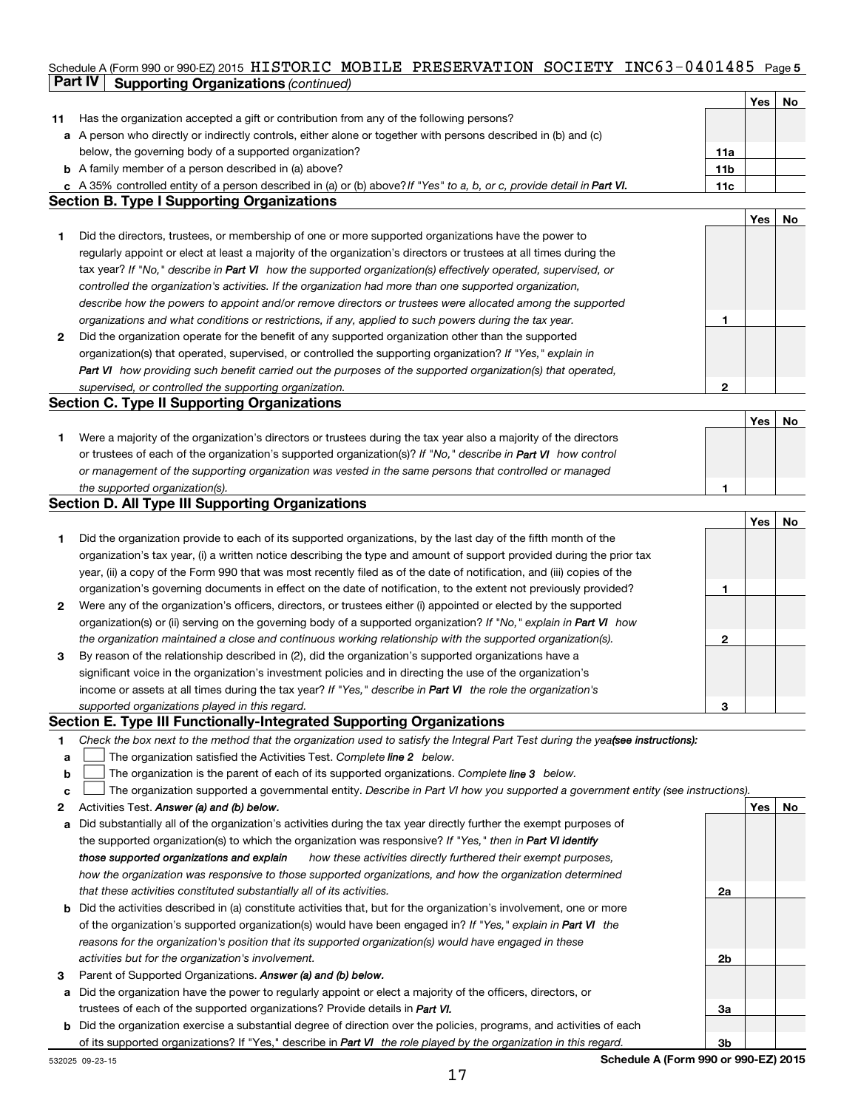#### Schedule A (Form 990 or 990-EZ) 2015 HISTORIC MOBILE PRESERVATION SOCIETY INC63-0401485 Page 5 **Part IV Supporting Organizations** *(continued)*

| Has the organization accepted a gift or contribution from any of the following persons?<br>a A person who directly or indirectly controls, either alone or together with persons described in (b) and (c)<br>below, the governing body of a supported organization?<br><b>b</b> A family member of a person described in (a) above?<br>c A 35% controlled entity of a person described in (a) or (b) above? If "Yes" to a, b, or c, provide detail in Part VI.<br><b>Section B. Type I Supporting Organizations</b><br>Did the directors, trustees, or membership of one or more supported organizations have the power to | 11a<br>11 <sub>b</sub><br>11c                                                                                                                                                                                                                                                                                                           | Yes | No                                                          |
|----------------------------------------------------------------------------------------------------------------------------------------------------------------------------------------------------------------------------------------------------------------------------------------------------------------------------------------------------------------------------------------------------------------------------------------------------------------------------------------------------------------------------------------------------------------------------------------------------------------------------|-----------------------------------------------------------------------------------------------------------------------------------------------------------------------------------------------------------------------------------------------------------------------------------------------------------------------------------------|-----|-------------------------------------------------------------|
|                                                                                                                                                                                                                                                                                                                                                                                                                                                                                                                                                                                                                            |                                                                                                                                                                                                                                                                                                                                         |     |                                                             |
|                                                                                                                                                                                                                                                                                                                                                                                                                                                                                                                                                                                                                            |                                                                                                                                                                                                                                                                                                                                         |     |                                                             |
|                                                                                                                                                                                                                                                                                                                                                                                                                                                                                                                                                                                                                            |                                                                                                                                                                                                                                                                                                                                         |     |                                                             |
|                                                                                                                                                                                                                                                                                                                                                                                                                                                                                                                                                                                                                            |                                                                                                                                                                                                                                                                                                                                         |     |                                                             |
|                                                                                                                                                                                                                                                                                                                                                                                                                                                                                                                                                                                                                            |                                                                                                                                                                                                                                                                                                                                         |     |                                                             |
|                                                                                                                                                                                                                                                                                                                                                                                                                                                                                                                                                                                                                            |                                                                                                                                                                                                                                                                                                                                         |     |                                                             |
|                                                                                                                                                                                                                                                                                                                                                                                                                                                                                                                                                                                                                            |                                                                                                                                                                                                                                                                                                                                         |     |                                                             |
|                                                                                                                                                                                                                                                                                                                                                                                                                                                                                                                                                                                                                            |                                                                                                                                                                                                                                                                                                                                         |     |                                                             |
| regularly appoint or elect at least a majority of the organization's directors or trustees at all times during the                                                                                                                                                                                                                                                                                                                                                                                                                                                                                                         |                                                                                                                                                                                                                                                                                                                                         |     |                                                             |
| tax year? If "No," describe in Part VI how the supported organization(s) effectively operated, supervised, or                                                                                                                                                                                                                                                                                                                                                                                                                                                                                                              |                                                                                                                                                                                                                                                                                                                                         |     |                                                             |
| controlled the organization's activities. If the organization had more than one supported organization,                                                                                                                                                                                                                                                                                                                                                                                                                                                                                                                    |                                                                                                                                                                                                                                                                                                                                         |     |                                                             |
| describe how the powers to appoint and/or remove directors or trustees were allocated among the supported                                                                                                                                                                                                                                                                                                                                                                                                                                                                                                                  |                                                                                                                                                                                                                                                                                                                                         |     |                                                             |
| organizations and what conditions or restrictions, if any, applied to such powers during the tax year.                                                                                                                                                                                                                                                                                                                                                                                                                                                                                                                     |                                                                                                                                                                                                                                                                                                                                         |     |                                                             |
|                                                                                                                                                                                                                                                                                                                                                                                                                                                                                                                                                                                                                            |                                                                                                                                                                                                                                                                                                                                         |     |                                                             |
|                                                                                                                                                                                                                                                                                                                                                                                                                                                                                                                                                                                                                            |                                                                                                                                                                                                                                                                                                                                         |     |                                                             |
|                                                                                                                                                                                                                                                                                                                                                                                                                                                                                                                                                                                                                            |                                                                                                                                                                                                                                                                                                                                         |     |                                                             |
|                                                                                                                                                                                                                                                                                                                                                                                                                                                                                                                                                                                                                            |                                                                                                                                                                                                                                                                                                                                         |     |                                                             |
|                                                                                                                                                                                                                                                                                                                                                                                                                                                                                                                                                                                                                            | Did the organization operate for the benefit of any supported organization other than the supported<br>organization(s) that operated, supervised, or controlled the supporting organization? If "Yes," explain in<br><b>Part VI</b> how providing such benefit carried out the purposes of the supported organization(s) that operated, |     | 2<br>supervised, or controlled the supporting organization. |

|                                                                                                                  | Yes | No |
|------------------------------------------------------------------------------------------------------------------|-----|----|
| Were a majority of the organization's directors or trustees during the tax year also a majority of the directors |     |    |
| or trustees of each of the organization's supported organization(s)? If "No," describe in Part VI how control    |     |    |
| or management of the supporting organization was vested in the same persons that controlled or managed           |     |    |
| the supported organization(s).                                                                                   |     |    |

#### **Section D. All Type III Supporting Organizations**

|                |                                                                                                                        |              | Yes |  |
|----------------|------------------------------------------------------------------------------------------------------------------------|--------------|-----|--|
|                | Did the organization provide to each of its supported organizations, by the last day of the fifth month of the         |              |     |  |
|                | organization's tax year, (i) a written notice describing the type and amount of support provided during the prior tax  |              |     |  |
|                | year, (ii) a copy of the Form 990 that was most recently filed as of the date of notification, and (iii) copies of the |              |     |  |
|                | organization's governing documents in effect on the date of notification, to the extent not previously provided?       |              |     |  |
| $\overline{2}$ | Were any of the organization's officers, directors, or trustees either (i) appointed or elected by the supported       |              |     |  |
|                | organization(s) or (ii) serving on the governing body of a supported organization? If "No," explain in Part VI how     |              |     |  |
|                | the organization maintained a close and continuous working relationship with the supported organization(s).            | $\mathbf{2}$ |     |  |
| 3              | By reason of the relationship described in (2), did the organization's supported organizations have a                  |              |     |  |
|                | significant voice in the organization's investment policies and in directing the use of the organization's             |              |     |  |
|                | income or assets at all times during the tax year? If "Yes," describe in Part VI the role the organization's           |              |     |  |
|                | supported organizations played in this regard.                                                                         | з            |     |  |

#### **Section E. Type III Functionally-Integrated Supporting Organizations**

- **1** Check the box next to the method that the organization used to satisfy the Integral Part Test during the yeafsee instructions):
- **a** The organization satisfied the Activities Test. Complete line 2 below.
- **b** The organization is the parent of each of its supported organizations. *Complete line 3* below.  $\Box$
- **c** The organization supported a governmental entity. Describe in Part VI how you supported a government entity (see instructions).  $\Box$
- **2** Activities Test.  *Answer (a) and (b) below.*
- **a** Did substantially all of the organization's activities during the tax year directly further the exempt purposes ofthe supported organization(s) to which the organization was responsive? If "Yes," *then in Part VI identify how these activities directly furthered their exempt purposes, how the organization was responsive to those supported organizations, and how the organization determined that these activities constituted substantially all of its activities. those supported organizations and explain*
- **b** Did the activities described in (a) constitute activities that, but for the organization's involvement, one or more of the organization's supported organization(s) would have been engaged in? If "Yes," explain in Part VI the *reasons for the organization's position that its supported organization(s) would have engaged in these activities but for the organization's involvement.*
- **3** Parent of Supported Organizations. *Answer (a) and (b) below.*
- **a** Did the organization have the power to regularly appoint or elect a majority of the officers, directors, ortrustees of each of the supported organizations? Provide details in *Part VI.*
- **b** Did the organization exercise a substantial degree of direction over the policies, programs, and activities of eachof its supported organizations? If "Yes," describe in *Part VI* the role played by the organization in this regard.

**2a**

**2b**

**3a**

**3b**

**Yes No**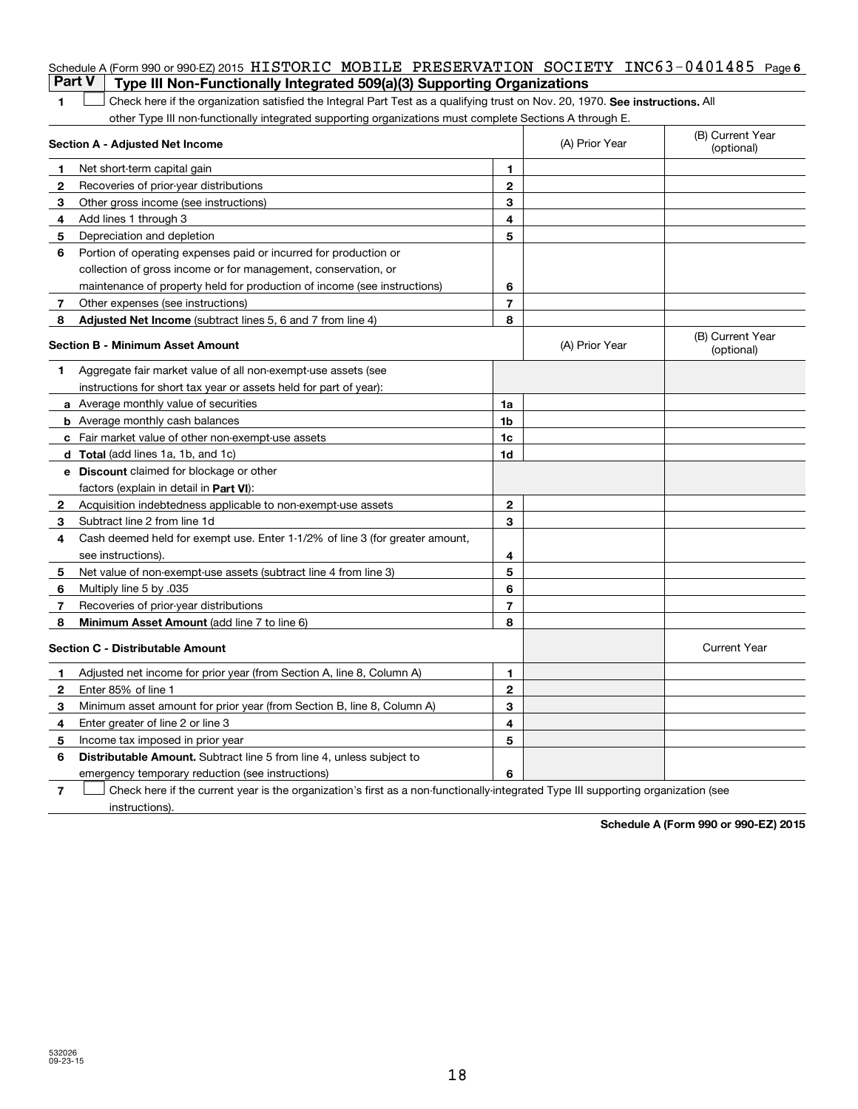#### Schedule A (Form 990 or 990-EZ) 2015 HISTORIC MOBILE PRESERVATION SOCIETY INC63-0401485 Page 6 **Part V** Type III Non-Functionally Integrated 509(a)(3) Supporting Organizations

1 **Letter Check here if the organization satisfied the Integral Part Test as a qualifying trust on Nov. 20, 1970. See instructions. All** other Type III non-functionally integrated supporting organizations must complete Sections A through E.

|              | <b>Section A - Adjusted Net Income</b>                                                                                            |                | (A) Prior Year | (B) Current Year<br>(optional) |  |
|--------------|-----------------------------------------------------------------------------------------------------------------------------------|----------------|----------------|--------------------------------|--|
| 1            | Net short-term capital gain                                                                                                       | 1              |                |                                |  |
| 2            | Recoveries of prior-year distributions                                                                                            | $\mathbf{2}$   |                |                                |  |
| 3            | Other gross income (see instructions)                                                                                             |                |                |                                |  |
| 4            | Add lines 1 through 3                                                                                                             | 4              |                |                                |  |
| 5            | Depreciation and depletion                                                                                                        | 5              |                |                                |  |
| 6            | Portion of operating expenses paid or incurred for production or                                                                  |                |                |                                |  |
|              | collection of gross income or for management, conservation, or                                                                    |                |                |                                |  |
|              | maintenance of property held for production of income (see instructions)                                                          | 6              |                |                                |  |
| 7            | Other expenses (see instructions)                                                                                                 | $\overline{7}$ |                |                                |  |
| 8            | Adjusted Net Income (subtract lines 5, 6 and 7 from line 4)                                                                       | 8              |                |                                |  |
|              | Section B - Minimum Asset Amount                                                                                                  |                | (A) Prior Year | (B) Current Year<br>(optional) |  |
| 1.           | Aggregate fair market value of all non-exempt-use assets (see                                                                     |                |                |                                |  |
|              | instructions for short tax year or assets held for part of year):                                                                 |                |                |                                |  |
|              | a Average monthly value of securities                                                                                             | 1a             |                |                                |  |
|              | <b>b</b> Average monthly cash balances                                                                                            | 1 <sub>b</sub> |                |                                |  |
|              | c Fair market value of other non-exempt-use assets                                                                                | 1c             |                |                                |  |
|              | 1d<br>d Total (add lines 1a, 1b, and 1c)                                                                                          |                |                |                                |  |
|              | <b>e</b> Discount claimed for blockage or other                                                                                   |                |                |                                |  |
|              | factors (explain in detail in <b>Part VI</b> ):                                                                                   |                |                |                                |  |
| 2            | Acquisition indebtedness applicable to non-exempt-use assets                                                                      | $\mathbf{2}$   |                |                                |  |
| 3            | Subtract line 2 from line 1d                                                                                                      | 3              |                |                                |  |
| 4            | Cash deemed held for exempt use. Enter 1-1/2% of line 3 (for greater amount,                                                      |                |                |                                |  |
|              | see instructions).                                                                                                                | 4              |                |                                |  |
| 5            | Net value of non-exempt-use assets (subtract line 4 from line 3)                                                                  | 5              |                |                                |  |
| 6            | Multiply line 5 by .035                                                                                                           | 6              |                |                                |  |
| 7            | Recoveries of prior-year distributions                                                                                            | $\overline{7}$ |                |                                |  |
| 8            | Minimum Asset Amount (add line 7 to line 6)                                                                                       | 8              |                |                                |  |
|              | <b>Section C - Distributable Amount</b>                                                                                           |                |                | <b>Current Year</b>            |  |
| 1            | Adjusted net income for prior year (from Section A, line 8, Column A)                                                             | 1              |                |                                |  |
| $\mathbf{2}$ | Enter 85% of line 1                                                                                                               | $\overline{2}$ |                |                                |  |
| 3            | Minimum asset amount for prior year (from Section B, line 8, Column A)                                                            | 3              |                |                                |  |
| 4            | Enter greater of line 2 or line 3                                                                                                 | 4              |                |                                |  |
| 5            | Income tax imposed in prior year                                                                                                  | 5              |                |                                |  |
| 6            | <b>Distributable Amount.</b> Subtract line 5 from line 4, unless subject to                                                       |                |                |                                |  |
|              | emergency temporary reduction (see instructions)                                                                                  | 6              |                |                                |  |
| 7            | Check here if the current year is the organization's first as a non-functionally-integrated Type III supporting organization (see |                |                |                                |  |
|              | instructions).                                                                                                                    |                |                |                                |  |

**Schedule A (Form 990 or 990-EZ) 2015**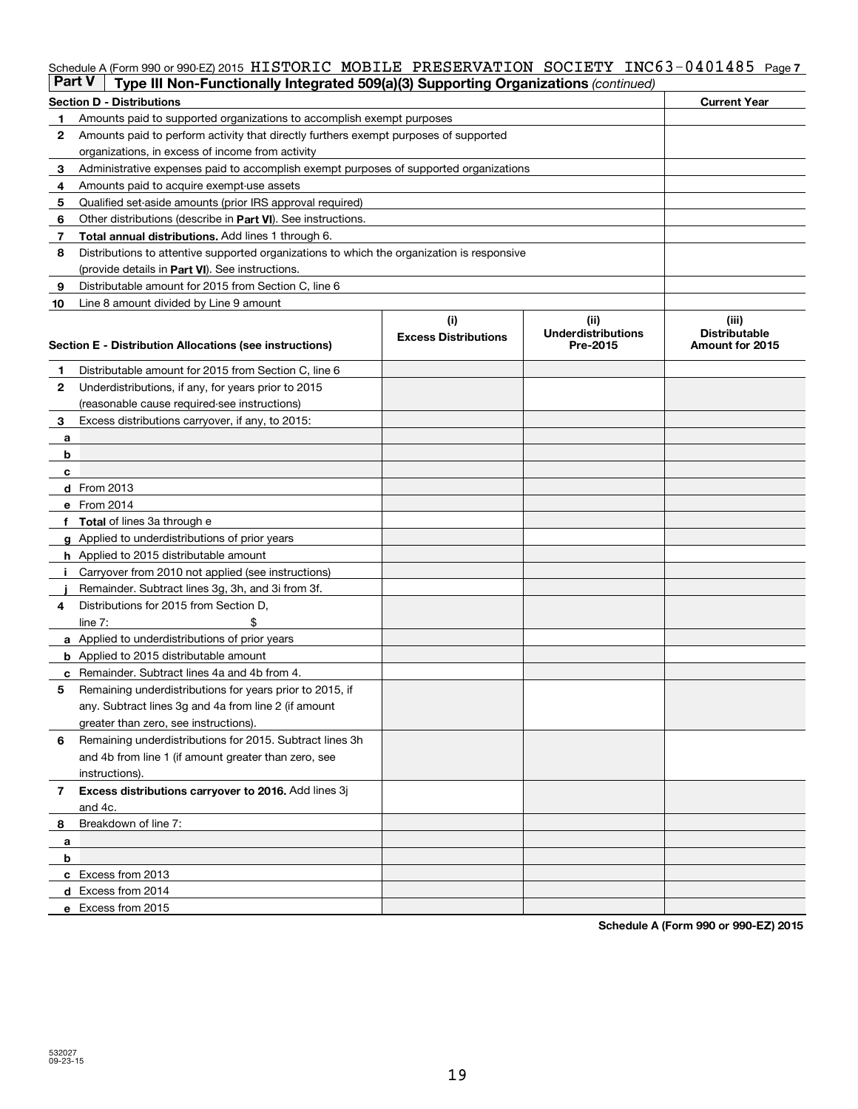#### Schedule A (Form 990 or 990-EZ) 2015 <code>HISTORIC MOBILE PRESERVATION SOCIETY INC63-0401485 Page 7</code> **Part V Type III Non-Functionally Integrated 509(a)(3) Supporting Organizations** *(continued)*  HISTORIC MOBILE PRESERVATION SOCIETY INC63-0401485

|    | rype in Non-Functionally integrated Jos(a)(J) Supporting Organizations (Continued)         |                             |                                       |                                                |
|----|--------------------------------------------------------------------------------------------|-----------------------------|---------------------------------------|------------------------------------------------|
|    | <b>Section D - Distributions</b>                                                           | <b>Current Year</b>         |                                       |                                                |
| 1  | Amounts paid to supported organizations to accomplish exempt purposes                      |                             |                                       |                                                |
| 2  | Amounts paid to perform activity that directly furthers exempt purposes of supported       |                             |                                       |                                                |
|    | organizations, in excess of income from activity                                           |                             |                                       |                                                |
| 3  | Administrative expenses paid to accomplish exempt purposes of supported organizations      |                             |                                       |                                                |
| 4  | Amounts paid to acquire exempt-use assets                                                  |                             |                                       |                                                |
| 5  | Qualified set-aside amounts (prior IRS approval required)                                  |                             |                                       |                                                |
| 6  | Other distributions (describe in Part VI). See instructions.                               |                             |                                       |                                                |
| 7  | Total annual distributions. Add lines 1 through 6.                                         |                             |                                       |                                                |
| 8  | Distributions to attentive supported organizations to which the organization is responsive |                             |                                       |                                                |
|    | (provide details in Part VI). See instructions.                                            |                             |                                       |                                                |
| 9  | Distributable amount for 2015 from Section C, line 6                                       |                             |                                       |                                                |
| 10 | Line 8 amount divided by Line 9 amount                                                     |                             |                                       |                                                |
|    |                                                                                            | (i)                         | (iii)                                 | (iii)                                          |
|    | <b>Section E - Distribution Allocations (see instructions)</b>                             | <b>Excess Distributions</b> | <b>Underdistributions</b><br>Pre-2015 | <b>Distributable</b><br><b>Amount for 2015</b> |
| 1  | Distributable amount for 2015 from Section C, line 6                                       |                             |                                       |                                                |
| 2  | Underdistributions, if any, for years prior to 2015                                        |                             |                                       |                                                |
|    | (reasonable cause required-see instructions)                                               |                             |                                       |                                                |
| 3  | Excess distributions carryover, if any, to 2015:                                           |                             |                                       |                                                |
| а  |                                                                                            |                             |                                       |                                                |
| b  |                                                                                            |                             |                                       |                                                |
| c  |                                                                                            |                             |                                       |                                                |
|    | d From 2013                                                                                |                             |                                       |                                                |
|    | e From 2014                                                                                |                             |                                       |                                                |
|    | f Total of lines 3a through e                                                              |                             |                                       |                                                |
|    | Applied to underdistributions of prior years                                               |                             |                                       |                                                |
|    | <b>h</b> Applied to 2015 distributable amount                                              |                             |                                       |                                                |
|    | Carryover from 2010 not applied (see instructions)                                         |                             |                                       |                                                |
|    | Remainder. Subtract lines 3g, 3h, and 3i from 3f.                                          |                             |                                       |                                                |
| 4  | Distributions for 2015 from Section D,                                                     |                             |                                       |                                                |
|    | \$<br>line $7:$                                                                            |                             |                                       |                                                |
|    | a Applied to underdistributions of prior years                                             |                             |                                       |                                                |
|    | <b>b</b> Applied to 2015 distributable amount                                              |                             |                                       |                                                |
|    | c Remainder. Subtract lines 4a and 4b from 4.                                              |                             |                                       |                                                |
| 5  | Remaining underdistributions for years prior to 2015, if                                   |                             |                                       |                                                |
|    | any. Subtract lines 3g and 4a from line 2 (if amount                                       |                             |                                       |                                                |
|    | greater than zero, see instructions).                                                      |                             |                                       |                                                |
| 6  | Remaining underdistributions for 2015. Subtract lines 3h                                   |                             |                                       |                                                |
|    | and 4b from line 1 (if amount greater than zero, see                                       |                             |                                       |                                                |
|    | instructions).                                                                             |                             |                                       |                                                |
| 7  | Excess distributions carryover to 2016. Add lines 3j                                       |                             |                                       |                                                |
|    | and 4c.                                                                                    |                             |                                       |                                                |
| 8  | Breakdown of line 7:                                                                       |                             |                                       |                                                |
| a  |                                                                                            |                             |                                       |                                                |
| b  |                                                                                            |                             |                                       |                                                |
|    | c Excess from 2013                                                                         |                             |                                       |                                                |
|    | d Excess from 2014                                                                         |                             |                                       |                                                |
|    | e Excess from 2015                                                                         |                             |                                       |                                                |

**Schedule A (Form 990 or 990-EZ) 2015**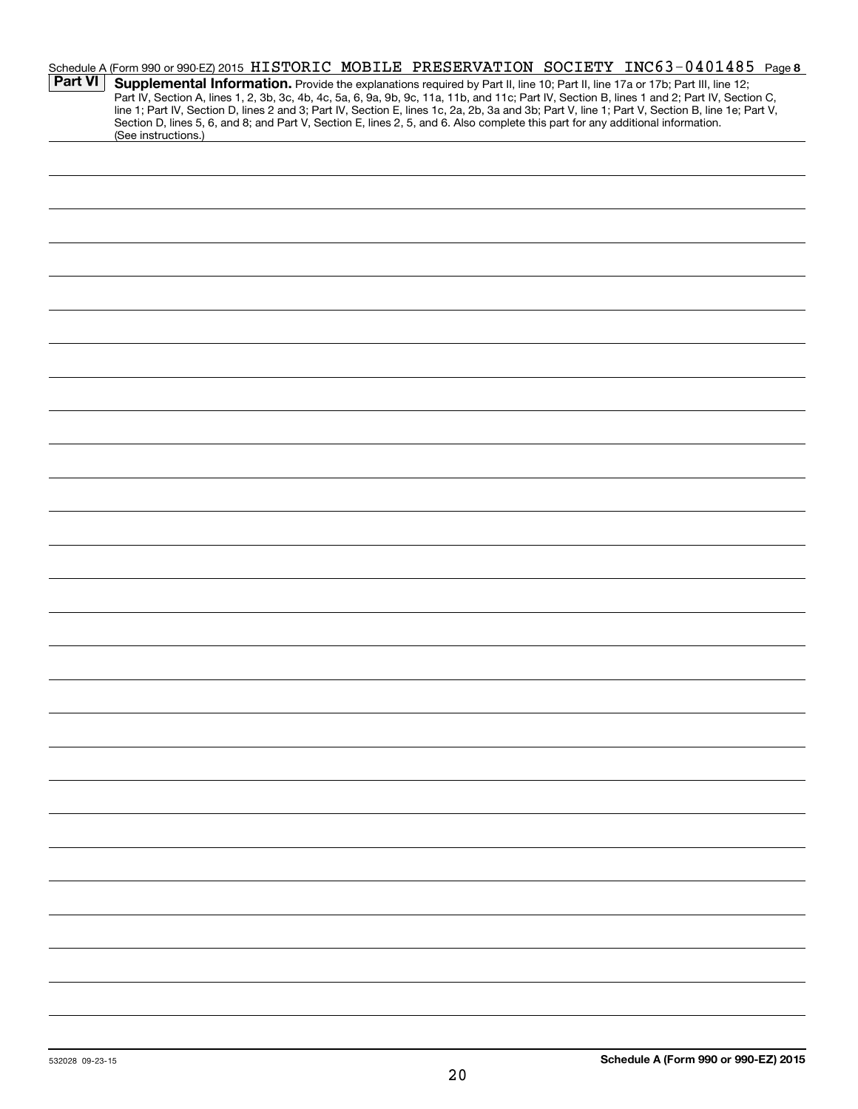| <b>Part VI</b> | Schedule A (Form 990 or 990-EZ) 2015 HISTORIC MOBILE PRESERVATION SOCIETY INC63-0401485 Page 8<br>Supplemental Information. Provide the explanations required by Part II, line 10; Part II, line 17a or 17b; Part III, line 12;<br>Part IV, Section A, lines 1, 2, 3b, 3c, 4b, 4c, 5a, 6, 9a, 9b, 9c, 11a, 11b, and 11c; Part IV, Section B, lines 1 and 2; Part IV, Section C, |
|----------------|---------------------------------------------------------------------------------------------------------------------------------------------------------------------------------------------------------------------------------------------------------------------------------------------------------------------------------------------------------------------------------|
|                | line 1; Part IV, Section D, lines 2 and 3; Part IV, Section E, lines 1c, 2a, 2b, 3a and 3b; Part V, line 1; Part V, Section B, line 1e; Part V,<br>Section D, lines 5, 6, and 8; and Part V, Section E, lines 2, 5, and 6. Also complete this part for any additional information.<br>(See instructions.)                                                                       |
|                |                                                                                                                                                                                                                                                                                                                                                                                 |
|                |                                                                                                                                                                                                                                                                                                                                                                                 |
|                |                                                                                                                                                                                                                                                                                                                                                                                 |
|                |                                                                                                                                                                                                                                                                                                                                                                                 |
|                |                                                                                                                                                                                                                                                                                                                                                                                 |
|                |                                                                                                                                                                                                                                                                                                                                                                                 |
|                |                                                                                                                                                                                                                                                                                                                                                                                 |
|                |                                                                                                                                                                                                                                                                                                                                                                                 |
|                |                                                                                                                                                                                                                                                                                                                                                                                 |
|                |                                                                                                                                                                                                                                                                                                                                                                                 |
|                |                                                                                                                                                                                                                                                                                                                                                                                 |
|                |                                                                                                                                                                                                                                                                                                                                                                                 |
|                |                                                                                                                                                                                                                                                                                                                                                                                 |
|                |                                                                                                                                                                                                                                                                                                                                                                                 |
|                |                                                                                                                                                                                                                                                                                                                                                                                 |
|                |                                                                                                                                                                                                                                                                                                                                                                                 |
|                |                                                                                                                                                                                                                                                                                                                                                                                 |
|                |                                                                                                                                                                                                                                                                                                                                                                                 |
|                |                                                                                                                                                                                                                                                                                                                                                                                 |
|                |                                                                                                                                                                                                                                                                                                                                                                                 |
|                |                                                                                                                                                                                                                                                                                                                                                                                 |
|                |                                                                                                                                                                                                                                                                                                                                                                                 |
|                |                                                                                                                                                                                                                                                                                                                                                                                 |
|                |                                                                                                                                                                                                                                                                                                                                                                                 |
|                |                                                                                                                                                                                                                                                                                                                                                                                 |
|                |                                                                                                                                                                                                                                                                                                                                                                                 |
|                |                                                                                                                                                                                                                                                                                                                                                                                 |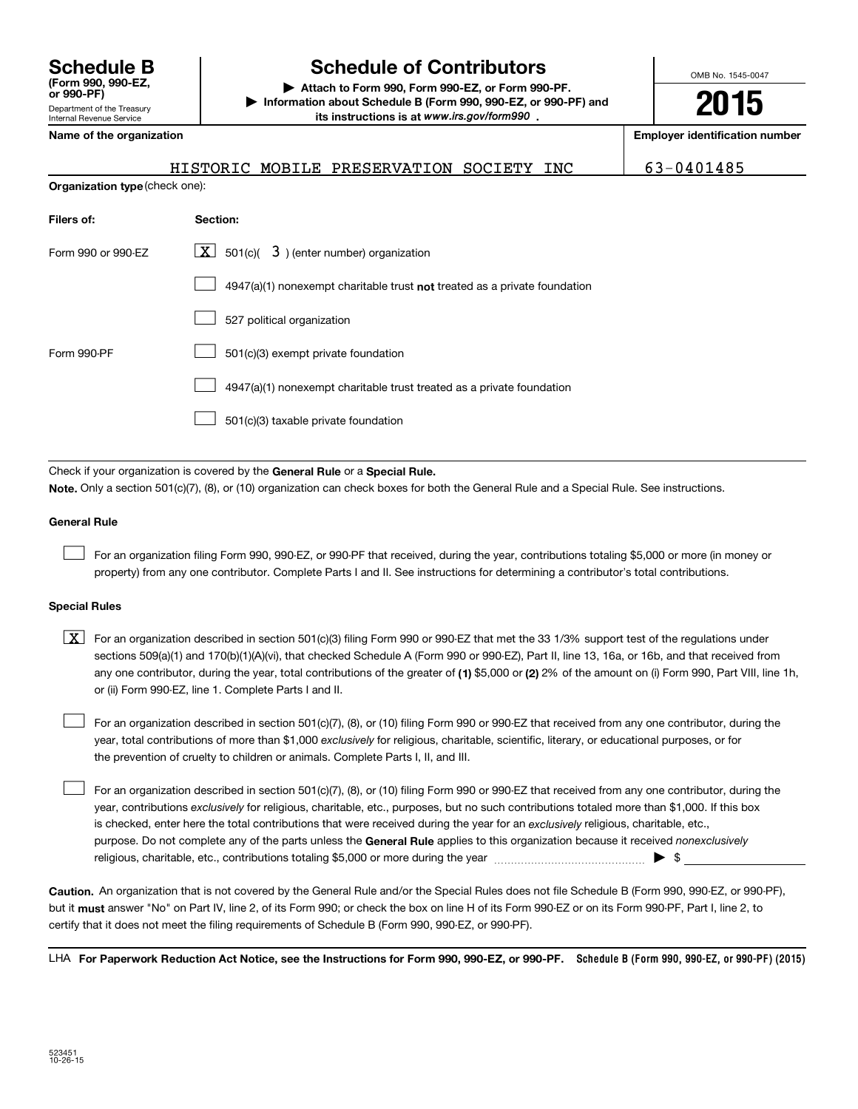| <b>Schedule B</b>                    |  |
|--------------------------------------|--|
| (Form 990, 990-EZ,<br>$\sim$ 000 DEV |  |

Internal Revenue Service

# Department of the Treasury

## **Schedule of Contributors**

**or 990-PF) | Attach to Form 990, Form 990-EZ, or Form 990-PF. | Information about Schedule B (Form 990, 990-EZ, or 990-PF) and** . its instructions is at www*.irs.gov/form990* 

OMB No. 1545-0047

# **2015**

**Name of the organization Employer identification number**

|  | $\blacktriangleright$ Employer identification numb |  |
|--|----------------------------------------------------|--|
|  |                                                    |  |

|                                       |              | HISTORIC MOBILE PRESERVATION SOCIETY INC  |  | 63-0401485 |
|---------------------------------------|--------------|-------------------------------------------|--|------------|
| <b>Organization type (check one):</b> |              |                                           |  |            |
| Filers of:                            | Section:     |                                           |  |            |
| Form 990 or 990-EZ                    | $\mathbf{x}$ | 501(c)( $3$ ) (enter number) organization |  |            |

|             | 4947(a)(1) nonexempt charitable trust not treated as a private foundation |
|-------------|---------------------------------------------------------------------------|
|             | 527 political organization                                                |
| Form 990-PF | 501(c)(3) exempt private foundation                                       |
|             | 4947(a)(1) nonexempt charitable trust treated as a private foundation     |
|             | 501(c)(3) taxable private foundation                                      |
|             |                                                                           |

Check if your organization is covered by the General Rule or a Special Rule.

**Note.**  Only a section 501(c)(7), (8), or (10) organization can check boxes for both the General Rule and a Special Rule. See instructions.

#### **General Rule**

For an organization filing Form 990, 990-EZ, or 990-PF that received, during the year, contributions totaling \$5,000 or more (in money or property) from any one contributor. Complete Parts I and II. See instructions for determining a contributor's total contributions.

#### **Special Rules**

 $\mathcal{L}_{\mathcal{A}}$ 

any one contributor, during the year, total contributions of the greater of **(1)** \$5,000 or **(2)** 2% of the amount on (i) Form 990, Part VIII, line 1h,  $\boxed{\text{X}}$  For an organization described in section 501(c)(3) filing Form 990 or 990-EZ that met the 33 1/3% support test of the regulations under sections 509(a)(1) and 170(b)(1)(A)(vi), that checked Schedule A (Form 990 or 990-EZ), Part II, line 13, 16a, or 16b, and that received fromor (ii) Form 990-EZ, line 1. Complete Parts I and II.

year, total contributions of more than \$1,000 *exclusively* for religious, charitable, scientific, literary, or educational purposes, or for For an organization described in section 501(c)(7), (8), or (10) filing Form 990 or 990-EZ that received from any one contributor, during the the prevention of cruelty to children or animals. Complete Parts I, II, and III.

purpose. Do not complete any of the parts unless the General Rule applies to this organization because it received nonexclusively year, contributions *exclusively* for religious, charitable, etc., purposes, but no such contributions totaled more than \$1,000. If this box is checked, enter here the total contributions that were received during the year for an exclusively religious, charitable, etc., For an organization described in section 501(c)(7), (8), or (10) filing Form 990 or 990-EZ that received from any one contributor, during thereligious, charitable, etc., contributions totaling \$5,000 or more during the year ~~~~~~~~~~~~~~~ | \$  $\mathcal{L}_{\mathcal{A}}$ 

**Caution.** An organization that is not covered by the General Rule and/or the Special Rules does not file Schedule B (Form 990, 990-EZ, or 990-PF), **must** but it answer "No" on Part IV, line 2, of its Form 990; or check the box on line H of its Form 990-EZ or on its Form 990-PF, Part I, line 2, to certify that it does not meet the filing requirements of Schedule B (Form 990, 990-EZ, or 990-PF).

LHA For Paperwork Reduction Act Notice, see the Instructions for Form 990, 990-EZ, or 990-PF. Schedule B (Form 990, 990-EZ, or 990-PF) (2015)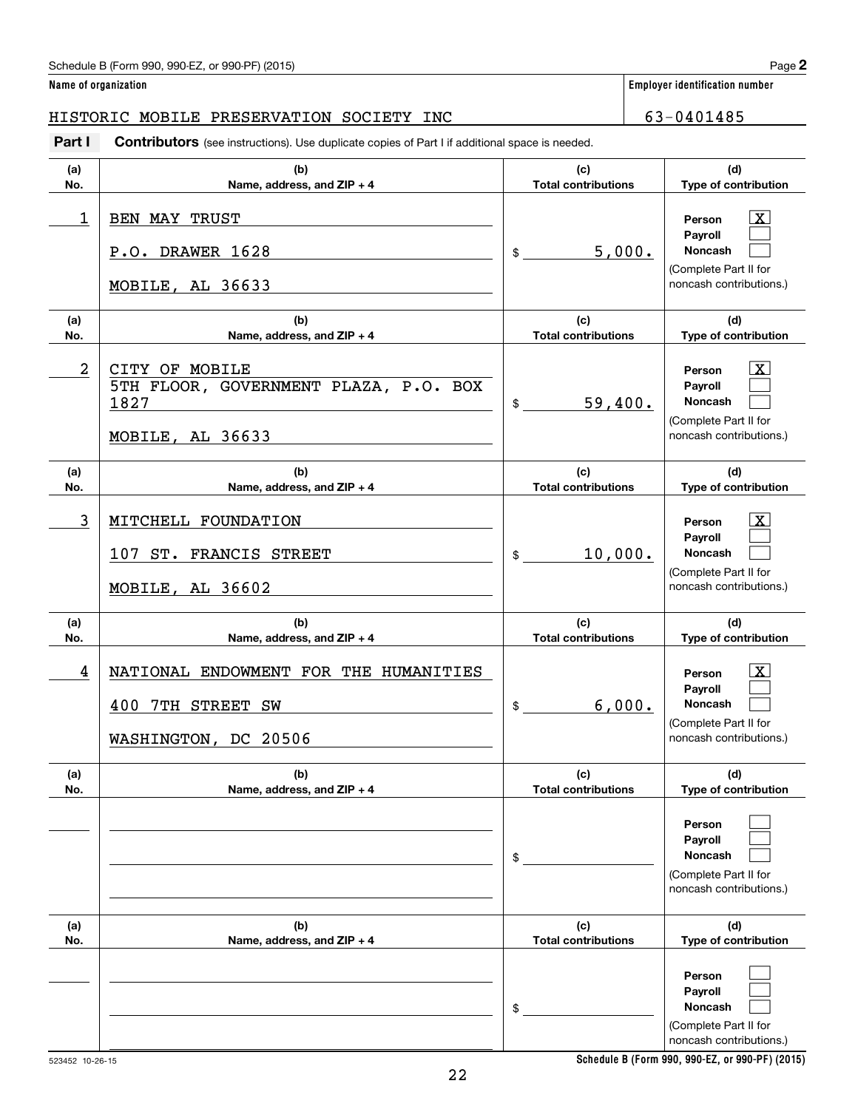| Schedule B (Form 990, 990-EZ, or 990-PF) (2015) |  |  |  |
|-------------------------------------------------|--|--|--|
|-------------------------------------------------|--|--|--|

**Name of organization Employer identification number**

HISTORIC MOBILE PRESERVATION SOCIETY INC | 63-0401485

Part I Contributors (see instructions). Use duplicate copies of Part I if additional space is needed.

| (a)            | (b)                                                                                 | (c)                        | (d)                                                                                                     |
|----------------|-------------------------------------------------------------------------------------|----------------------------|---------------------------------------------------------------------------------------------------------|
| No.            | Name, address, and ZIP + 4                                                          | <b>Total contributions</b> | Type of contribution                                                                                    |
| 1              | BEN MAY TRUST<br><b>P.O. DRAWER 1628</b><br>MOBILE, AL 36633                        | 5,000.<br>$\frac{1}{2}$    | $\mathbf{X}$<br>Person<br>Payroll<br><b>Noncash</b><br>(Complete Part II for<br>noncash contributions.) |
| (a)            | (b)                                                                                 | (c)                        | (d)                                                                                                     |
| No.            | Name, address, and ZIP + 4                                                          | <b>Total contributions</b> | Type of contribution                                                                                    |
| $\overline{a}$ | CITY OF MOBILE<br>5TH FLOOR, GOVERNMENT PLAZA, P.O. BOX<br>1827<br>MOBILE, AL 36633 | 59,400.<br>$\mathsf{\$}$   | $\mathbf{X}$<br>Person<br>Payroll<br>Noncash<br>(Complete Part II for<br>noncash contributions.)        |
| (a)            | (b)                                                                                 | (c)                        | (d)                                                                                                     |
| No.            | Name, address, and ZIP + 4                                                          | <b>Total contributions</b> | Type of contribution                                                                                    |
| 3              | MITCHELL FOUNDATION<br>107 ST. FRANCIS STREET<br>MOBILE, AL 36602                   | 10,000.<br>$\frac{1}{2}$   | $\mathbf{X}$<br>Person<br>Payroll<br>Noncash<br>(Complete Part II for<br>noncash contributions.)        |
| (a)            | (b)                                                                                 | (c)                        | (d)                                                                                                     |
| No.            | Name, address, and ZIP + 4                                                          | <b>Total contributions</b> | Type of contribution                                                                                    |
| 4              | NATIONAL ENDOWMENT FOR THE HUMANITIES<br>400 7TH STREET SW<br>WASHINGTON, DC 20506  | 6,000.<br>$\frac{1}{2}$    | $\mathbf{x}$<br>Person<br>Payroll<br>Noncash<br>(Complete Part II for<br>noncash contributions.)        |
| (a)            | (b)                                                                                 | (c)                        | (d)                                                                                                     |
| No.            | Name, address, and ZIP + 4                                                          | <b>Total contributions</b> | Type of contribution                                                                                    |
|                |                                                                                     | \$                         | Person<br>Payroll<br>Noncash<br>(Complete Part II for<br>noncash contributions.)                        |
| (a)            | (b)                                                                                 | (c)                        | (d)                                                                                                     |
| No.            | Name, address, and ZIP + 4                                                          | <b>Total contributions</b> | Type of contribution                                                                                    |
|                |                                                                                     | \$                         | Person<br>Payroll<br>Noncash<br>(Complete Part II for<br>noncash contributions.)                        |

**Schedule B (Form 990, 990-EZ, or 990-PF) (2015)**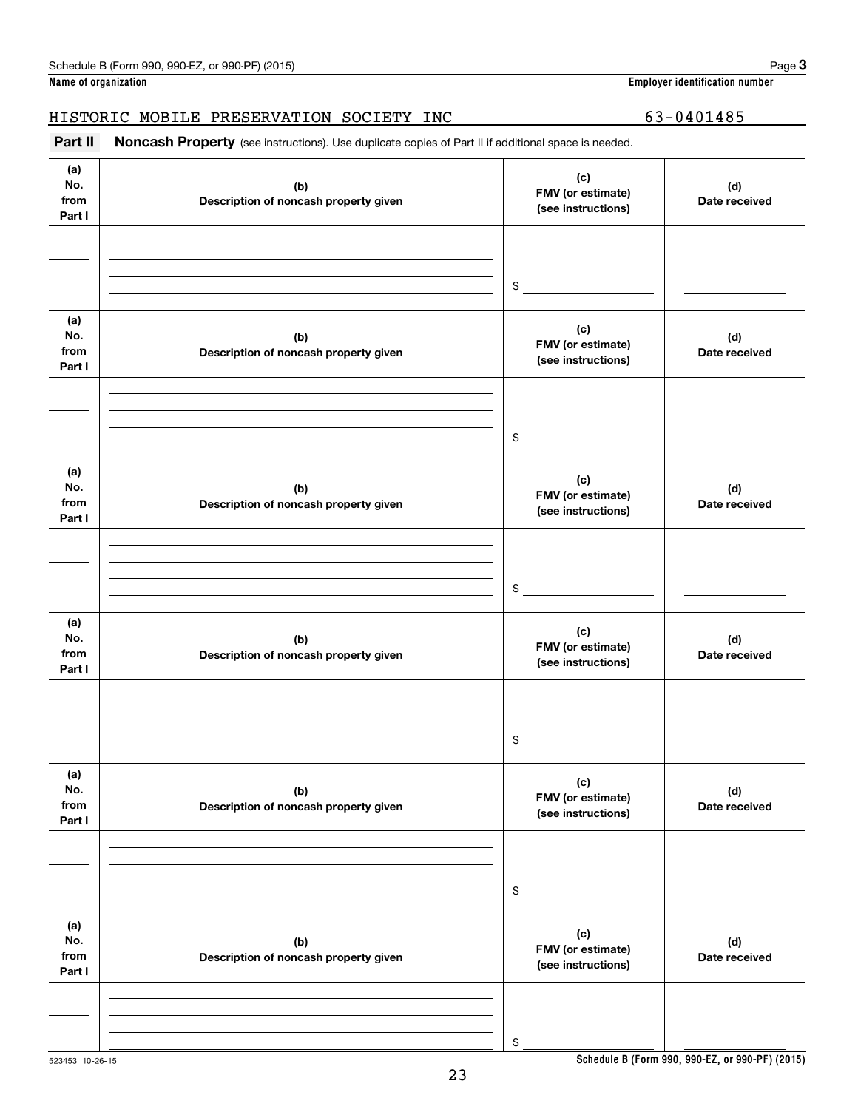## HISTORIC MOBILE PRESERVATION SOCIETY INC | 63-0401485

Part II Noncash Property (see instructions). Use duplicate copies of Part II if additional space is needed.

| (a)<br>No.<br>from<br>Part I | (b)<br>Description of noncash property given | (c)<br>FMV (or estimate)<br>(see instructions) | (d)<br>Date received |
|------------------------------|----------------------------------------------|------------------------------------------------|----------------------|
|                              |                                              | $\$$                                           |                      |
| (a)<br>No.<br>from<br>Part I | (b)<br>Description of noncash property given | (c)<br>FMV (or estimate)<br>(see instructions) | (d)<br>Date received |
|                              |                                              | \$                                             |                      |
| (a)<br>No.<br>from<br>Part I | (b)<br>Description of noncash property given | (c)<br>FMV (or estimate)<br>(see instructions) | (d)<br>Date received |
|                              |                                              | \$                                             |                      |
| (a)<br>No.<br>from<br>Part I | (b)<br>Description of noncash property given | (c)<br>FMV (or estimate)<br>(see instructions) | (d)<br>Date received |
|                              |                                              | \$                                             |                      |
| (a)<br>No.<br>from<br>Part I | (b)<br>Description of noncash property given | (c)<br>FMV (or estimate)<br>(see instructions) | (d)<br>Date received |
|                              |                                              | \$                                             |                      |
| (a)<br>No.<br>from<br>Part I | (b)<br>Description of noncash property given | (c)<br>FMV (or estimate)<br>(see instructions) | (d)<br>Date received |
|                              |                                              | \$                                             |                      |

**Schedule B (Form 990, 990-EZ, or 990-PF) (2015)**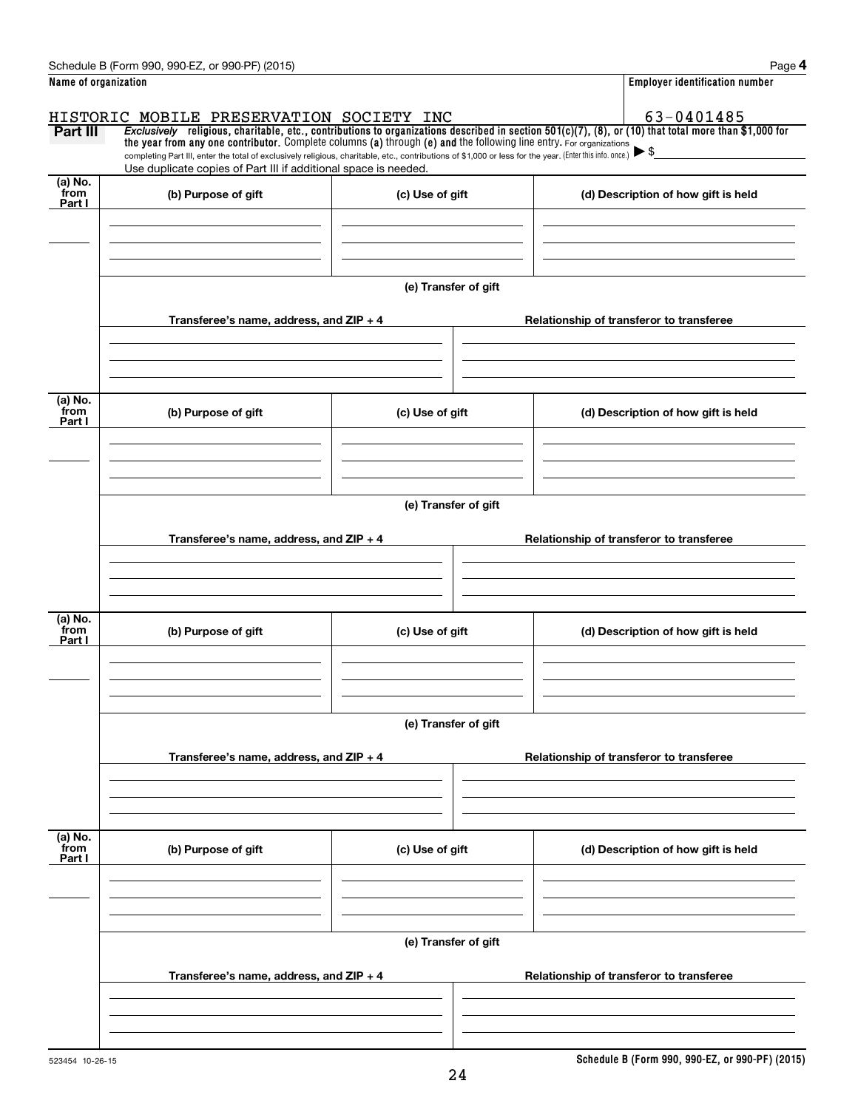| Part III                  | the year from any one contributor. Complete columns (a) through (e) and the following line entry. For organizations<br>completing Part III, enter the total of exclusively religious, charitable, etc., contributions of \$1,000 or less for the year. (Enter this info. once.) |                      | Exclusively religious, charitable, etc., contributions to organizations described in section $501(c)(7)$ , (8), or (10) that total more than \$1,000 for |
|---------------------------|---------------------------------------------------------------------------------------------------------------------------------------------------------------------------------------------------------------------------------------------------------------------------------|----------------------|----------------------------------------------------------------------------------------------------------------------------------------------------------|
| (a) No.<br>from<br>Part I | Use duplicate copies of Part III if additional space is needed.<br>(b) Purpose of gift                                                                                                                                                                                          | (c) Use of gift      | (d) Description of how gift is held                                                                                                                      |
|                           | Transferee's name, address, and ZIP + 4                                                                                                                                                                                                                                         | (e) Transfer of gift | Relationship of transferor to transferee                                                                                                                 |
| (a) No.<br>from<br>Part I | (b) Purpose of gift                                                                                                                                                                                                                                                             | (c) Use of gift      | (d) Description of how gift is held                                                                                                                      |
|                           | Transferee's name, address, and ZIP + 4                                                                                                                                                                                                                                         | (e) Transfer of gift | Relationship of transferor to transferee                                                                                                                 |
| (a) No.<br>from<br>Part I | (b) Purpose of gift                                                                                                                                                                                                                                                             | (c) Use of gift      | (d) Description of how gift is held                                                                                                                      |
|                           | Transferee's name, address, and ZIP + 4                                                                                                                                                                                                                                         | (e) Transfer of gift | Relationship of transferor to transferee                                                                                                                 |
| (a) No.<br>from<br>Part I | (b) Purpose of gift                                                                                                                                                                                                                                                             | (c) Use of gift      | (d) Description of how gift is held                                                                                                                      |
|                           |                                                                                                                                                                                                                                                                                 | (e) Transfer of gift |                                                                                                                                                          |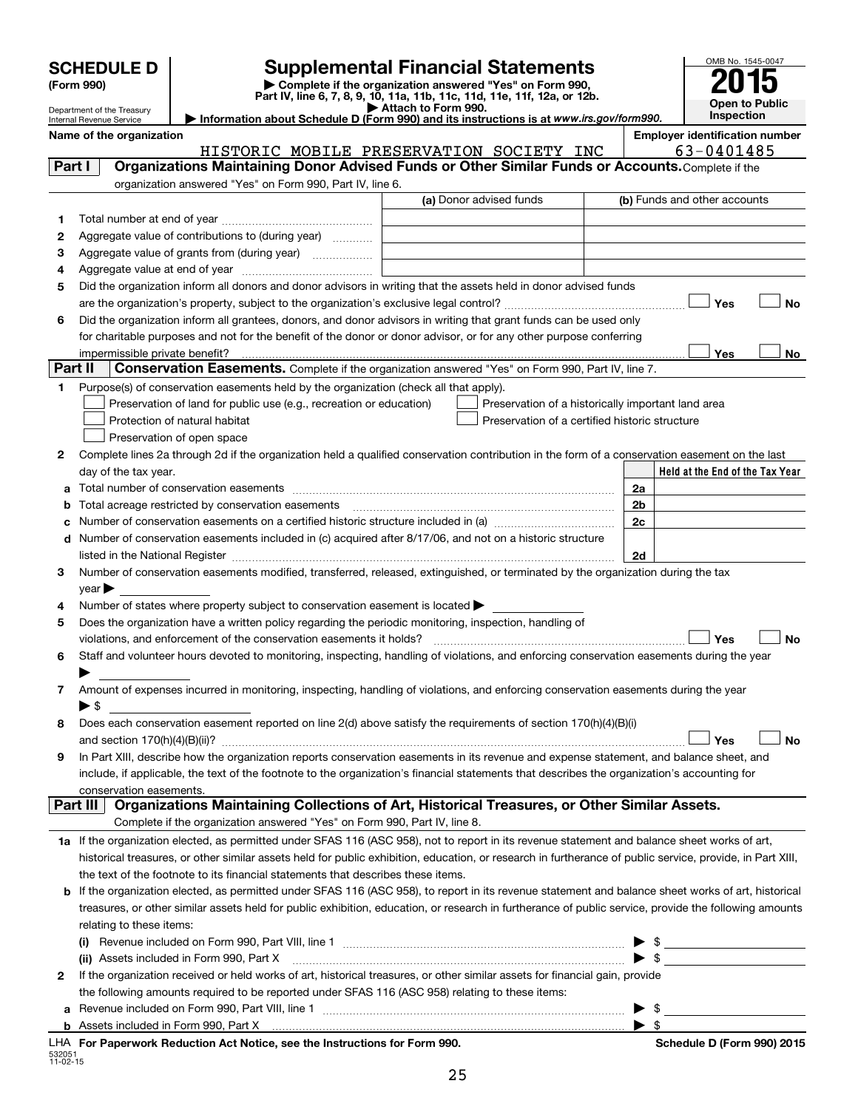**(Form 990) | Complete if the organization answered "Yes" on Form 990, Part IV, line 6, 7, 8, 9, 10, 11a, 11b, 11c, 11d, 11e, 11f, 12a, or 12b. SCHEDULE D Supplemental Financial Statements**<br> **Form 990 2015**<br> **Part IV** line 6.7.8.9.10, 11a, 11b, 11c, 11d, 11e, 11f, 12a, 0r, 12b

**| Attach to Form 990. | Information about Schedule D (Form 990) and its instructions is at**  *www.irs.gov/form990.*

| OMB No. 1545-0047     |
|-----------------------|
| 2015                  |
|                       |
| <b>Open to Public</b> |
| Inspection            |

Department of the Treasury Internal Revenue Service **Name of the organization Employer identification number**

|         | HISTORIC MOBILE PRESERVATION SOCIETY INC                                                                                                                                                                                       | 63-0401485                      |
|---------|--------------------------------------------------------------------------------------------------------------------------------------------------------------------------------------------------------------------------------|---------------------------------|
|         | Part I<br>Organizations Maintaining Donor Advised Funds or Other Similar Funds or Accounts. Complete if the                                                                                                                    |                                 |
|         | organization answered "Yes" on Form 990, Part IV, line 6.                                                                                                                                                                      |                                 |
|         | (a) Donor advised funds                                                                                                                                                                                                        | (b) Funds and other accounts    |
| 1       |                                                                                                                                                                                                                                |                                 |
| 2       | Aggregate value of contributions to (during year)                                                                                                                                                                              |                                 |
| З       | Aggregate value of grants from (during year)                                                                                                                                                                                   |                                 |
| 4       |                                                                                                                                                                                                                                |                                 |
| 5       | Did the organization inform all donors and donor advisors in writing that the assets held in donor advised funds                                                                                                               |                                 |
|         |                                                                                                                                                                                                                                | Yes<br>No                       |
| 6       | Did the organization inform all grantees, donors, and donor advisors in writing that grant funds can be used only                                                                                                              |                                 |
|         | for charitable purposes and not for the benefit of the donor or donor advisor, or for any other purpose conferring                                                                                                             |                                 |
|         |                                                                                                                                                                                                                                | Yes<br>No                       |
| Part II | Conservation Easements. Complete if the organization answered "Yes" on Form 990, Part IV, line 7.                                                                                                                              |                                 |
| 1       | Purpose(s) of conservation easements held by the organization (check all that apply).                                                                                                                                          |                                 |
|         | Preservation of land for public use (e.g., recreation or education)<br>Preservation of a historically important land area                                                                                                      |                                 |
|         | Protection of natural habitat<br>Preservation of a certified historic structure                                                                                                                                                |                                 |
|         | Preservation of open space                                                                                                                                                                                                     |                                 |
| 2       | Complete lines 2a through 2d if the organization held a qualified conservation contribution in the form of a conservation easement on the last                                                                                 |                                 |
|         | day of the tax year.                                                                                                                                                                                                           | Held at the End of the Tax Year |
| a       |                                                                                                                                                                                                                                | 2a                              |
| b       | Total acreage restricted by conservation easements                                                                                                                                                                             | 2b                              |
| с       |                                                                                                                                                                                                                                | 2c                              |
| d       | Number of conservation easements included in (c) acquired after 8/17/06, and not on a historic structure                                                                                                                       |                                 |
|         | listed in the National Register [111] [12] The Mational Register [11] Matter Literature material and the National Register [11] Matter Matter Matter Matter Matter Matter Matter Matter Matter Matter Matter Matter Matter Mat | 2d                              |
| 3       | Number of conservation easements modified, transferred, released, extinguished, or terminated by the organization during the tax                                                                                               |                                 |
|         | $year \triangleright$                                                                                                                                                                                                          |                                 |
|         | Number of states where property subject to conservation easement is located >                                                                                                                                                  |                                 |
| 5       | Does the organization have a written policy regarding the periodic monitoring, inspection, handling of                                                                                                                         |                                 |
|         | violations, and enforcement of the conservation easements it holds?                                                                                                                                                            | Yes<br>No                       |
| 6       | Staff and volunteer hours devoted to monitoring, inspecting, handling of violations, and enforcing conservation easements during the year                                                                                      |                                 |
| 7       | Amount of expenses incurred in monitoring, inspecting, handling of violations, and enforcing conservation easements during the year                                                                                            |                                 |
|         | $\blacktriangleright$ s                                                                                                                                                                                                        |                                 |
| 8       | Does each conservation easement reported on line 2(d) above satisfy the requirements of section 170(h)(4)(B)(i)                                                                                                                |                                 |
|         |                                                                                                                                                                                                                                | Yes<br>No                       |
| 9       | In Part XIII, describe how the organization reports conservation easements in its revenue and expense statement, and balance sheet, and                                                                                        |                                 |
|         | include, if applicable, the text of the footnote to the organization's financial statements that describes the organization's accounting for                                                                                   |                                 |
|         | conservation easements.                                                                                                                                                                                                        |                                 |
|         | Organizations Maintaining Collections of Art, Historical Treasures, or Other Similar Assets.<br>Part III                                                                                                                       |                                 |
|         | Complete if the organization answered "Yes" on Form 990, Part IV, line 8.                                                                                                                                                      |                                 |
|         | 1a If the organization elected, as permitted under SFAS 116 (ASC 958), not to report in its revenue statement and balance sheet works of art,                                                                                  |                                 |
|         | historical treasures, or other similar assets held for public exhibition, education, or research in furtherance of public service, provide, in Part XIII,                                                                      |                                 |
|         | the text of the footnote to its financial statements that describes these items.                                                                                                                                               |                                 |
| b       | If the organization elected, as permitted under SFAS 116 (ASC 958), to report in its revenue statement and balance sheet works of art, historical                                                                              |                                 |
|         | treasures, or other similar assets held for public exhibition, education, or research in furtherance of public service, provide the following amounts                                                                          |                                 |
|         | relating to these items:                                                                                                                                                                                                       |                                 |
|         | (i)                                                                                                                                                                                                                            | $\frac{1}{2}$                   |
|         | (ii) Assets included in Form 990, Part X                                                                                                                                                                                       | $\triangleright$ \$             |
| 2       | If the organization received or held works of art, historical treasures, or other similar assets for financial gain, provide                                                                                                   |                                 |
|         | the following amounts required to be reported under SFAS 116 (ASC 958) relating to these items:                                                                                                                                |                                 |
| а       |                                                                                                                                                                                                                                | \$                              |
|         |                                                                                                                                                                                                                                | \$                              |
|         | LHA For Paperwork Reduction Act Notice, see the Instructions for Form 990.                                                                                                                                                     | Schedule D (Form 990) 2015      |

532051 11-02-15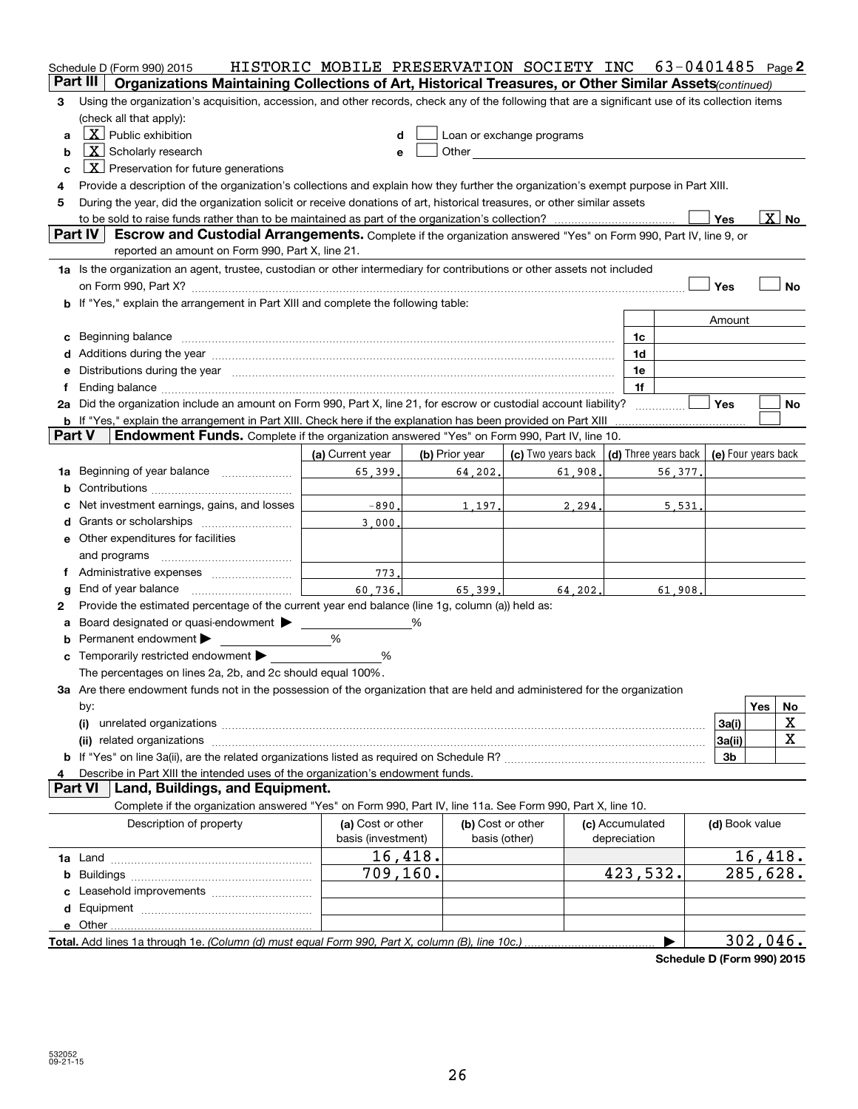|                | Schedule D (Form 990) 2015<br>Part III<br>Organizations Maintaining Collections of Art, Historical Treasures, or Other Similar Assets (continued)                                                                              | HISTORIC MOBILE PRESERVATION SOCIETY INC |                                    |                                                                                                                                                                                                                                |                 |         |                | $63 - 0401485$ Page 2 |  |
|----------------|--------------------------------------------------------------------------------------------------------------------------------------------------------------------------------------------------------------------------------|------------------------------------------|------------------------------------|--------------------------------------------------------------------------------------------------------------------------------------------------------------------------------------------------------------------------------|-----------------|---------|----------------|-----------------------|--|
| 3              | Using the organization's acquisition, accession, and other records, check any of the following that are a significant use of its collection items                                                                              |                                          |                                    |                                                                                                                                                                                                                                |                 |         |                |                       |  |
|                | (check all that apply):                                                                                                                                                                                                        |                                          |                                    |                                                                                                                                                                                                                                |                 |         |                |                       |  |
| a              | $\lfloor x \rfloor$ Public exhibition                                                                                                                                                                                          |                                          |                                    | Loan or exchange programs                                                                                                                                                                                                      |                 |         |                |                       |  |
| b              | $\lfloor x \rfloor$ Scholarly research                                                                                                                                                                                         | е                                        |                                    | Other and the control of the control of the control of the control of the control of the control of the control of the control of the control of the control of the control of the control of the control of the control of th |                 |         |                |                       |  |
| c              | $\lfloor x \rfloor$ Preservation for future generations                                                                                                                                                                        |                                          |                                    |                                                                                                                                                                                                                                |                 |         |                |                       |  |
| 4              | Provide a description of the organization's collections and explain how they further the organization's exempt purpose in Part XIII.                                                                                           |                                          |                                    |                                                                                                                                                                                                                                |                 |         |                |                       |  |
| 5              | During the year, did the organization solicit or receive donations of art, historical treasures, or other similar assets                                                                                                       |                                          |                                    |                                                                                                                                                                                                                                |                 |         |                |                       |  |
|                |                                                                                                                                                                                                                                |                                          |                                    |                                                                                                                                                                                                                                |                 |         | Yes            | $X \mid No$           |  |
|                | Escrow and Custodial Arrangements. Complete if the organization answered "Yes" on Form 990, Part IV, line 9, or<br>Part IV                                                                                                     |                                          |                                    |                                                                                                                                                                                                                                |                 |         |                |                       |  |
|                | reported an amount on Form 990, Part X, line 21.                                                                                                                                                                               |                                          |                                    |                                                                                                                                                                                                                                |                 |         |                |                       |  |
|                | 1a Is the organization an agent, trustee, custodian or other intermediary for contributions or other assets not included                                                                                                       |                                          |                                    |                                                                                                                                                                                                                                |                 |         |                |                       |  |
|                |                                                                                                                                                                                                                                |                                          |                                    |                                                                                                                                                                                                                                |                 |         | Yes            | <b>No</b>             |  |
| b              | If "Yes," explain the arrangement in Part XIII and complete the following table:                                                                                                                                               |                                          |                                    |                                                                                                                                                                                                                                |                 |         |                |                       |  |
|                |                                                                                                                                                                                                                                |                                          |                                    |                                                                                                                                                                                                                                |                 |         | Amount         |                       |  |
| с              | Beginning balance measurements and contain a series of the series of the series of the series of the series of the series of the series of the series of the series of the series of the series of the series of the series of |                                          |                                    |                                                                                                                                                                                                                                | 1c              |         |                |                       |  |
|                |                                                                                                                                                                                                                                |                                          |                                    |                                                                                                                                                                                                                                | 1d              |         |                |                       |  |
|                | Distributions during the year manufactured and an account of the state of the state of the state of the state of the state of the state of the state of the state of the state of the state of the state of the state of the s |                                          |                                    |                                                                                                                                                                                                                                | 1e              |         |                |                       |  |
|                |                                                                                                                                                                                                                                |                                          |                                    |                                                                                                                                                                                                                                | 1f              |         |                |                       |  |
|                | 2a Did the organization include an amount on Form 990, Part X, line 21, for escrow or custodial account liability?                                                                                                             |                                          |                                    |                                                                                                                                                                                                                                | .               |         | Yes            | No                    |  |
|                | <b>b</b> If "Yes," explain the arrangement in Part XIII. Check here if the explanation has been provided on Part XIII                                                                                                          |                                          |                                    |                                                                                                                                                                                                                                |                 |         |                |                       |  |
| <b>Part V</b>  | Endowment Funds. Complete if the organization answered "Yes" on Form 990, Part IV, line 10.                                                                                                                                    |                                          |                                    |                                                                                                                                                                                                                                |                 |         |                |                       |  |
|                |                                                                                                                                                                                                                                | (a) Current year                         | (b) Prior year                     | (c) Two years back $\vert$ (d) Three years back $\vert$ (e) Four years back                                                                                                                                                    |                 |         |                |                       |  |
| 1a             | Beginning of year balance                                                                                                                                                                                                      | 65,399.                                  | 64,202.                            | 61,908                                                                                                                                                                                                                         |                 | 56,377  |                |                       |  |
|                |                                                                                                                                                                                                                                |                                          |                                    |                                                                                                                                                                                                                                |                 |         |                |                       |  |
|                | Net investment earnings, gains, and losses                                                                                                                                                                                     | $-890.$                                  | 1,197.                             | 2.294.                                                                                                                                                                                                                         |                 | 5,531,  |                |                       |  |
|                |                                                                                                                                                                                                                                | 3,000.                                   |                                    |                                                                                                                                                                                                                                |                 |         |                |                       |  |
| е              | Other expenditures for facilities                                                                                                                                                                                              |                                          |                                    |                                                                                                                                                                                                                                |                 |         |                |                       |  |
|                | and programs                                                                                                                                                                                                                   |                                          |                                    |                                                                                                                                                                                                                                |                 |         |                |                       |  |
|                |                                                                                                                                                                                                                                | 773.                                     |                                    |                                                                                                                                                                                                                                |                 |         |                |                       |  |
| g              | End of year balance                                                                                                                                                                                                            | 60.736.                                  | 65.399.                            | 64.202.                                                                                                                                                                                                                        |                 | 61,908. |                |                       |  |
| 2              | Provide the estimated percentage of the current year end balance (line 1g, column (a)) held as:                                                                                                                                |                                          |                                    |                                                                                                                                                                                                                                |                 |         |                |                       |  |
|                | Board designated or quasi-endowment                                                                                                                                                                                            |                                          | %                                  |                                                                                                                                                                                                                                |                 |         |                |                       |  |
|                | Permanent endowment                                                                                                                                                                                                            | %                                        |                                    |                                                                                                                                                                                                                                |                 |         |                |                       |  |
| с              | Temporarily restricted endowment                                                                                                                                                                                               | ℅                                        |                                    |                                                                                                                                                                                                                                |                 |         |                |                       |  |
|                | The percentages on lines 2a, 2b, and 2c should equal 100%.                                                                                                                                                                     |                                          |                                    |                                                                                                                                                                                                                                |                 |         |                |                       |  |
|                | 3a Are there endowment funds not in the possession of the organization that are held and administered for the organization                                                                                                     |                                          |                                    |                                                                                                                                                                                                                                |                 |         |                |                       |  |
|                | by:                                                                                                                                                                                                                            |                                          |                                    |                                                                                                                                                                                                                                |                 |         |                | Yes<br>No             |  |
|                | (i)                                                                                                                                                                                                                            |                                          |                                    |                                                                                                                                                                                                                                |                 |         | 3a(i)          | X                     |  |
|                | (ii) related organizations                                                                                                                                                                                                     |                                          |                                    |                                                                                                                                                                                                                                |                 |         | 3a(ii)         | X                     |  |
|                |                                                                                                                                                                                                                                |                                          |                                    |                                                                                                                                                                                                                                |                 |         | 3b             |                       |  |
| <b>Part VI</b> | Describe in Part XIII the intended uses of the organization's endowment funds.                                                                                                                                                 |                                          |                                    |                                                                                                                                                                                                                                |                 |         |                |                       |  |
|                | Land, Buildings, and Equipment.                                                                                                                                                                                                |                                          |                                    |                                                                                                                                                                                                                                |                 |         |                |                       |  |
|                | Complete if the organization answered "Yes" on Form 990, Part IV, line 11a. See Form 990, Part X, line 10.                                                                                                                     |                                          |                                    |                                                                                                                                                                                                                                |                 |         |                |                       |  |
|                | Description of property                                                                                                                                                                                                        | (a) Cost or other                        | (b) Cost or other<br>basis (other) |                                                                                                                                                                                                                                | (c) Accumulated |         | (d) Book value |                       |  |
|                |                                                                                                                                                                                                                                | basis (investment)                       |                                    |                                                                                                                                                                                                                                | depreciation    |         |                |                       |  |
|                |                                                                                                                                                                                                                                | 709,160.                                 | 16,418.                            |                                                                                                                                                                                                                                |                 |         |                | 16,418.               |  |
| b              |                                                                                                                                                                                                                                |                                          |                                    |                                                                                                                                                                                                                                | 423,532.        |         |                | 285,628.              |  |
| d              |                                                                                                                                                                                                                                |                                          |                                    |                                                                                                                                                                                                                                |                 |         |                |                       |  |
|                | Leasehold improvements                                                                                                                                                                                                         |                                          |                                    |                                                                                                                                                                                                                                |                 |         |                |                       |  |
|                |                                                                                                                                                                                                                                |                                          |                                    |                                                                                                                                                                                                                                |                 |         |                |                       |  |

**Schedule D (Form 990) 2015**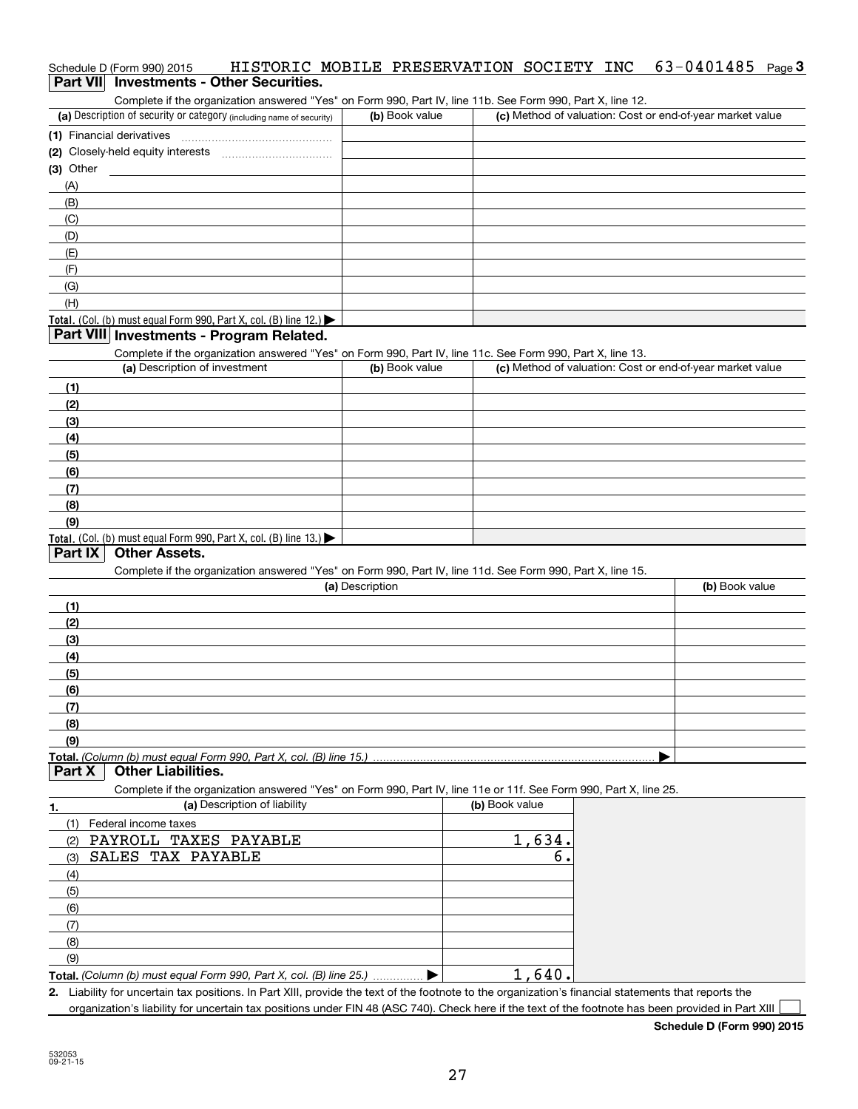#### Schedule D (Form 990) 2015HISTORIC MOBILE PRESERVATION SOCIETY INC 63-0401485 Page<sup>3</sup> **Part VII Investments - Other Securities.**

Complete if the organization answered "Yes" on Form 990, Part IV, line 11b. See Form 990, Part X, line 12.

| (a) Description of security or category (including name of security)                   | (c) Method of valuation: Cost or end-of-year market value |
|----------------------------------------------------------------------------------------|-----------------------------------------------------------|
| (1) Financial derivatives                                                              |                                                           |
| (2) Closely-held equity interests                                                      |                                                           |
| $(3)$ Other                                                                            |                                                           |
| (A)                                                                                    |                                                           |
| (B)                                                                                    |                                                           |
| (C)                                                                                    |                                                           |
| (D)                                                                                    |                                                           |
| (E)                                                                                    |                                                           |
| (F                                                                                     |                                                           |
| (G)                                                                                    |                                                           |
| (H)                                                                                    |                                                           |
| Total. (Col. (b) must equal Form 990, Part X, col. (B) line 12.) $\blacktriangleright$ |                                                           |

#### **Part VIII Investments - Program Related.**

Complete if the organization answered "Yes" on Form 990, Part IV, line 11c. See Form 990, Part X, line 13.

| (a) Description of investment                                       | (b) Book value | (c) Method of valuation: Cost or end-of-year market value |
|---------------------------------------------------------------------|----------------|-----------------------------------------------------------|
| (1)                                                                 |                |                                                           |
| (2)                                                                 |                |                                                           |
| (3)                                                                 |                |                                                           |
| (4)                                                                 |                |                                                           |
| (5)                                                                 |                |                                                           |
| (6)                                                                 |                |                                                           |
| (7)                                                                 |                |                                                           |
| (8)                                                                 |                |                                                           |
| (9)                                                                 |                |                                                           |
| Total. (Col. (b) must equal Form 990, Part X, col. (B) line $13.$ ) |                |                                                           |

#### **Part IX Other Assets.**

Complete if the organization answered "Yes" on Form 990, Part IV, line 11d. See Form 990, Part X, line 15.

| (a) Description  | (b) Book value |
|------------------|----------------|
| (1)              |                |
| (2)              |                |
| $\left(3\right)$ |                |
| (4)              |                |
| $\frac{1}{2}$    |                |
| (6)              |                |
| (7)              |                |
| (8)              |                |
| (9)              |                |
|                  |                |

#### **Part X Other Liabilities.**

Complete if the organization answered "Yes" on Form 990, Part IV, line 11e or 11f. See Form 990, Part X, line 25.

|               | (a) Description of liability                                       | (b) Book value |
|---------------|--------------------------------------------------------------------|----------------|
| (1)           | Federal income taxes                                               |                |
| (2)           | PAYROLL TAXES PAYABLE                                              | 1,634.         |
| (3)           | SALES TAX PAYABLE                                                  |                |
| (4)           |                                                                    |                |
| $\frac{1}{2}$ |                                                                    |                |
| (6)           |                                                                    |                |
| (7)           |                                                                    |                |
| (8)           |                                                                    |                |
| (9)           |                                                                    |                |
|               | Total. (Column (b) must equal Form 990, Part X, col. (B) line 25.) | 1,640.         |

**2.** Liability for uncertain tax positions. In Part XIII, provide the text of the footnote to the organization's financial statements that reports the

organization's liability for uncertain tax positions under FIN 48 (ASC 740). Check here if the text of the footnote has been provided in Part XIII

**Schedule D (Form 990) 2015**

 $\overline{\phantom{a}}$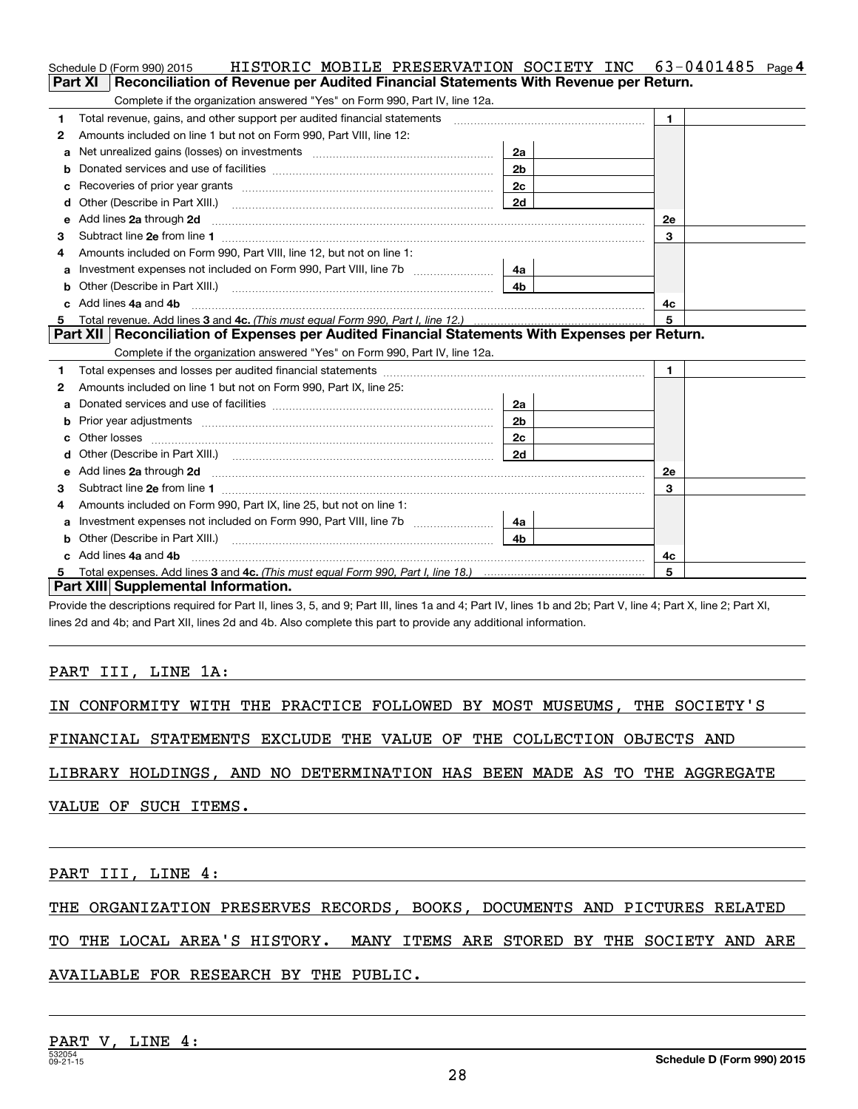|    | HISTORIC MOBILE PRESERVATION SOCIETY INC 63-0401485 Page 4<br>Schedule D (Form 990) 2015                                                                                                                                            |                |              |
|----|-------------------------------------------------------------------------------------------------------------------------------------------------------------------------------------------------------------------------------------|----------------|--------------|
|    | Part XI<br>Reconciliation of Revenue per Audited Financial Statements With Revenue per Return.                                                                                                                                      |                |              |
|    | Complete if the organization answered "Yes" on Form 990, Part IV, line 12a.                                                                                                                                                         |                |              |
| 1  | Total revenue, gains, and other support per audited financial statements                                                                                                                                                            | $\blacksquare$ |              |
| 2  | Amounts included on line 1 but not on Form 990, Part VIII, line 12:                                                                                                                                                                 |                |              |
| a  |                                                                                                                                                                                                                                     | 2a             |              |
|    |                                                                                                                                                                                                                                     | 2 <sub>b</sub> |              |
|    |                                                                                                                                                                                                                                     | 2c             |              |
| d  | Other (Describe in Part XIII.) <b>Construction Contract Construction</b> Chemistry Chemistry Chemistry Chemistry Chemistry Chemistry Chemistry Chemistry Chemistry Chemistry Chemistry Chemistry Chemistry Chemistry Chemistry Chem | 2d             |              |
| e  | Add lines 2a through 2d                                                                                                                                                                                                             |                | <b>2e</b>    |
| 3  |                                                                                                                                                                                                                                     |                | 3            |
| 4  | Amounts included on Form 990, Part VIII, line 12, but not on line 1:                                                                                                                                                                |                |              |
|    |                                                                                                                                                                                                                                     | - 4а           |              |
| b  | Other (Describe in Part XIII.) <b>Construction Contract Construction</b> (Describe in Part XIII.)                                                                                                                                   |                |              |
| c  | Add lines 4a and 4b                                                                                                                                                                                                                 | 4с             |              |
| 5. |                                                                                                                                                                                                                                     |                | 5            |
|    | Part XII   Reconciliation of Expenses per Audited Financial Statements With Expenses per Return.                                                                                                                                    |                |              |
|    | Complete if the organization answered "Yes" on Form 990, Part IV, line 12a.                                                                                                                                                         |                |              |
| 1  |                                                                                                                                                                                                                                     |                | $\mathbf{1}$ |
| 2  | Amounts included on line 1 but not on Form 990, Part IX, line 25:                                                                                                                                                                   |                |              |
|    |                                                                                                                                                                                                                                     | 2a             |              |
|    |                                                                                                                                                                                                                                     | 2 <sub>b</sub> |              |
|    |                                                                                                                                                                                                                                     | 2c             |              |
|    |                                                                                                                                                                                                                                     | 2d             |              |
| е  | Add lines 2a through 2d <b>contained a contained a contained a contained a</b> contained a contact the set of the set of the set of the set of the set of the set of the set of the set of the set of the set of the set of the set |                | 2e           |
| 3  |                                                                                                                                                                                                                                     |                | 3            |
| 4  | Amounts included on Form 990, Part IX, line 25, but not on line 1:                                                                                                                                                                  |                |              |
| a  |                                                                                                                                                                                                                                     | 4a             |              |
|    |                                                                                                                                                                                                                                     | 4b             |              |
|    | Add lines 4a and 4b                                                                                                                                                                                                                 |                | 4c           |
|    |                                                                                                                                                                                                                                     |                | 5            |
|    | Part XIII Supplemental Information.                                                                                                                                                                                                 |                |              |

Provide the descriptions required for Part II, lines 3, 5, and 9; Part III, lines 1a and 4; Part IV, lines 1b and 2b; Part V, line 4; Part X, line 2; Part XI, lines 2d and 4b; and Part XII, lines 2d and 4b. Also complete this part to provide any additional information.

## PART III, LINE 1A:

| IN CONFORMITY WITH THE PRACTICE FOLLOWED BY MOST MUSEUMS, THE SOCIETY'S |  |  |
|-------------------------------------------------------------------------|--|--|
|-------------------------------------------------------------------------|--|--|

FINANCIAL STATEMENTS EXCLUDE THE VALUE OF THE COLLECTION OBJECTS AND

LIBRARY HOLDINGS, AND NO DETERMINATION HAS BEEN MADE AS TO THE AGGREGATE

VALUE OF SUCH ITEMS.

PART III, LINE 4:

THE ORGANIZATION PRESERVES RECORDS, BOOKS, DOCUMENTS AND PICTURES RELATED

TO THE LOCAL AREA'S HISTORY. MANY ITEMS ARE STORED BY THE SOCIETY AND ARE

AVAILABLE FOR RESEARCH BY THE PUBLIC.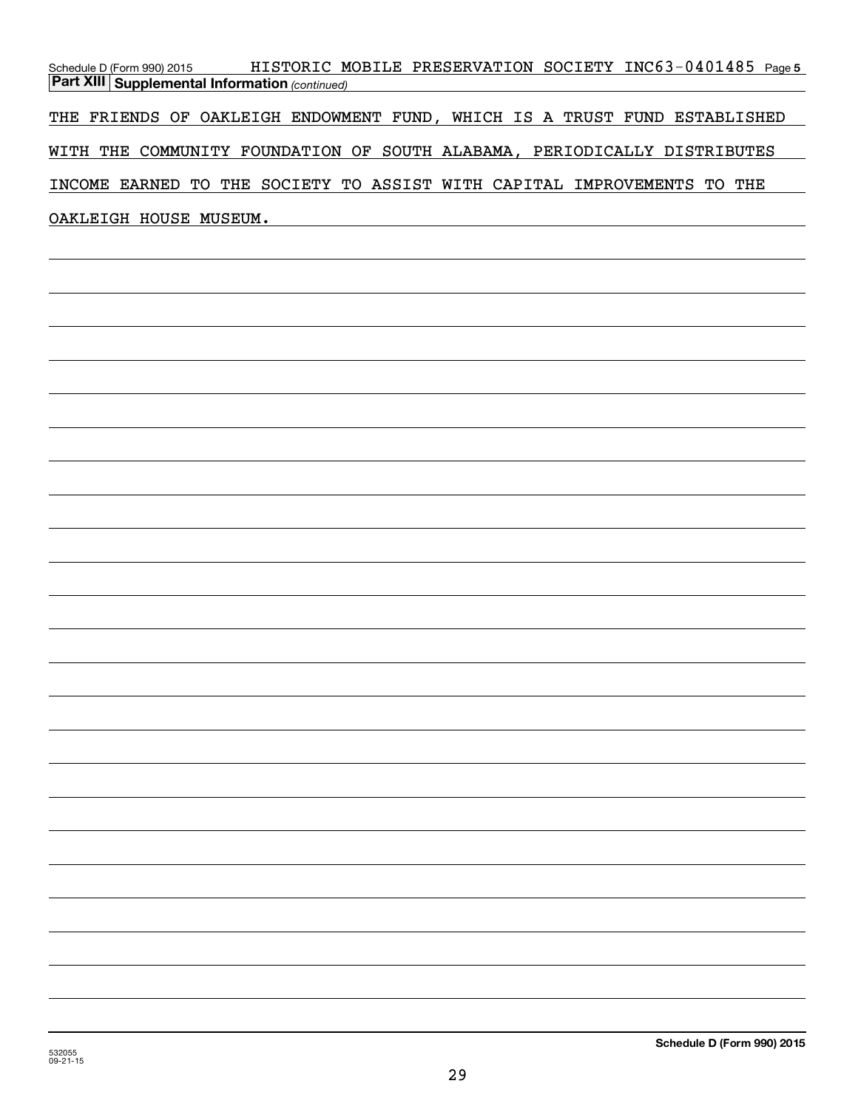| HISTORIC MOBILE PRESERVATION SOCIETY INC63-0401485 Page 5<br>Schedule D (Form 990) 2015 |
|-----------------------------------------------------------------------------------------|
| Part XIII Supplemental Information (continued)                                          |
| THE FRIENDS OF OAKLEIGH ENDOWMENT FUND, WHICH IS A TRUST FUND ESTABLISHED               |
| WITH THE COMMUNITY FOUNDATION OF SOUTH ALABAMA, PERIODICALLY DISTRIBUTES                |
| INCOME EARNED TO THE SOCIETY TO ASSIST WITH CAPITAL IMPROVEMENTS TO THE                 |
| OAKLEIGH HOUSE MUSEUM.                                                                  |
|                                                                                         |
|                                                                                         |
|                                                                                         |
|                                                                                         |
|                                                                                         |
|                                                                                         |
|                                                                                         |
|                                                                                         |
|                                                                                         |
|                                                                                         |
|                                                                                         |
|                                                                                         |
|                                                                                         |
|                                                                                         |
|                                                                                         |
|                                                                                         |
|                                                                                         |
|                                                                                         |
|                                                                                         |
|                                                                                         |
|                                                                                         |
|                                                                                         |
|                                                                                         |
|                                                                                         |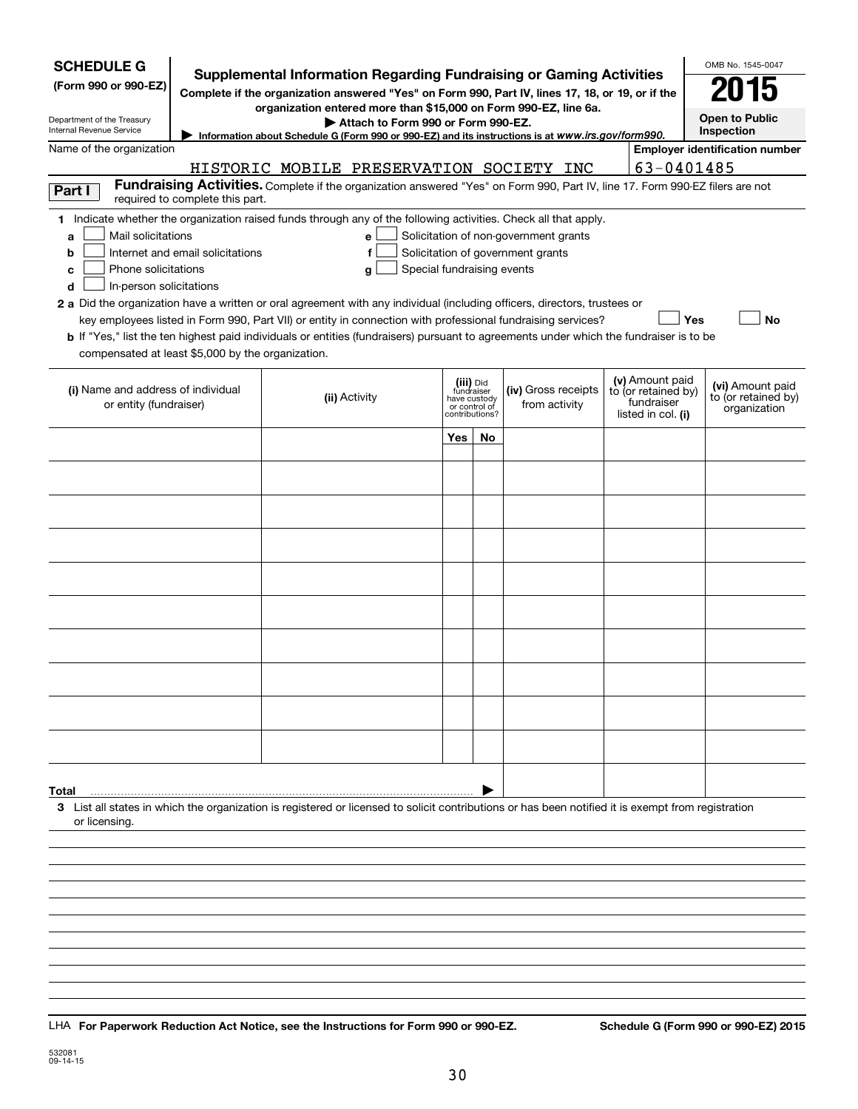| <b>SCHEDULE G</b>                                                                                                                                                                                                                                                     |                                                                                                                                                                                |                                                                                                                                                                                                                                                                                                                                                                                                                                                                                                                                                  |                                                                            |    |                                                                            |  |                                                                            | OMB No. 1545-0047                                       |
|-----------------------------------------------------------------------------------------------------------------------------------------------------------------------------------------------------------------------------------------------------------------------|--------------------------------------------------------------------------------------------------------------------------------------------------------------------------------|--------------------------------------------------------------------------------------------------------------------------------------------------------------------------------------------------------------------------------------------------------------------------------------------------------------------------------------------------------------------------------------------------------------------------------------------------------------------------------------------------------------------------------------------------|----------------------------------------------------------------------------|----|----------------------------------------------------------------------------|--|----------------------------------------------------------------------------|---------------------------------------------------------|
| (Form 990 or 990-EZ)                                                                                                                                                                                                                                                  | <b>Supplemental Information Regarding Fundraising or Gaming Activities</b><br>Complete if the organization answered "Yes" on Form 990, Part IV, lines 17, 18, or 19, or if the |                                                                                                                                                                                                                                                                                                                                                                                                                                                                                                                                                  |                                                                            |    |                                                                            |  |                                                                            | 2015                                                    |
| organization entered more than \$15,000 on Form 990-EZ, line 6a.<br>Department of the Treasury<br>Attach to Form 990 or Form 990-EZ.<br>Internal Revenue Service<br>Information about Schedule G (Form 990 or 990-EZ) and its instructions is at www.irs.gov/form990. |                                                                                                                                                                                |                                                                                                                                                                                                                                                                                                                                                                                                                                                                                                                                                  |                                                                            |    |                                                                            |  |                                                                            | <b>Open to Public</b><br>Inspection                     |
| Name of the organization                                                                                                                                                                                                                                              |                                                                                                                                                                                |                                                                                                                                                                                                                                                                                                                                                                                                                                                                                                                                                  |                                                                            |    |                                                                            |  |                                                                            | <b>Employer identification number</b>                   |
|                                                                                                                                                                                                                                                                       |                                                                                                                                                                                | HISTORIC MOBILE PRESERVATION SOCIETY INC                                                                                                                                                                                                                                                                                                                                                                                                                                                                                                         |                                                                            |    |                                                                            |  | 63-0401485                                                                 |                                                         |
| Part I                                                                                                                                                                                                                                                                | required to complete this part.                                                                                                                                                | Fundraising Activities. Complete if the organization answered "Yes" on Form 990, Part IV, line 17. Form 990-EZ filers are not                                                                                                                                                                                                                                                                                                                                                                                                                    |                                                                            |    |                                                                            |  |                                                                            |                                                         |
| Mail solicitations<br>a<br>b<br>Phone solicitations<br>c<br>In-person solicitations<br>d                                                                                                                                                                              | Internet and email solicitations                                                                                                                                               | Indicate whether the organization raised funds through any of the following activities. Check all that apply.<br>e<br>f<br>Special fundraising events<br>g<br>2 a Did the organization have a written or oral agreement with any individual (including officers, directors, trustees or<br>key employees listed in Form 990, Part VII) or entity in connection with professional fundraising services?<br>b If "Yes," list the ten highest paid individuals or entities (fundraisers) pursuant to agreements under which the fundraiser is to be |                                                                            |    | Solicitation of non-government grants<br>Solicitation of government grants |  | Yes                                                                        | No                                                      |
| compensated at least \$5,000 by the organization.                                                                                                                                                                                                                     |                                                                                                                                                                                |                                                                                                                                                                                                                                                                                                                                                                                                                                                                                                                                                  |                                                                            |    |                                                                            |  |                                                                            |                                                         |
| (i) Name and address of individual<br>or entity (fundraiser)                                                                                                                                                                                                          |                                                                                                                                                                                | (ii) Activity                                                                                                                                                                                                                                                                                                                                                                                                                                                                                                                                    | (iii) pid<br>fundraiser<br>have custody<br>or control of<br>contributions? |    | (iv) Gross receipts<br>from activity                                       |  | (v) Amount paid<br>to (or retained by)<br>fundraiser<br>listed in col. (i) | (vi) Amount paid<br>to (or retained by)<br>organization |
|                                                                                                                                                                                                                                                                       |                                                                                                                                                                                |                                                                                                                                                                                                                                                                                                                                                                                                                                                                                                                                                  | Yes                                                                        | No |                                                                            |  |                                                                            |                                                         |
|                                                                                                                                                                                                                                                                       |                                                                                                                                                                                |                                                                                                                                                                                                                                                                                                                                                                                                                                                                                                                                                  |                                                                            |    |                                                                            |  |                                                                            |                                                         |
|                                                                                                                                                                                                                                                                       |                                                                                                                                                                                |                                                                                                                                                                                                                                                                                                                                                                                                                                                                                                                                                  |                                                                            |    |                                                                            |  |                                                                            |                                                         |
|                                                                                                                                                                                                                                                                       |                                                                                                                                                                                |                                                                                                                                                                                                                                                                                                                                                                                                                                                                                                                                                  |                                                                            |    |                                                                            |  |                                                                            |                                                         |
|                                                                                                                                                                                                                                                                       |                                                                                                                                                                                |                                                                                                                                                                                                                                                                                                                                                                                                                                                                                                                                                  |                                                                            |    |                                                                            |  |                                                                            |                                                         |
|                                                                                                                                                                                                                                                                       |                                                                                                                                                                                |                                                                                                                                                                                                                                                                                                                                                                                                                                                                                                                                                  |                                                                            |    |                                                                            |  |                                                                            |                                                         |
|                                                                                                                                                                                                                                                                       |                                                                                                                                                                                |                                                                                                                                                                                                                                                                                                                                                                                                                                                                                                                                                  |                                                                            |    |                                                                            |  |                                                                            |                                                         |
|                                                                                                                                                                                                                                                                       |                                                                                                                                                                                |                                                                                                                                                                                                                                                                                                                                                                                                                                                                                                                                                  |                                                                            |    |                                                                            |  |                                                                            |                                                         |
|                                                                                                                                                                                                                                                                       |                                                                                                                                                                                |                                                                                                                                                                                                                                                                                                                                                                                                                                                                                                                                                  |                                                                            |    |                                                                            |  |                                                                            |                                                         |
|                                                                                                                                                                                                                                                                       |                                                                                                                                                                                |                                                                                                                                                                                                                                                                                                                                                                                                                                                                                                                                                  |                                                                            |    |                                                                            |  |                                                                            |                                                         |
| Total                                                                                                                                                                                                                                                                 |                                                                                                                                                                                |                                                                                                                                                                                                                                                                                                                                                                                                                                                                                                                                                  |                                                                            |    |                                                                            |  |                                                                            |                                                         |
| or licensing.                                                                                                                                                                                                                                                         |                                                                                                                                                                                | 3 List all states in which the organization is registered or licensed to solicit contributions or has been notified it is exempt from registration                                                                                                                                                                                                                                                                                                                                                                                               |                                                                            |    |                                                                            |  |                                                                            |                                                         |
|                                                                                                                                                                                                                                                                       |                                                                                                                                                                                |                                                                                                                                                                                                                                                                                                                                                                                                                                                                                                                                                  |                                                                            |    |                                                                            |  |                                                                            |                                                         |
|                                                                                                                                                                                                                                                                       |                                                                                                                                                                                |                                                                                                                                                                                                                                                                                                                                                                                                                                                                                                                                                  |                                                                            |    |                                                                            |  |                                                                            |                                                         |
|                                                                                                                                                                                                                                                                       |                                                                                                                                                                                |                                                                                                                                                                                                                                                                                                                                                                                                                                                                                                                                                  |                                                                            |    |                                                                            |  |                                                                            |                                                         |
|                                                                                                                                                                                                                                                                       |                                                                                                                                                                                |                                                                                                                                                                                                                                                                                                                                                                                                                                                                                                                                                  |                                                                            |    |                                                                            |  |                                                                            |                                                         |
|                                                                                                                                                                                                                                                                       |                                                                                                                                                                                |                                                                                                                                                                                                                                                                                                                                                                                                                                                                                                                                                  |                                                                            |    |                                                                            |  |                                                                            |                                                         |

**For Paperwork Reduction Act Notice, see the Instructions for Form 990 or 990-EZ. Schedule G (Form 990 or 990-EZ) 2015** LHA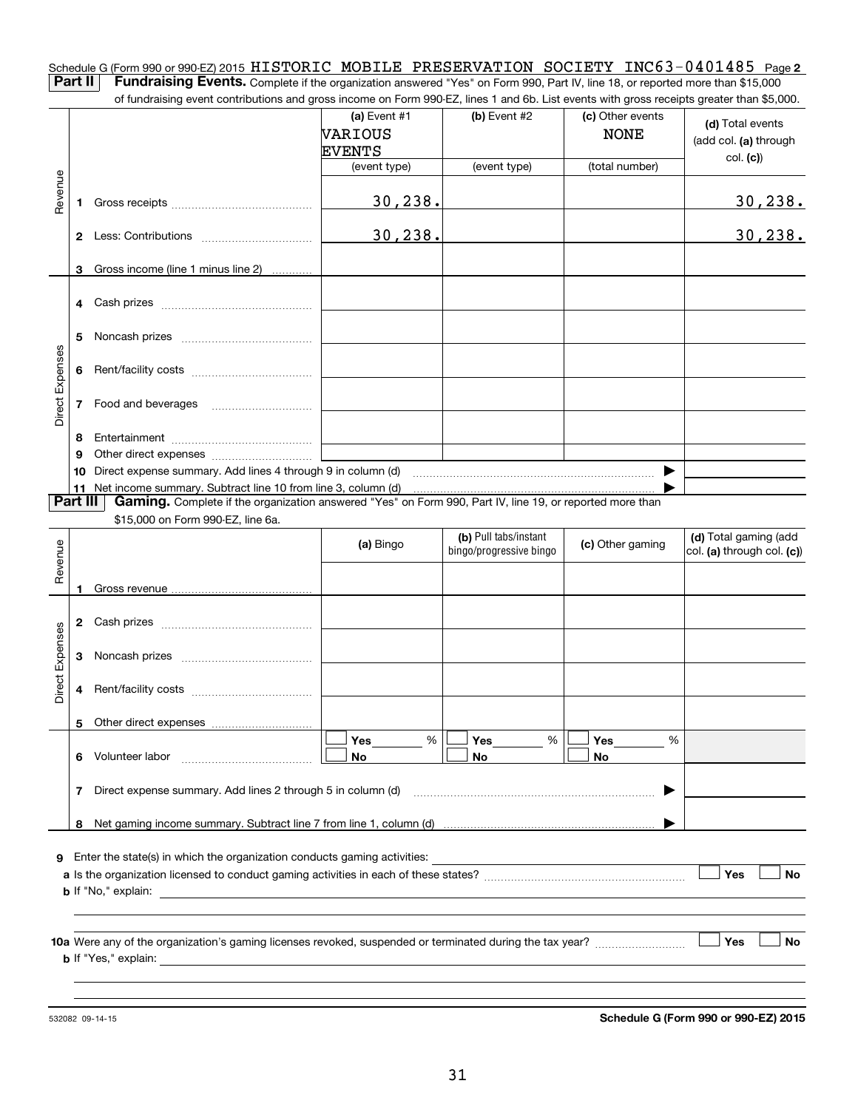Schedule G (Form 990 or 990-EZ) 2015  $\rm HISTORIC$  MOBILE PRESERVATION SOCIETY INC63-0401485 Page 2 Part II | Fundraising Events. Complete if the organization answered "Yes" on Form 990, Part IV, line 18, or reported more than \$15,000 of fundraising event contributions and gross income on Form 990-EZ, lines 1 and 6b. List events with gross receipts greater than \$5,000.

|                 |    | OFfundralsing event contributions and gross income on Form 990-EZ, illies T and 6D. Elst events with gross receipts greater than \$5,000. |                                                |                                                  |                                 |                                                     |
|-----------------|----|-------------------------------------------------------------------------------------------------------------------------------------------|------------------------------------------------|--------------------------------------------------|---------------------------------|-----------------------------------------------------|
|                 |    |                                                                                                                                           | (a) Event #1<br>VARIOUS<br><b>EVENTS</b>       | $(b)$ Event #2                                   | (c) Other events<br><b>NONE</b> | (d) Total events<br>(add col. (a) through           |
|                 |    |                                                                                                                                           | (event type)                                   | (event type)                                     | (total number)                  | col. (c)                                            |
| Revenue         |    |                                                                                                                                           |                                                |                                                  |                                 |                                                     |
|                 | 1. |                                                                                                                                           | 30, 238.                                       |                                                  |                                 | 30, 238.                                            |
|                 |    |                                                                                                                                           | 30,238.                                        |                                                  |                                 | 30,238.                                             |
|                 | 3  | Gross income (line 1 minus line 2)                                                                                                        |                                                |                                                  |                                 |                                                     |
|                 |    |                                                                                                                                           |                                                |                                                  |                                 |                                                     |
|                 | 5  |                                                                                                                                           |                                                |                                                  |                                 |                                                     |
| Expenses        | 6  |                                                                                                                                           |                                                |                                                  |                                 |                                                     |
| Direct          |    |                                                                                                                                           |                                                |                                                  |                                 |                                                     |
|                 | 8  |                                                                                                                                           | <u> 1990 - Jan Barbara Barat, prima popula</u> |                                                  |                                 |                                                     |
|                 | 9  |                                                                                                                                           |                                                |                                                  |                                 |                                                     |
|                 |    |                                                                                                                                           |                                                |                                                  |                                 |                                                     |
|                 |    |                                                                                                                                           |                                                |                                                  |                                 |                                                     |
| Part III        |    | Gaming. Complete if the organization answered "Yes" on Form 990, Part IV, line 19, or reported more than                                  |                                                |                                                  |                                 |                                                     |
|                 |    | \$15,000 on Form 990-EZ, line 6a.                                                                                                         |                                                |                                                  |                                 |                                                     |
| Revenue         |    |                                                                                                                                           | (a) Bingo                                      | (b) Pull tabs/instant<br>bingo/progressive bingo | (c) Other gaming                | (d) Total gaming (add<br>col. (a) through col. (c)) |
|                 |    |                                                                                                                                           |                                                |                                                  |                                 |                                                     |
|                 | 1  |                                                                                                                                           |                                                |                                                  |                                 |                                                     |
|                 |    |                                                                                                                                           |                                                |                                                  |                                 |                                                     |
|                 | 3  |                                                                                                                                           |                                                |                                                  |                                 |                                                     |
| Direct Expenses | 4  |                                                                                                                                           |                                                |                                                  |                                 |                                                     |
|                 |    |                                                                                                                                           |                                                |                                                  |                                 |                                                     |
|                 | 6  | Volunteer labor                                                                                                                           | Yes<br>%<br>No                                 | Yes<br>%<br>No                                   | Yes<br>%<br>No                  |                                                     |
|                 | 7  | Direct expense summary. Add lines 2 through 5 in column (d)                                                                               |                                                |                                                  |                                 |                                                     |
|                 | 8  |                                                                                                                                           |                                                |                                                  |                                 |                                                     |
|                 |    |                                                                                                                                           |                                                |                                                  |                                 |                                                     |
|                 |    | 9 Enter the state(s) in which the organization conducts gaming activities:                                                                |                                                |                                                  |                                 | Yes<br>No                                           |
|                 |    | <b>b</b> If "No," explain:                                                                                                                |                                                |                                                  |                                 |                                                     |
|                 |    |                                                                                                                                           |                                                |                                                  |                                 | Yes<br>No                                           |

**Schedule G (Form 990 or 990-EZ) 2015**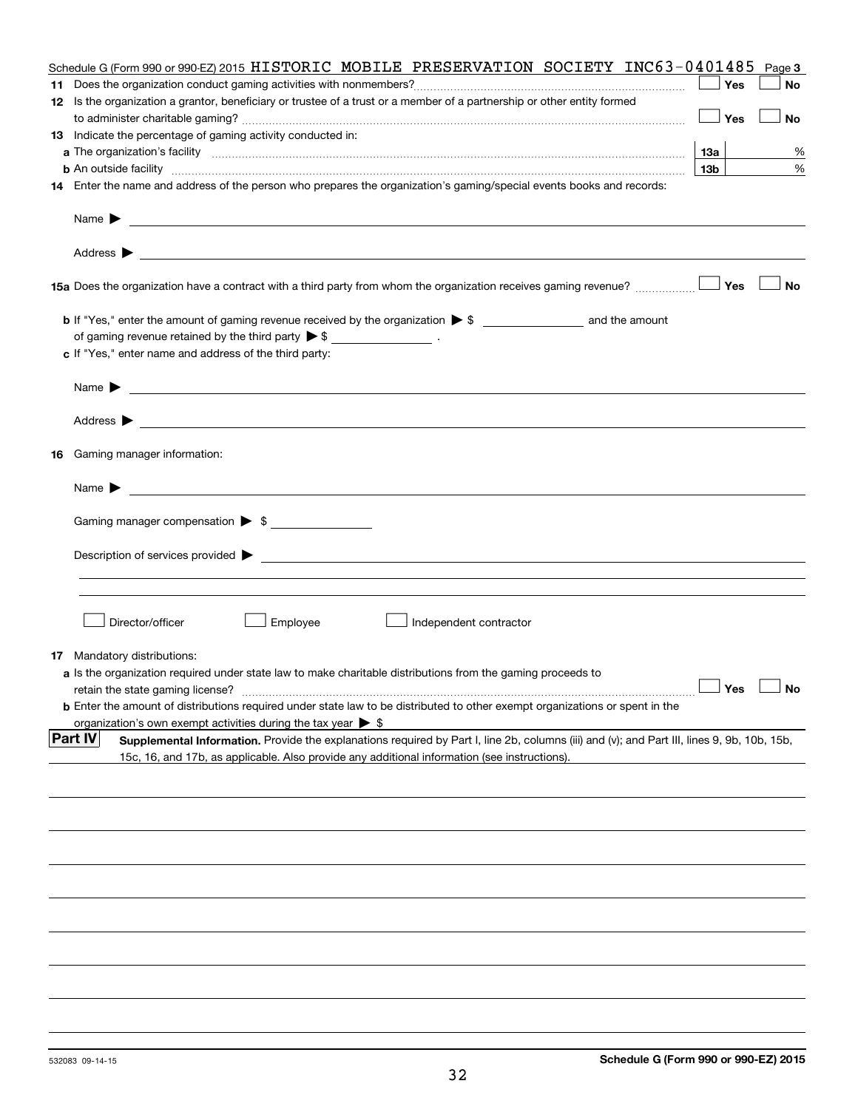|    | Schedule G (Form 990 or 990-EZ) 2015 HISTORIC MOBILE PRESERVATION SOCIETY INC63-0401485                                                                       |                 |            | Page 3    |
|----|---------------------------------------------------------------------------------------------------------------------------------------------------------------|-----------------|------------|-----------|
|    |                                                                                                                                                               |                 | Yes        | <b>No</b> |
|    | 12 Is the organization a grantor, beneficiary or trustee of a trust or a member of a partnership or other entity formed                                       |                 |            |           |
|    |                                                                                                                                                               |                 | Yes        | No        |
|    | 13 Indicate the percentage of gaming activity conducted in:                                                                                                   |                 |            |           |
|    |                                                                                                                                                               | 13а             |            | %         |
|    | <b>b</b> An outside facility <i>www.communicality www.communicality.communicality www.communicality www.communicality.communicality www.communicality.com</i> | 13 <sub>b</sub> |            | %         |
|    | 14 Enter the name and address of the person who prepares the organization's gaming/special events books and records:                                          |                 |            |           |
|    | Name $\blacktriangleright$<br><u> 1989 - Johann Barbara, martin amerikan basar dan berasal dan berasal dalam basar dalam basar dalam basar dala</u>           |                 |            |           |
|    |                                                                                                                                                               |                 |            |           |
|    | 158 Yes                                                                                                                                                       |                 |            | No        |
|    |                                                                                                                                                               |                 |            |           |
|    | of gaming revenue retained by the third party $\triangleright$ \$ _________________.                                                                          |                 |            |           |
|    | c If "Yes," enter name and address of the third party:                                                                                                        |                 |            |           |
|    |                                                                                                                                                               |                 |            |           |
|    | Name $\blacktriangleright$<br><u> 1989 - Andrea Stadt Britain, amerikansk fotograf i den stadt fotograf i den stadt fotograf i den stadt fotogr</u>           |                 |            |           |
|    | Address $\blacktriangleright$<br><u> 1989 - Andrea Stadt Britain, amerikansk politiker (</u>                                                                  |                 |            |           |
| 16 | Gaming manager information:                                                                                                                                   |                 |            |           |
|    | Name $\blacktriangleright$                                                                                                                                    |                 |            |           |
|    | Gaming manager compensation > \$                                                                                                                              |                 |            |           |
|    |                                                                                                                                                               |                 |            |           |
|    |                                                                                                                                                               |                 |            |           |
|    | Director/officer<br>Employee<br>Independent contractor                                                                                                        |                 |            |           |
| 17 | Mandatory distributions:                                                                                                                                      |                 |            |           |
|    | a Is the organization required under state law to make charitable distributions from the gaming proceeds to                                                   |                 |            |           |
|    | retain the state gaming license?                                                                                                                              |                 | $\Box$ Yes |           |
|    | <b>b</b> Enter the amount of distributions required under state law to be distributed to other exempt organizations or spent in the                           |                 |            |           |
|    | organization's own exempt activities during the tax year $\triangleright$ \$                                                                                  |                 |            |           |
|    | <b>Part IV</b><br>Supplemental Information. Provide the explanations required by Part I, line 2b, columns (iii) and (v); and Part III, lines 9, 9b, 10b, 15b, |                 |            |           |
|    | 15c, 16, and 17b, as applicable. Also provide any additional information (see instructions).                                                                  |                 |            |           |
|    |                                                                                                                                                               |                 |            |           |
|    |                                                                                                                                                               |                 |            |           |
|    |                                                                                                                                                               |                 |            |           |
|    |                                                                                                                                                               |                 |            |           |
|    |                                                                                                                                                               |                 |            |           |
|    |                                                                                                                                                               |                 |            |           |
|    |                                                                                                                                                               |                 |            |           |
|    |                                                                                                                                                               |                 |            |           |
|    |                                                                                                                                                               |                 |            |           |
|    |                                                                                                                                                               |                 |            |           |
|    |                                                                                                                                                               |                 |            |           |
|    |                                                                                                                                                               |                 |            |           |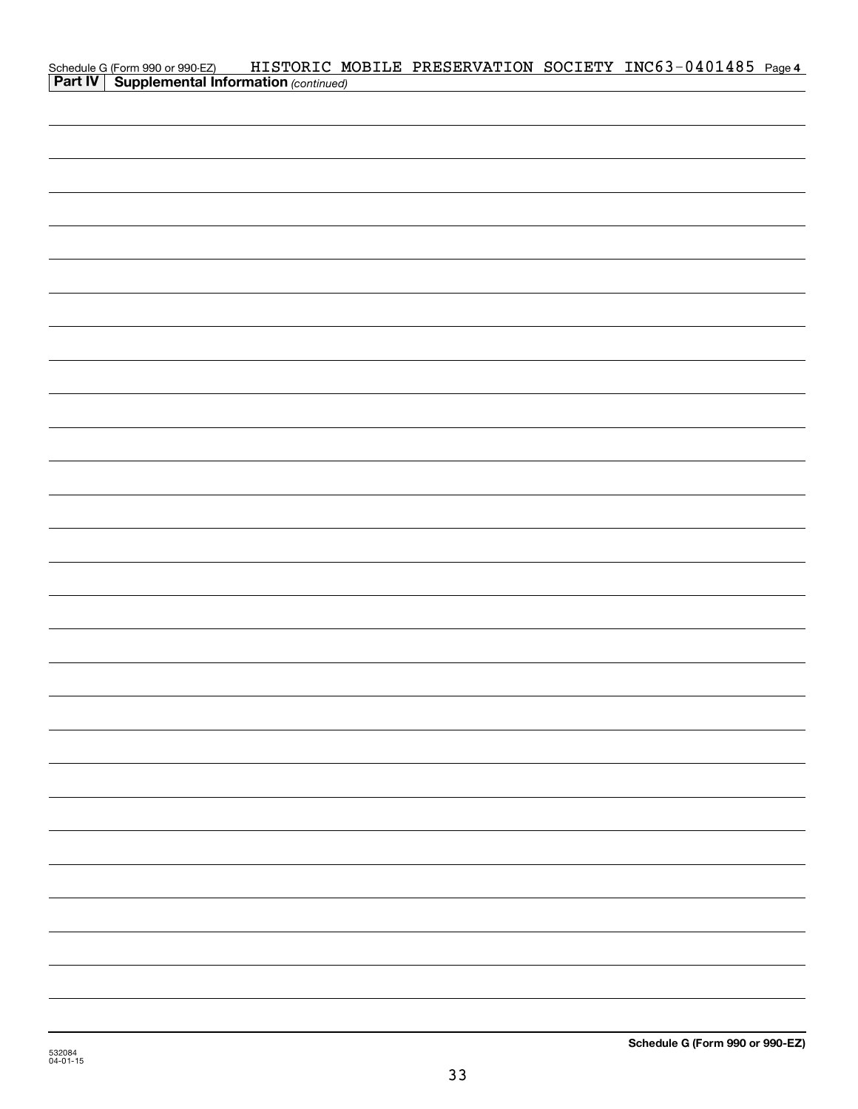| Schedule G (Form 990 or 990-EZ) HISTORIC MOBILE PRESERVATION SOCIETY INC63-0401485 Page 4<br><b>Part IV Supplemental Information</b> (continued) |  |  |  |  |
|--------------------------------------------------------------------------------------------------------------------------------------------------|--|--|--|--|
|                                                                                                                                                  |  |  |  |  |
|                                                                                                                                                  |  |  |  |  |
|                                                                                                                                                  |  |  |  |  |
|                                                                                                                                                  |  |  |  |  |
|                                                                                                                                                  |  |  |  |  |
|                                                                                                                                                  |  |  |  |  |
|                                                                                                                                                  |  |  |  |  |
|                                                                                                                                                  |  |  |  |  |
|                                                                                                                                                  |  |  |  |  |
|                                                                                                                                                  |  |  |  |  |
|                                                                                                                                                  |  |  |  |  |
|                                                                                                                                                  |  |  |  |  |
|                                                                                                                                                  |  |  |  |  |
|                                                                                                                                                  |  |  |  |  |
|                                                                                                                                                  |  |  |  |  |
|                                                                                                                                                  |  |  |  |  |
|                                                                                                                                                  |  |  |  |  |
|                                                                                                                                                  |  |  |  |  |
|                                                                                                                                                  |  |  |  |  |
|                                                                                                                                                  |  |  |  |  |
|                                                                                                                                                  |  |  |  |  |
|                                                                                                                                                  |  |  |  |  |
|                                                                                                                                                  |  |  |  |  |
|                                                                                                                                                  |  |  |  |  |
|                                                                                                                                                  |  |  |  |  |
|                                                                                                                                                  |  |  |  |  |
|                                                                                                                                                  |  |  |  |  |
|                                                                                                                                                  |  |  |  |  |
|                                                                                                                                                  |  |  |  |  |
|                                                                                                                                                  |  |  |  |  |
|                                                                                                                                                  |  |  |  |  |
|                                                                                                                                                  |  |  |  |  |
|                                                                                                                                                  |  |  |  |  |
|                                                                                                                                                  |  |  |  |  |
|                                                                                                                                                  |  |  |  |  |
|                                                                                                                                                  |  |  |  |  |
|                                                                                                                                                  |  |  |  |  |
|                                                                                                                                                  |  |  |  |  |
|                                                                                                                                                  |  |  |  |  |
|                                                                                                                                                  |  |  |  |  |
|                                                                                                                                                  |  |  |  |  |
|                                                                                                                                                  |  |  |  |  |
|                                                                                                                                                  |  |  |  |  |
|                                                                                                                                                  |  |  |  |  |
|                                                                                                                                                  |  |  |  |  |
|                                                                                                                                                  |  |  |  |  |
|                                                                                                                                                  |  |  |  |  |
|                                                                                                                                                  |  |  |  |  |
|                                                                                                                                                  |  |  |  |  |
|                                                                                                                                                  |  |  |  |  |
|                                                                                                                                                  |  |  |  |  |
|                                                                                                                                                  |  |  |  |  |
|                                                                                                                                                  |  |  |  |  |
|                                                                                                                                                  |  |  |  |  |
|                                                                                                                                                  |  |  |  |  |
|                                                                                                                                                  |  |  |  |  |
|                                                                                                                                                  |  |  |  |  |
|                                                                                                                                                  |  |  |  |  |
|                                                                                                                                                  |  |  |  |  |
|                                                                                                                                                  |  |  |  |  |
|                                                                                                                                                  |  |  |  |  |
|                                                                                                                                                  |  |  |  |  |
|                                                                                                                                                  |  |  |  |  |
|                                                                                                                                                  |  |  |  |  |
|                                                                                                                                                  |  |  |  |  |
|                                                                                                                                                  |  |  |  |  |
|                                                                                                                                                  |  |  |  |  |
|                                                                                                                                                  |  |  |  |  |
|                                                                                                                                                  |  |  |  |  |
|                                                                                                                                                  |  |  |  |  |
|                                                                                                                                                  |  |  |  |  |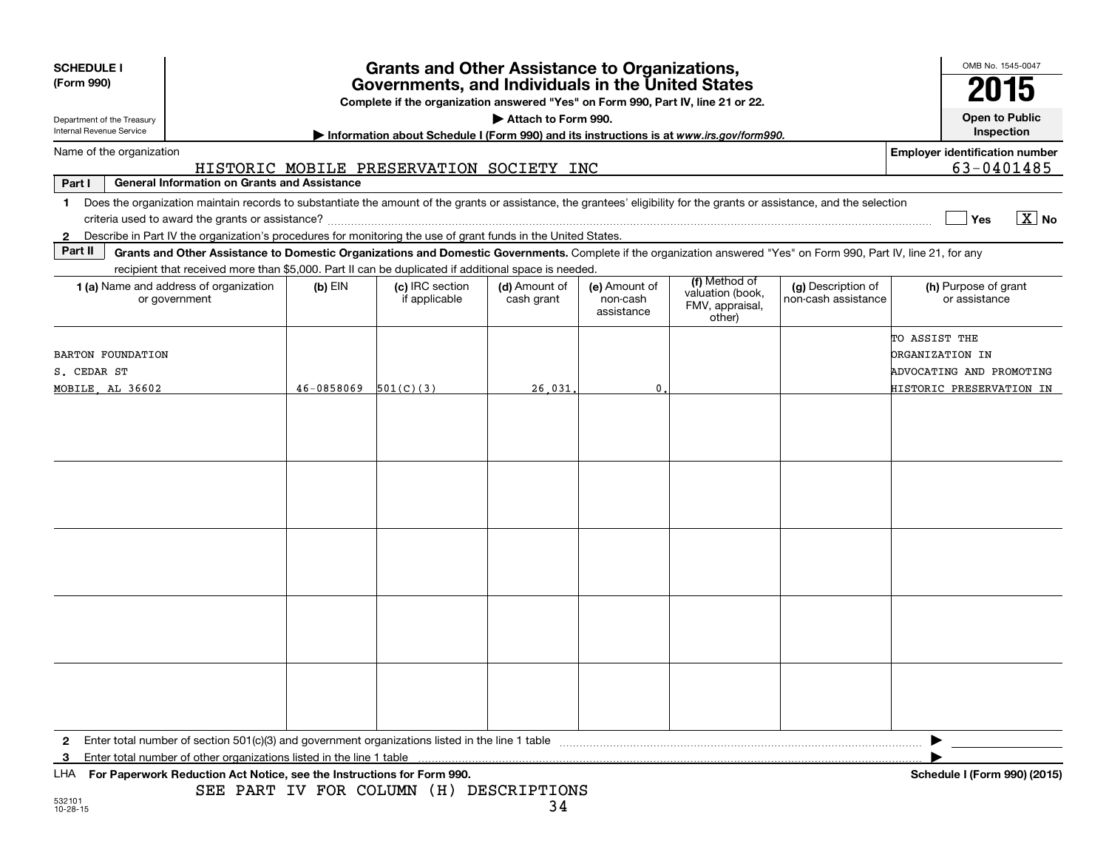| <b>SCHEDULE I</b>                                                                                                                                   |                                                                                                                                                                          |            | <b>Grants and Other Assistance to Organizations,</b>                                    |                             |                                         |                                                                |                                           | OMB No. 1545-0047                                            |
|-----------------------------------------------------------------------------------------------------------------------------------------------------|--------------------------------------------------------------------------------------------------------------------------------------------------------------------------|------------|-----------------------------------------------------------------------------------------|-----------------------------|-----------------------------------------|----------------------------------------------------------------|-------------------------------------------|--------------------------------------------------------------|
| (Form 990)<br>Governments, and Individuals in the United States<br>Complete if the organization answered "Yes" on Form 990, Part IV, line 21 or 22. |                                                                                                                                                                          |            |                                                                                         |                             |                                         |                                                                |                                           |                                                              |
| Department of the Treasury<br>Internal Revenue Service                                                                                              |                                                                                                                                                                          |            | Information about Schedule I (Form 990) and its instructions is at www.irs.gov/form990. | Attach to Form 990.         |                                         |                                                                |                                           | <b>Open to Public</b><br>Inspection                          |
| Name of the organization                                                                                                                            |                                                                                                                                                                          |            |                                                                                         |                             |                                         |                                                                |                                           | <b>Employer identification number</b>                        |
|                                                                                                                                                     |                                                                                                                                                                          |            | HISTORIC MOBILE PRESERVATION SOCIETY INC                                                |                             |                                         |                                                                |                                           | 63-0401485                                                   |
| Part I                                                                                                                                              | <b>General Information on Grants and Assistance</b>                                                                                                                      |            |                                                                                         |                             |                                         |                                                                |                                           |                                                              |
| $\mathbf 1$                                                                                                                                         | Does the organization maintain records to substantiate the amount of the grants or assistance, the grantees' eligibility for the grants or assistance, and the selection |            |                                                                                         |                             |                                         |                                                                |                                           | $X$ No                                                       |
| $\mathbf{2}$                                                                                                                                        | criteria used to award the grants or assistance?<br>Describe in Part IV the organization's procedures for monitoring the use of grant funds in the United States.        |            |                                                                                         |                             |                                         |                                                                |                                           | Yes                                                          |
| Part II                                                                                                                                             | Grants and Other Assistance to Domestic Organizations and Domestic Governments. Complete if the organization answered "Yes" on Form 990, Part IV, line 21, for any       |            |                                                                                         |                             |                                         |                                                                |                                           |                                                              |
|                                                                                                                                                     | recipient that received more than \$5,000. Part II can be duplicated if additional space is needed.                                                                      |            |                                                                                         |                             |                                         |                                                                |                                           |                                                              |
|                                                                                                                                                     | <b>1 (a)</b> Name and address of organization<br>or government                                                                                                           | $(b)$ EIN  | (c) IRC section<br>if applicable                                                        | (d) Amount of<br>cash grant | (e) Amount of<br>non-cash<br>assistance | (f) Method of<br>valuation (book,<br>FMV, appraisal,<br>other) | (g) Description of<br>non-cash assistance | (h) Purpose of grant<br>or assistance                        |
| <b>BARTON FOUNDATION</b><br>S. CEDAR ST                                                                                                             |                                                                                                                                                                          |            |                                                                                         |                             |                                         |                                                                |                                           | TO ASSIST THE<br>ORGANIZATION IN<br>ADVOCATING AND PROMOTING |
| MOBILE, AL 36602                                                                                                                                    |                                                                                                                                                                          | 46-0858069 | 501(C)(3)                                                                               | 26,031,                     | 0                                       |                                                                |                                           | HISTORIC PRESERVATION IN                                     |
|                                                                                                                                                     |                                                                                                                                                                          |            |                                                                                         |                             |                                         |                                                                |                                           |                                                              |
|                                                                                                                                                     |                                                                                                                                                                          |            |                                                                                         |                             |                                         |                                                                |                                           |                                                              |
|                                                                                                                                                     |                                                                                                                                                                          |            |                                                                                         |                             |                                         |                                                                |                                           |                                                              |
|                                                                                                                                                     |                                                                                                                                                                          |            |                                                                                         |                             |                                         |                                                                |                                           |                                                              |
|                                                                                                                                                     |                                                                                                                                                                          |            |                                                                                         |                             |                                         |                                                                |                                           |                                                              |
| 2                                                                                                                                                   |                                                                                                                                                                          |            |                                                                                         |                             |                                         |                                                                |                                           |                                                              |
| -3                                                                                                                                                  | Enter total number of other organizations listed in the line 1 table                                                                                                     |            |                                                                                         |                             |                                         |                                                                |                                           |                                                              |
|                                                                                                                                                     | LHA For Paperwork Reduction Act Notice, see the Instructions for Form 990.                                                                                               |            | SEE PART IV FOR COLUMN (H) DESCRIPTIONS                                                 |                             |                                         |                                                                |                                           | Schedule I (Form 990) (2015)                                 |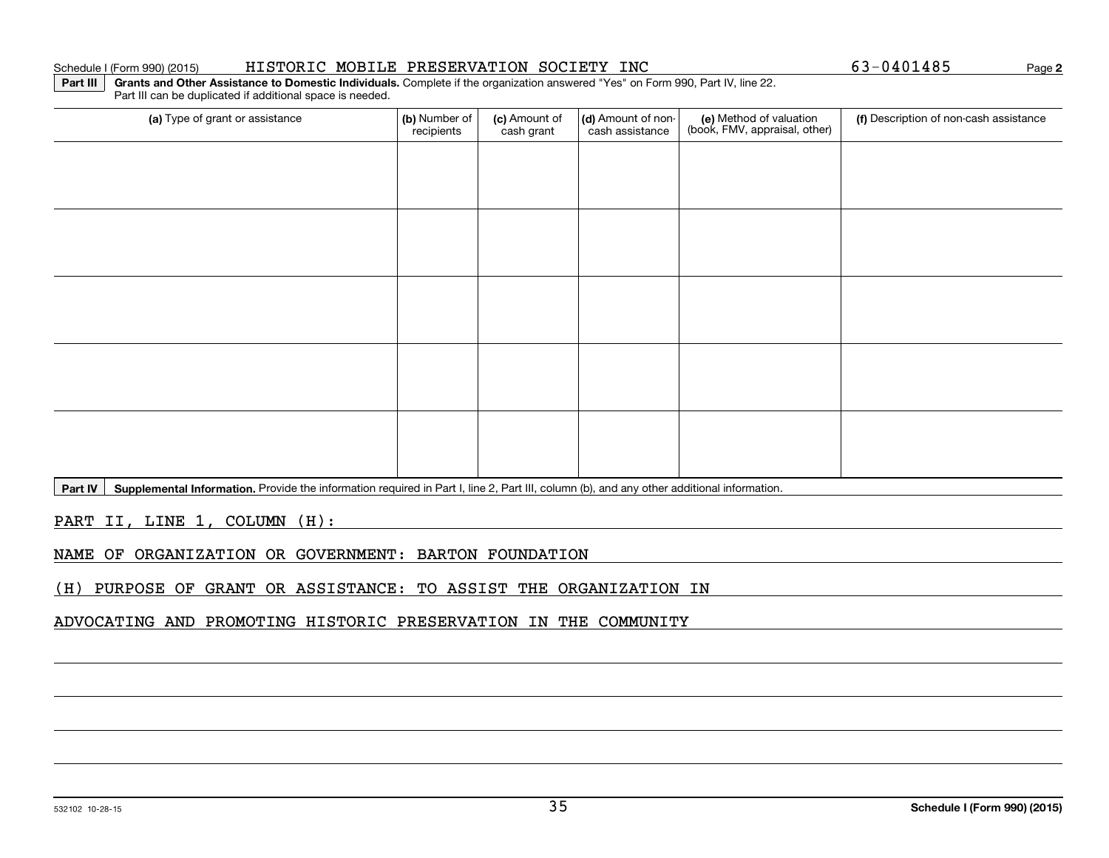#### Schedule I (Form 990) (2015)HISTORIC MOBILE PRESERVATION SOCIETY INC 63-0401485 Page

**2**

**Part III | Grants and Other Assistance to Domestic Individuals.** Complete if the organization answered "Yes" on Form 990, Part IV, line 22. Part III can be duplicated if additional space is needed.

| (a) Type of grant or assistance | (b) Number of<br>recipients | (c) Amount of<br>cash grant | (d) Amount of non-<br>cash assistance | (e) Method of valuation<br>(book, FMV, appraisal, other) | (f) Description of non-cash assistance |
|---------------------------------|-----------------------------|-----------------------------|---------------------------------------|----------------------------------------------------------|----------------------------------------|
|                                 |                             |                             |                                       |                                                          |                                        |
|                                 |                             |                             |                                       |                                                          |                                        |
|                                 |                             |                             |                                       |                                                          |                                        |
|                                 |                             |                             |                                       |                                                          |                                        |
|                                 |                             |                             |                                       |                                                          |                                        |
|                                 |                             |                             |                                       |                                                          |                                        |
|                                 |                             |                             |                                       |                                                          |                                        |
|                                 |                             |                             |                                       |                                                          |                                        |
|                                 |                             |                             |                                       |                                                          |                                        |
|                                 |                             |                             |                                       |                                                          |                                        |

Part IV | Supplemental Information. Provide the information required in Part I, line 2, Part III, column (b), and any other additional information.

PART II, LINE 1, COLUMN (H):

NAME OF ORGANIZATION OR GOVERNMENT: BARTON FOUNDATION

(H) PURPOSE OF GRANT OR ASSISTANCE: TO ASSIST THE ORGANIZATION IN

ADVOCATING AND PROMOTING HISTORIC PRESERVATION IN THE COMMUNITY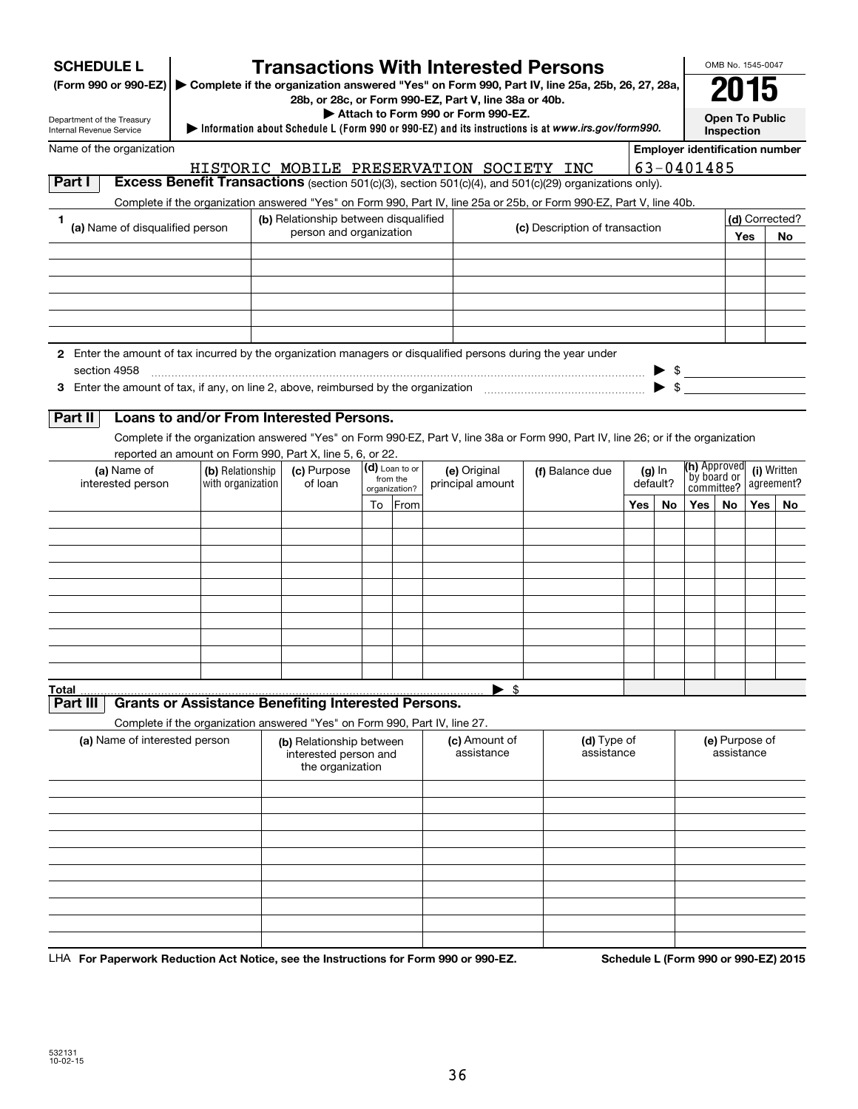#### **SCHEDULE L**

**(Form 990 or 990-EZ) | Complete if the organization answered "Yes" on Form 990, Part IV, line 25a, 25b, 26, 27, 28a, 28b, or 28c, or Form 990-EZ, Part V, line 38a or 40b. Transactions With Interested Persons**<br>the organization answered "Yes" on Form 990, Part IV, line 25a, 25b, 26, 27, 28a, 2015<br>2015

**Open To Public**

**Inspection**

OMB No. 1545-0047

Department of the Treasury Internal Revenue Service

**| Attach to Form 990 or Form 990-EZ.**

 **Information about Schedule L (Form 990 or 990-EZ) and its instructions is at |** *www.irs.gov/form990.*

| Name of the organization |  |
|--------------------------|--|

**Employer identification number** HISTORIC MOBILE PRESERVATION SOCIETY INC | 63-0401485

**Part I** | Excess Benefit Transactions (section 501(c)(3), section 501(c)(4), and 501(c)(29) organizations only). Complete if the organization answered "Yes" on Form 990, Part IV, line 25a or 25b, or Form 990-EZ, Part V, line 40b.

|                                                                                     |                                                                                                             | COMPRETE IN THE ORGANIZATION ANSWERGED THES TON PONDITIONS. PART IV, THE ZOA OF ZOD, OF PONDITION-CZ, PART V, THE 40D. |                |    |  |
|-------------------------------------------------------------------------------------|-------------------------------------------------------------------------------------------------------------|------------------------------------------------------------------------------------------------------------------------|----------------|----|--|
| (a) Name of disqualified person                                                     | (b) Relationship between disqualified                                                                       | (c) Description of transaction                                                                                         | (d) Corrected? |    |  |
|                                                                                     | person and organization                                                                                     |                                                                                                                        | Yes            | No |  |
|                                                                                     |                                                                                                             |                                                                                                                        |                |    |  |
|                                                                                     |                                                                                                             |                                                                                                                        |                |    |  |
|                                                                                     |                                                                                                             |                                                                                                                        |                |    |  |
|                                                                                     |                                                                                                             |                                                                                                                        |                |    |  |
|                                                                                     |                                                                                                             |                                                                                                                        |                |    |  |
|                                                                                     |                                                                                                             |                                                                                                                        |                |    |  |
| $\mathbf{p}$                                                                        | Enter the amount of tax incurred by the organization managers or disqualified persons during the year under |                                                                                                                        |                |    |  |
| section 4958                                                                        |                                                                                                             |                                                                                                                        |                |    |  |
| 3 Enter the amount of tax, if any, on line 2, above, reimbursed by the organization |                                                                                                             |                                                                                                                        |                |    |  |

**Part II Loans to and/or From Interested Persons.**

Complete if the organization answered "Yes" on Form 990-EZ, Part V, line 38a or Form 990, Part IV, line 26; or if the organization

reported an amount on Form 990, Part X, line 5, 6, or 22.

| (a) Name of<br>interested person | (b) Relationship<br>with organization | (c) Purpose<br>of loan | (d) Loan to or<br>from the<br>organization? |      | (e) Original<br>principal amount |  |     | (f) Balance due | (g) In<br>default? |    | (h) Approved<br>by board or<br>committee? agreement? |    |  |  |
|----------------------------------|---------------------------------------|------------------------|---------------------------------------------|------|----------------------------------|--|-----|-----------------|--------------------|----|------------------------------------------------------|----|--|--|
|                                  |                                       |                        | To                                          | From |                                  |  | Yes | No              | Yes                | No | Yes                                                  | No |  |  |
|                                  |                                       |                        |                                             |      |                                  |  |     |                 |                    |    |                                                      |    |  |  |
|                                  |                                       |                        |                                             |      |                                  |  |     |                 |                    |    |                                                      |    |  |  |
|                                  |                                       |                        |                                             |      |                                  |  |     |                 |                    |    |                                                      |    |  |  |
|                                  |                                       |                        |                                             |      |                                  |  |     |                 |                    |    |                                                      |    |  |  |
|                                  |                                       |                        |                                             |      |                                  |  |     |                 |                    |    |                                                      |    |  |  |
|                                  |                                       |                        |                                             |      |                                  |  |     |                 |                    |    |                                                      |    |  |  |
|                                  |                                       |                        |                                             |      |                                  |  |     |                 |                    |    |                                                      |    |  |  |
|                                  |                                       |                        |                                             |      |                                  |  |     |                 |                    |    |                                                      |    |  |  |
|                                  |                                       |                        |                                             |      |                                  |  |     |                 |                    |    |                                                      |    |  |  |
|                                  |                                       |                        |                                             |      |                                  |  |     |                 |                    |    |                                                      |    |  |  |
|                                  |                                       |                        |                                             |      | \$<br>▶                          |  |     |                 |                    |    |                                                      |    |  |  |

### **Part III Grants or Assistance Benefiting Interested Persons.**

Complete if the organization answered "Yes" on Form 990, Part IV, line 27.

| (a) Name of interested person | (b) Relationship between<br>interested person and<br>the organization | (c) Amount of<br>assistance | (d) Type of<br>assistance | (e) Purpose of<br>assistance |
|-------------------------------|-----------------------------------------------------------------------|-----------------------------|---------------------------|------------------------------|
|                               |                                                                       |                             |                           |                              |
|                               |                                                                       |                             |                           |                              |
|                               |                                                                       |                             |                           |                              |
|                               |                                                                       |                             |                           |                              |
|                               |                                                                       |                             |                           |                              |
|                               |                                                                       |                             |                           |                              |
|                               |                                                                       |                             |                           |                              |
|                               |                                                                       |                             |                           |                              |
|                               |                                                                       |                             |                           |                              |
|                               |                                                                       |                             |                           |                              |

LHA For Paperwork Reduction Act Notice, see the Instructions for Form 990 or 990-EZ. Schedule L (Form 990 or 990-EZ) 2015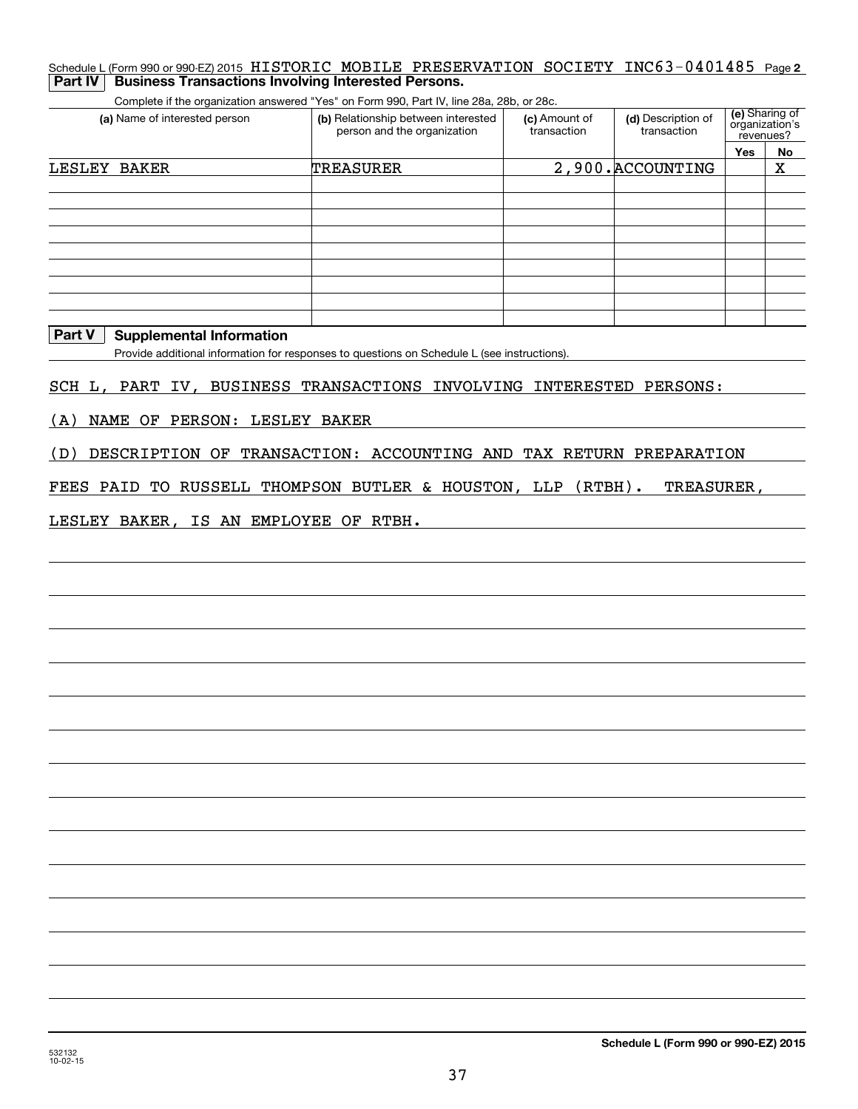#### Schedule L (Form 990 or 990-EZ) 2015 HISTORIC MOBILE PRESERVATION SOCIETY INC63-0401485 Page 2 **Part IV** Business Transactions Involving Interested Persons.

Complete if the organization answered "Yes" on Form 990, Part IV, line 28a, 28b, or 28c.

| (a) Name of interested person | (b) Relationship between interested<br>person and the organization | (d) Description of<br>(c) Amount of<br>transaction<br>transaction |                   | (e) Sharing of<br>organization's<br>revenues? |    |
|-------------------------------|--------------------------------------------------------------------|-------------------------------------------------------------------|-------------------|-----------------------------------------------|----|
|                               |                                                                    |                                                                   |                   | Yes                                           | No |
| LESLEY<br>BAKER               | <b>TREASURER</b>                                                   |                                                                   | 2,900. ACCOUNTING |                                               | х  |
|                               |                                                                    |                                                                   |                   |                                               |    |
|                               |                                                                    |                                                                   |                   |                                               |    |
|                               |                                                                    |                                                                   |                   |                                               |    |
|                               |                                                                    |                                                                   |                   |                                               |    |
|                               |                                                                    |                                                                   |                   |                                               |    |
|                               |                                                                    |                                                                   |                   |                                               |    |
|                               |                                                                    |                                                                   |                   |                                               |    |
|                               |                                                                    |                                                                   |                   |                                               |    |
|                               |                                                                    |                                                                   |                   |                                               |    |

#### **Part V** | Supplemental Information

Provide additional information for responses to questions on Schedule L (see instructions).

#### SCH L, PART IV, BUSINESS TRANSACTIONS INVOLVING INTERESTED PERSONS:

#### (A) NAME OF PERSON: LESLEY BAKER

(D) DESCRIPTION OF TRANSACTION: ACCOUNTING AND TAX RETURN PREPARATION

FEES PAID TO RUSSELL THOMPSON BUTLER & HOUSTON, LLP (RTBH). TREASURER,

LESLEY BAKER, IS AN EMPLOYEE OF RTBH.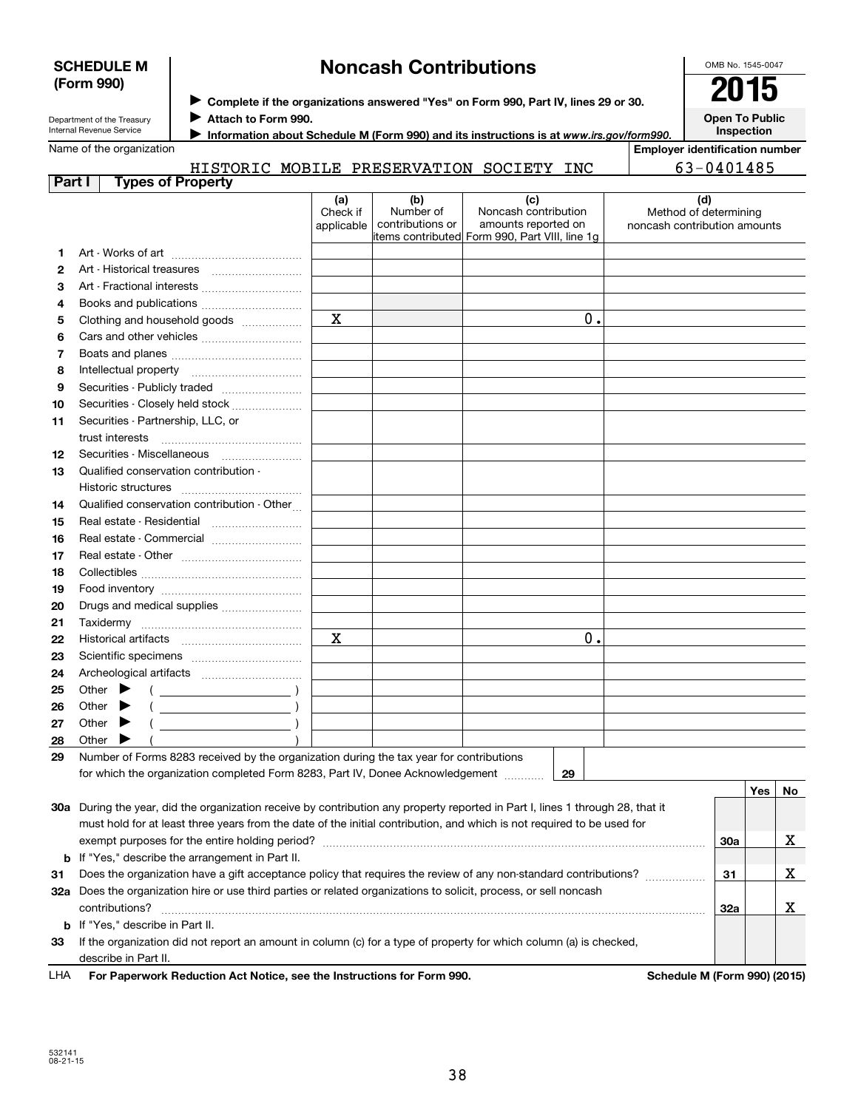### **SCHEDULE M (Form 990)**

Department of the Treasury Internal Revenue Service

# **Noncash Contributions**

**Complete if the organizations answered "Yes" on Form 990, Part IV, lines 29 or 30.** <sup>J</sup>**2015**

**Attach to Form 990.** J

**Open To Public Inspection**

OMB No. 1545-0047

Name of the organization

**Information about Schedule M (Form 990) and its instructions is at www.irs.gov/form990.** 

**Employer identification number**

**Part I Types of Property**

# HISTORIC MOBILE PRESERVATION SOCIETY INC | 63-0401485

|    |                                                                                                                                | (a)<br>Check if<br>applicable | (b)<br>Number of<br>contributions or | (c)<br>Noncash contribution<br>amounts reported on<br>items contributed Form 990, Part VIII, line 1q | (d)<br>Method of determining<br>noncash contribution amounts |     |     |    |
|----|--------------------------------------------------------------------------------------------------------------------------------|-------------------------------|--------------------------------------|------------------------------------------------------------------------------------------------------|--------------------------------------------------------------|-----|-----|----|
| 1  |                                                                                                                                |                               |                                      |                                                                                                      |                                                              |     |     |    |
| 2  | Art - Historical treasures                                                                                                     |                               |                                      |                                                                                                      |                                                              |     |     |    |
| З  | Art - Fractional interests                                                                                                     |                               |                                      |                                                                                                      |                                                              |     |     |    |
| 4  | Books and publications                                                                                                         |                               |                                      |                                                                                                      |                                                              |     |     |    |
| 5  | Clothing and household goods                                                                                                   | X                             |                                      | О.                                                                                                   |                                                              |     |     |    |
| 6  |                                                                                                                                |                               |                                      |                                                                                                      |                                                              |     |     |    |
| 7  |                                                                                                                                |                               |                                      |                                                                                                      |                                                              |     |     |    |
| 8  |                                                                                                                                |                               |                                      |                                                                                                      |                                                              |     |     |    |
| 9  | Securities - Publicly traded                                                                                                   |                               |                                      |                                                                                                      |                                                              |     |     |    |
| 10 | Securities - Closely held stock                                                                                                |                               |                                      |                                                                                                      |                                                              |     |     |    |
| 11 | Securities - Partnership, LLC, or                                                                                              |                               |                                      |                                                                                                      |                                                              |     |     |    |
|    | trust interests                                                                                                                |                               |                                      |                                                                                                      |                                                              |     |     |    |
| 12 | Securities - Miscellaneous                                                                                                     |                               |                                      |                                                                                                      |                                                              |     |     |    |
| 13 | Qualified conservation contribution -                                                                                          |                               |                                      |                                                                                                      |                                                              |     |     |    |
|    |                                                                                                                                |                               |                                      |                                                                                                      |                                                              |     |     |    |
| 14 | Qualified conservation contribution - Other                                                                                    |                               |                                      |                                                                                                      |                                                              |     |     |    |
| 15 | Real estate - Residential                                                                                                      |                               |                                      |                                                                                                      |                                                              |     |     |    |
| 16 | Real estate - Commercial                                                                                                       |                               |                                      |                                                                                                      |                                                              |     |     |    |
| 17 |                                                                                                                                |                               |                                      |                                                                                                      |                                                              |     |     |    |
| 18 |                                                                                                                                |                               |                                      |                                                                                                      |                                                              |     |     |    |
| 19 |                                                                                                                                |                               |                                      |                                                                                                      |                                                              |     |     |    |
| 20 | Drugs and medical supplies                                                                                                     |                               |                                      |                                                                                                      |                                                              |     |     |    |
| 21 |                                                                                                                                |                               |                                      |                                                                                                      |                                                              |     |     |    |
| 22 |                                                                                                                                | х                             |                                      | О.                                                                                                   |                                                              |     |     |    |
| 23 |                                                                                                                                |                               |                                      |                                                                                                      |                                                              |     |     |    |
| 24 |                                                                                                                                |                               |                                      |                                                                                                      |                                                              |     |     |    |
| 25 | Other $\blacktriangleright$<br>$\overline{\phantom{a}}$                                                                        |                               |                                      |                                                                                                      |                                                              |     |     |    |
| 26 | Other $\blacktriangleright$                                                                                                    |                               |                                      |                                                                                                      |                                                              |     |     |    |
| 27 | Other                                                                                                                          |                               |                                      |                                                                                                      |                                                              |     |     |    |
| 28 | Other                                                                                                                          |                               |                                      |                                                                                                      |                                                              |     |     |    |
| 29 | Number of Forms 8283 received by the organization during the tax year for contributions                                        |                               |                                      |                                                                                                      |                                                              |     |     |    |
|    | for which the organization completed Form 8283, Part IV, Donee Acknowledgement                                                 |                               |                                      | 29                                                                                                   |                                                              |     |     |    |
|    | 30a During the year, did the organization receive by contribution any property reported in Part I, lines 1 through 28, that it |                               |                                      |                                                                                                      |                                                              |     | Yes | No |
|    | must hold for at least three years from the date of the initial contribution, and which is not required to be used for         |                               |                                      |                                                                                                      |                                                              |     |     |    |
|    |                                                                                                                                |                               |                                      |                                                                                                      |                                                              | 30a |     | X  |
|    | <b>b</b> If "Yes," describe the arrangement in Part II.                                                                        |                               |                                      |                                                                                                      |                                                              |     |     |    |
| 31 | Does the organization have a gift acceptance policy that requires the review of any non-standard contributions?                |                               |                                      |                                                                                                      |                                                              | 31  |     | x  |
|    | 32a Does the organization hire or use third parties or related organizations to solicit, process, or sell noncash              |                               |                                      |                                                                                                      |                                                              |     |     |    |
|    | contributions?                                                                                                                 |                               |                                      |                                                                                                      |                                                              | 32a |     | х  |

**For Paperwork Reduction Act Notice, see the Instructions for Form 990. Schedule M (Form 990) (2015)** LHA

If the organization did not report an amount in column (c) for a type of property for which column (a) is checked,

**33**

**b** If "Yes," describe in Part II.

describe in Part II.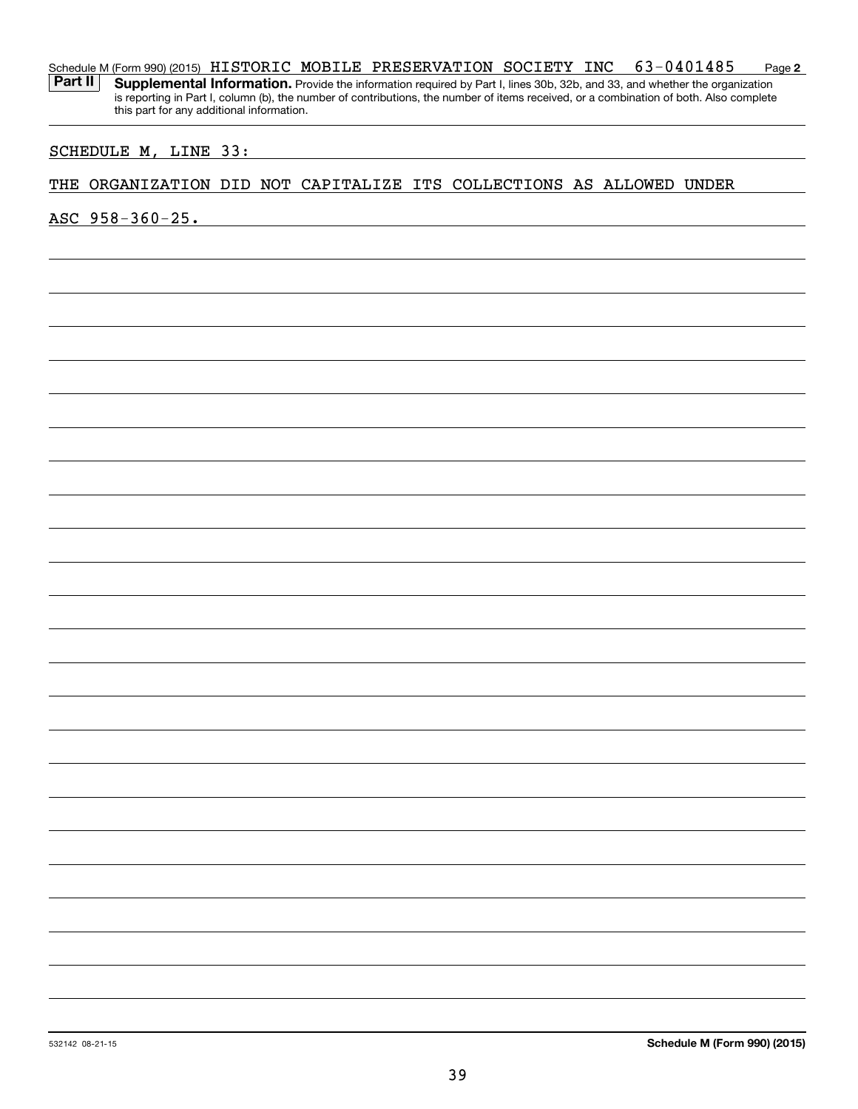#### **2** Schedule M (Form 990) (2015) HISTORIC MOBILE PRESERVATION SOCIETY INC 63-0401485 Page

Part II Supplemental Information. Provide the information required by Part I, lines 30b, 32b, and 33, and whether the organization is reporting in Part I, column (b), the number of contributions, the number of items received, or a combination of both. Also complete this part for any additional information.

#### SCHEDULE M, LINE 33:

#### THE ORGANIZATION DID NOT CAPITALIZE ITS COLLECTIONS AS ALLOWED UNDER

ASC 958-360-25.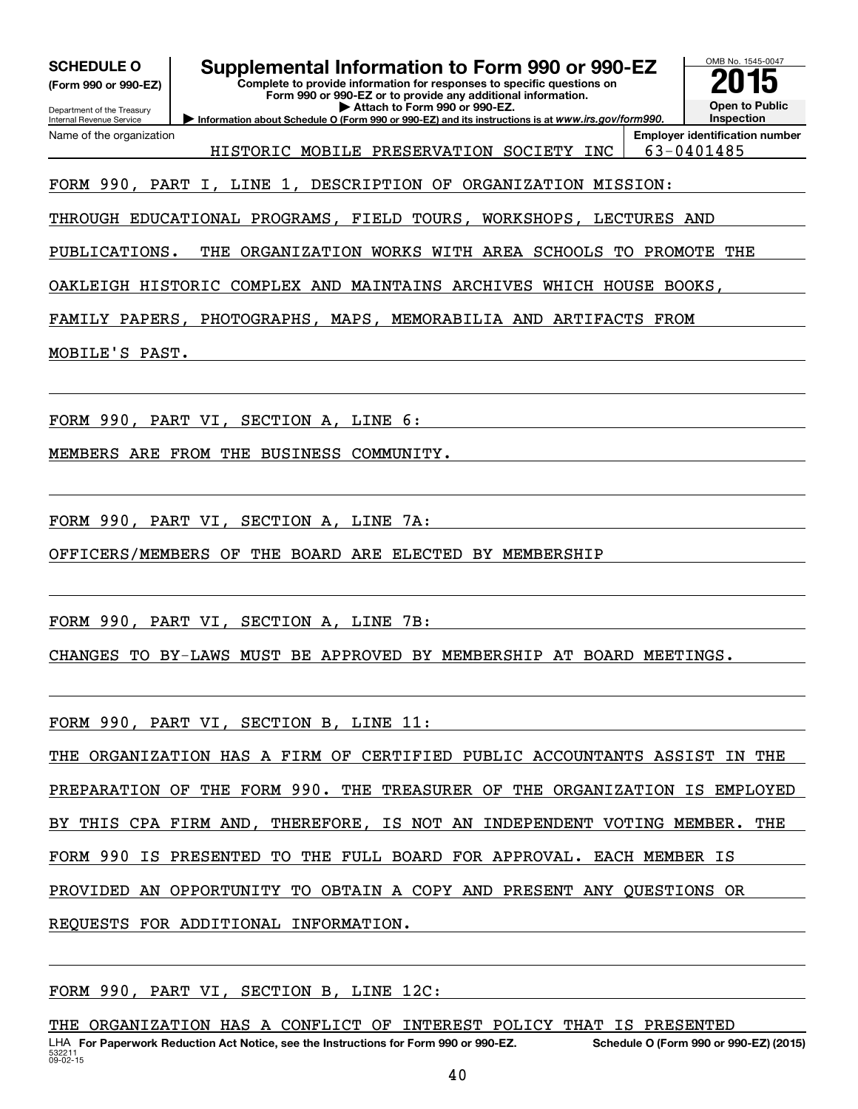| <b>Supplemental Information to Form 990 or 990-EZ</b><br><b>SCHEDULE O</b><br>Complete to provide information for responses to specific questions on<br>(Form 990 or 990-EZ)<br>Form 990 or 990-EZ or to provide any additional information.<br>Attach to Form 990 or 990-EZ.<br>Department of the Treasury<br>Information about Schedule O (Form 990 or 990-EZ) and its instructions is at www.irs.gov/form990.<br>Internal Revenue Service | OMB No. 1545-0047<br><b>Open to Public</b><br>Inspection |  |  |  |  |  |  |  |
|----------------------------------------------------------------------------------------------------------------------------------------------------------------------------------------------------------------------------------------------------------------------------------------------------------------------------------------------------------------------------------------------------------------------------------------------|----------------------------------------------------------|--|--|--|--|--|--|--|
| Name of the organization<br>PRESERVATION<br><b>INC</b><br>HISTORIC<br>MOBILE<br>SOCIETY                                                                                                                                                                                                                                                                                                                                                      | <b>Employer identification number</b><br>63-0401485      |  |  |  |  |  |  |  |
| FORM 990<br><b>PART</b><br>LINE<br>DESCRIPTION OF<br>ORGANIZATION MISSION:<br>T.                                                                                                                                                                                                                                                                                                                                                             |                                                          |  |  |  |  |  |  |  |
| TOURS<br>THROUGH EDUCATIONAL PROGRAMS<br>FIELD<br>WORKSHOPS                                                                                                                                                                                                                                                                                                                                                                                  | <b>LECTURES</b><br>AND                                   |  |  |  |  |  |  |  |
| THE<br>AREA<br><b>SCHOOLS</b><br>PUBLICATIONS.<br>ORGANIZATION<br>WORKS<br>WITH<br>TО                                                                                                                                                                                                                                                                                                                                                        | THE<br>PROMOTE                                           |  |  |  |  |  |  |  |
| MAINTAINS<br>ARCHIVES<br>OAKLEIGH HISTORIC<br>COMPLEX AND<br>WHICH HOUSE                                                                                                                                                                                                                                                                                                                                                                     | BOOKS .                                                  |  |  |  |  |  |  |  |
| PHOTOGRAPHS<br>MAPS<br>ARTIFACTS<br><b>FAMILY PAPERS</b><br>MEMORABILIA AND                                                                                                                                                                                                                                                                                                                                                                  | FROM                                                     |  |  |  |  |  |  |  |
| MOBILE'S PAST.                                                                                                                                                                                                                                                                                                                                                                                                                               |                                                          |  |  |  |  |  |  |  |
| <b>FORM 990</b><br>SECTION A.<br>PART VI<br>LINE 6:                                                                                                                                                                                                                                                                                                                                                                                          |                                                          |  |  |  |  |  |  |  |
| ARE FROM<br>THE<br><b>BUSINESS</b><br>COMMUNITY.<br>MEMBERS                                                                                                                                                                                                                                                                                                                                                                                  |                                                          |  |  |  |  |  |  |  |
| FORM 990<br>SECTION A.<br>PART<br>LINE<br>7A:<br>VI                                                                                                                                                                                                                                                                                                                                                                                          |                                                          |  |  |  |  |  |  |  |
| THE<br>BOARD ARE<br><b>ELECTED</b><br>BY MEMBERSHIP<br>OFFICERS/MEMBERS<br>OF                                                                                                                                                                                                                                                                                                                                                                |                                                          |  |  |  |  |  |  |  |
| FORM 990<br>PART VI<br>SECTION A,<br>LINE<br>7B:                                                                                                                                                                                                                                                                                                                                                                                             |                                                          |  |  |  |  |  |  |  |
| TO BY-LAWS MUST BE APPROVED<br>MEMBERSHIP<br>AT<br>BOARD<br>CHANGES<br>BY                                                                                                                                                                                                                                                                                                                                                                    | MEETINGS.                                                |  |  |  |  |  |  |  |
| FORM 990, PART VI, SECTION B, LINE 11:                                                                                                                                                                                                                                                                                                                                                                                                       |                                                          |  |  |  |  |  |  |  |
| THE ORGANIZATION HAS A FIRM OF CERTIFIED PUBLIC ACCOUNTANTS ASSIST IN THE                                                                                                                                                                                                                                                                                                                                                                    |                                                          |  |  |  |  |  |  |  |
| PREPARATION OF THE FORM 990. THE TREASURER OF THE ORGANIZATION IS EMPLOYED                                                                                                                                                                                                                                                                                                                                                                   |                                                          |  |  |  |  |  |  |  |
| BY THIS CPA FIRM AND, THEREFORE, IS NOT AN INDEPENDENT VOTING MEMBER. THE                                                                                                                                                                                                                                                                                                                                                                    |                                                          |  |  |  |  |  |  |  |
| FORM 990 IS PRESENTED TO THE FULL BOARD FOR APPROVAL. EACH MEMBER IS                                                                                                                                                                                                                                                                                                                                                                         |                                                          |  |  |  |  |  |  |  |
| PROVIDED AN OPPORTUNITY TO OBTAIN A COPY AND PRESENT ANY QUESTIONS OR                                                                                                                                                                                                                                                                                                                                                                        |                                                          |  |  |  |  |  |  |  |
| REQUESTS FOR ADDITIONAL INFORMATION.                                                                                                                                                                                                                                                                                                                                                                                                         |                                                          |  |  |  |  |  |  |  |
| FORM 990, PART VI, SECTION B, LINE 12C:                                                                                                                                                                                                                                                                                                                                                                                                      |                                                          |  |  |  |  |  |  |  |

THE ORGANIZATION HAS A CONFLICT OF INTEREST POLICY THAT IS PRESENTED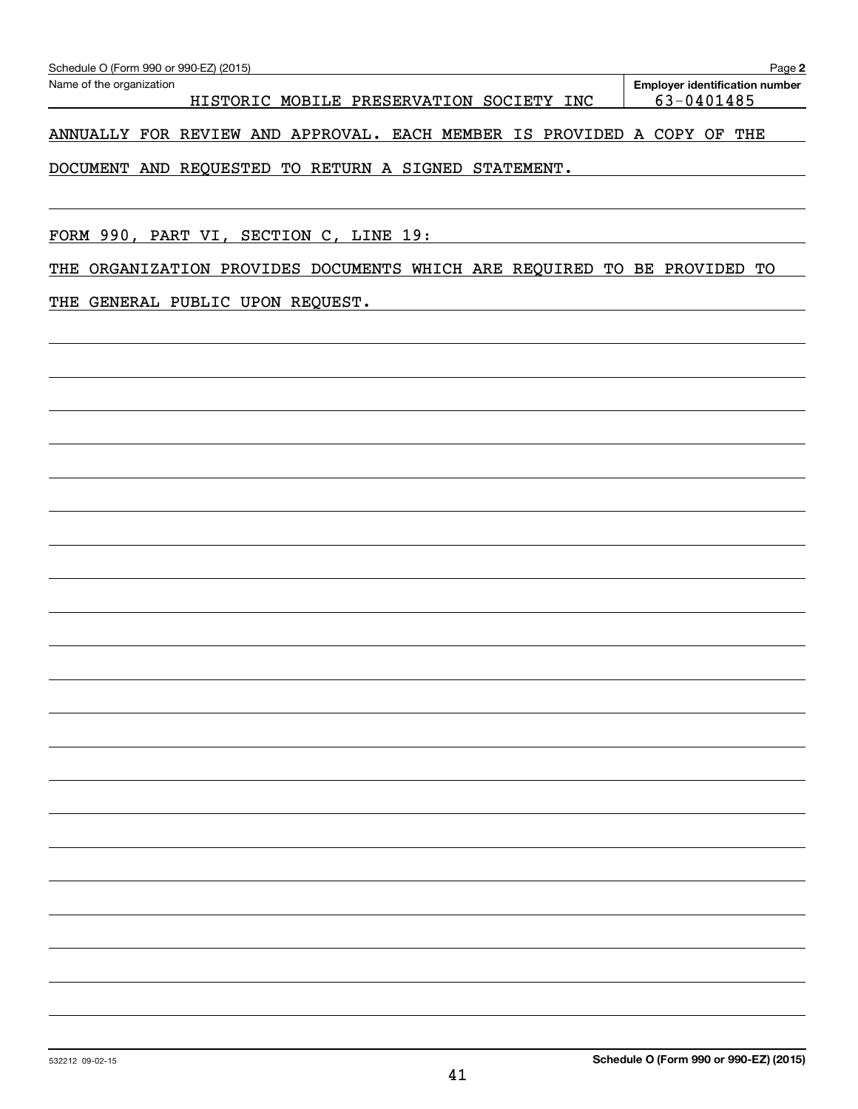| Schedule O (Form 990 or 990-EZ) (2015)                                  | Page 2                                              |  |  |
|-------------------------------------------------------------------------|-----------------------------------------------------|--|--|
| Name of the organization<br>HISTORIC MOBILE PRESERVATION SOCIETY INC    | <b>Employer identification number</b><br>63-0401485 |  |  |
| ANNUALLY FOR REVIEW AND APPROVAL. EACH MEMBER IS PROVIDED A COPY OF THE |                                                     |  |  |
| DOCUMENT AND REQUESTED TO RETURN A SIGNED STATEMENT.                    |                                                     |  |  |
| FORM 990, PART VI, SECTION C, LINE 19:                                  |                                                     |  |  |

THE ORGANIZATION PROVIDES DOCUMENTS WHICH ARE REQUIRED TO BE PROVIDED TO

THE GENERAL PUBLIC UPON REQUEST.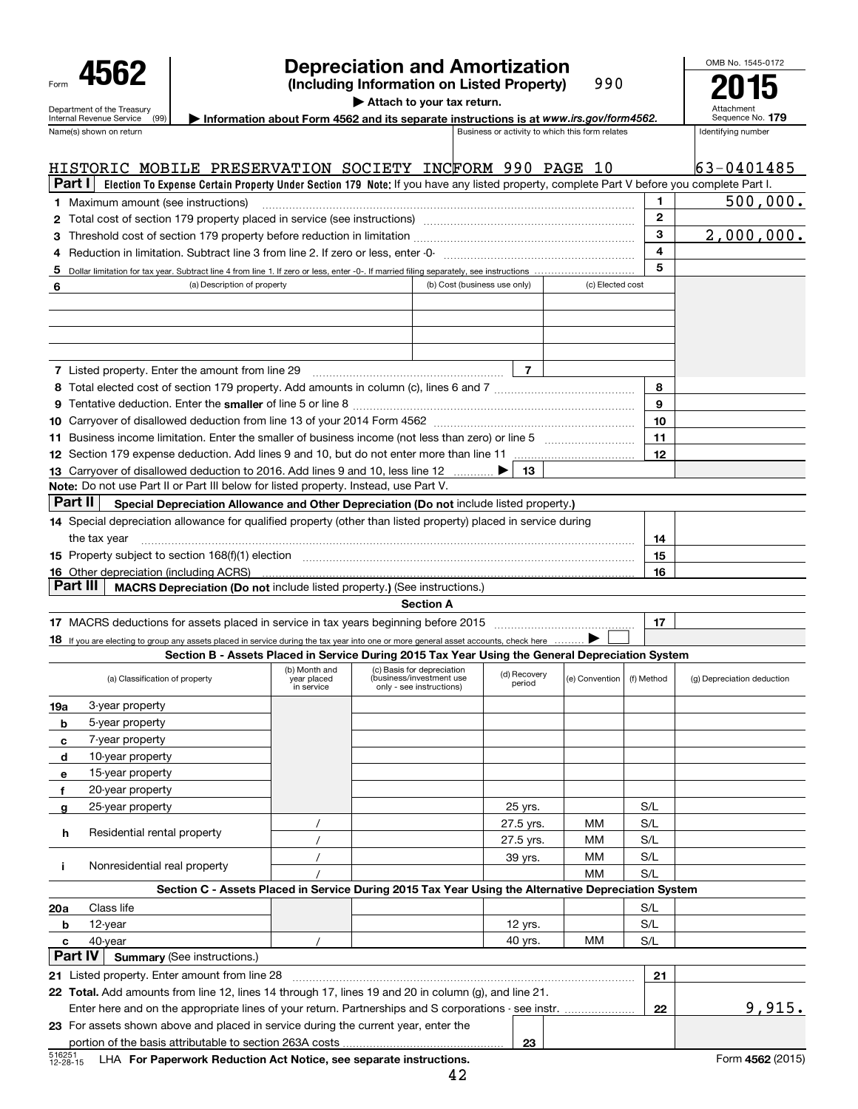# **4562 Depreciation and Amortization**<br>(Including Information on Listed Property) 990 **2015**

**(Including Information on Listed Property)**

OMB No. 1545-0172

990

**| Attach to your tax return.**

| Department of the Treasury<br>(99)<br>Information about Form 4562 and its separate instructions is at www.irs.gov/form4562.<br>Internal Revenue Service                                                                          | Attachment<br>Sequence No. 179                                                  |  |                                                        |                        |                                                 |            |                            |  |  |
|----------------------------------------------------------------------------------------------------------------------------------------------------------------------------------------------------------------------------------|---------------------------------------------------------------------------------|--|--------------------------------------------------------|------------------------|-------------------------------------------------|------------|----------------------------|--|--|
| Name(s) shown on return                                                                                                                                                                                                          |                                                                                 |  |                                                        |                        | Business or activity to which this form relates |            | Identifying number         |  |  |
|                                                                                                                                                                                                                                  |                                                                                 |  |                                                        |                        |                                                 |            |                            |  |  |
| HISTORIC MOBILE PRESERVATION SOCIETY INCFORM 990 PAGE 10                                                                                                                                                                         |                                                                                 |  |                                                        |                        |                                                 |            | 63-0401485                 |  |  |
| Part I<br>Election To Expense Certain Property Under Section 179 Note: If you have any listed property, complete Part V before you complete Part I.                                                                              |                                                                                 |  |                                                        |                        |                                                 |            |                            |  |  |
| 1 Maximum amount (see instructions)                                                                                                                                                                                              |                                                                                 |  |                                                        |                        |                                                 | 1.         | 500,000.                   |  |  |
|                                                                                                                                                                                                                                  |                                                                                 |  |                                                        |                        |                                                 | 2          |                            |  |  |
| Threshold cost of section 179 property before reduction in limitation measurements are all the section 179 property before reduction in limitation measurements and the section 179 property before reduction in limitation<br>з |                                                                                 |  |                                                        |                        |                                                 | 3          | <u>2,000,000.</u>          |  |  |
| Reduction in limitation. Subtract line 3 from line 2. If zero or less, enter -0-<br>4                                                                                                                                            |                                                                                 |  |                                                        |                        |                                                 | 4          |                            |  |  |
| 5                                                                                                                                                                                                                                |                                                                                 |  |                                                        |                        |                                                 | 5          |                            |  |  |
| 6                                                                                                                                                                                                                                | (c) Elected cost<br>(a) Description of property<br>(b) Cost (business use only) |  |                                                        |                        |                                                 |            |                            |  |  |
|                                                                                                                                                                                                                                  |                                                                                 |  |                                                        |                        |                                                 |            |                            |  |  |
|                                                                                                                                                                                                                                  |                                                                                 |  |                                                        |                        |                                                 |            |                            |  |  |
|                                                                                                                                                                                                                                  |                                                                                 |  |                                                        |                        |                                                 |            |                            |  |  |
|                                                                                                                                                                                                                                  |                                                                                 |  |                                                        |                        |                                                 |            |                            |  |  |
| <b>7</b> Listed property. Enter the amount from line 29                                                                                                                                                                          |                                                                                 |  |                                                        | $\overline{7}$         |                                                 |            |                            |  |  |
|                                                                                                                                                                                                                                  |                                                                                 |  |                                                        |                        |                                                 | 8          |                            |  |  |
|                                                                                                                                                                                                                                  |                                                                                 |  |                                                        |                        |                                                 | 9          |                            |  |  |
|                                                                                                                                                                                                                                  |                                                                                 |  |                                                        |                        |                                                 | 10         |                            |  |  |
|                                                                                                                                                                                                                                  |                                                                                 |  |                                                        |                        |                                                 | 11         |                            |  |  |
|                                                                                                                                                                                                                                  |                                                                                 |  |                                                        |                        |                                                 | 12         |                            |  |  |
| 13 Carryover of disallowed deduction to 2016. Add lines 9 and 10, less line 12                                                                                                                                                   |                                                                                 |  |                                                        | 13                     |                                                 |            |                            |  |  |
| <b>Note:</b> Do not use Part II or Part III below for listed property. Instead, use Part V.                                                                                                                                      |                                                                                 |  |                                                        |                        |                                                 |            |                            |  |  |
| Part II<br>Special Depreciation Allowance and Other Depreciation (Do not include listed property.)                                                                                                                               |                                                                                 |  |                                                        |                        |                                                 |            |                            |  |  |
| 14 Special depreciation allowance for qualified property (other than listed property) placed in service during                                                                                                                   |                                                                                 |  |                                                        |                        |                                                 |            |                            |  |  |
| the tax year                                                                                                                                                                                                                     |                                                                                 |  |                                                        |                        |                                                 | 14         |                            |  |  |
| 15 Property subject to section 168(f)(1) election manufactured content to the content of the content of the content of the content of the content of the content of the content of the content of the content of the content o   |                                                                                 |  |                                                        |                        |                                                 |            |                            |  |  |
| <b>16</b> Other depreciation (including ACRS)                                                                                                                                                                                    |                                                                                 |  |                                                        |                        |                                                 | 16         |                            |  |  |
| Part III<br>MACRS Depreciation (Do not include listed property.) (See instructions.)                                                                                                                                             |                                                                                 |  |                                                        |                        |                                                 |            |                            |  |  |
|                                                                                                                                                                                                                                  |                                                                                 |  | <b>Section A</b>                                       |                        |                                                 |            |                            |  |  |
|                                                                                                                                                                                                                                  |                                                                                 |  |                                                        |                        |                                                 | 17         |                            |  |  |
| 18 If you are electing to group any assets placed in service during the tax year into one or more general asset accounts, check here                                                                                             |                                                                                 |  |                                                        |                        |                                                 |            |                            |  |  |
| Section B - Assets Placed in Service During 2015 Tax Year Using the General Depreciation System                                                                                                                                  |                                                                                 |  |                                                        |                        |                                                 |            |                            |  |  |
| (a) Classification of property                                                                                                                                                                                                   | (b) Month and<br>year placed                                                    |  | (c) Basis for depreciation<br>(business/investment use | (d) Recovery<br>period | (e) Convention                                  | (f) Method | (g) Depreciation deduction |  |  |
|                                                                                                                                                                                                                                  | in service                                                                      |  | only - see instructions)                               |                        |                                                 |            |                            |  |  |
| 3-year property<br>19a                                                                                                                                                                                                           |                                                                                 |  |                                                        |                        |                                                 |            |                            |  |  |
| 5-year property<br>b                                                                                                                                                                                                             |                                                                                 |  |                                                        |                        |                                                 |            |                            |  |  |
| 7-year property<br>c                                                                                                                                                                                                             |                                                                                 |  |                                                        |                        |                                                 |            |                            |  |  |
| 10-year property<br>d                                                                                                                                                                                                            |                                                                                 |  |                                                        |                        |                                                 |            |                            |  |  |
| 15-year property<br>е                                                                                                                                                                                                            |                                                                                 |  |                                                        |                        |                                                 |            |                            |  |  |
| 20-year property<br>$\mathbf{f}$                                                                                                                                                                                                 |                                                                                 |  |                                                        |                        |                                                 |            |                            |  |  |
| 25-year property<br>g                                                                                                                                                                                                            |                                                                                 |  |                                                        | 25 yrs.                |                                                 | S/L        |                            |  |  |
| Residential rental property<br>h                                                                                                                                                                                                 |                                                                                 |  |                                                        | 27.5 yrs.              | MМ                                              | S/L        |                            |  |  |
|                                                                                                                                                                                                                                  |                                                                                 |  |                                                        | 27.5 yrs.              | MМ                                              | S/L        |                            |  |  |
| Nonresidential real property<br>j.                                                                                                                                                                                               |                                                                                 |  |                                                        | 39 yrs.                | MМ                                              | S/L        |                            |  |  |
|                                                                                                                                                                                                                                  |                                                                                 |  |                                                        |                        | МM                                              | S/L        |                            |  |  |
| Section C - Assets Placed in Service During 2015 Tax Year Using the Alternative Depreciation System                                                                                                                              |                                                                                 |  |                                                        |                        |                                                 |            |                            |  |  |
| Class life<br>20a                                                                                                                                                                                                                |                                                                                 |  |                                                        |                        |                                                 | S/L        |                            |  |  |
| 12-year<br>b                                                                                                                                                                                                                     |                                                                                 |  |                                                        | 12 yrs.                |                                                 | S/L        |                            |  |  |
| 40-year<br>c                                                                                                                                                                                                                     |                                                                                 |  |                                                        | 40 yrs.                | MМ                                              | S/L        |                            |  |  |
| <b>Part IV</b><br><b>Summary (See instructions.)</b>                                                                                                                                                                             |                                                                                 |  |                                                        |                        |                                                 |            |                            |  |  |
| 21 Listed property. Enter amount from line 28                                                                                                                                                                                    |                                                                                 |  |                                                        |                        |                                                 | 21         |                            |  |  |
| 22 Total. Add amounts from line 12, lines 14 through 17, lines 19 and 20 in column (g), and line 21.                                                                                                                             |                                                                                 |  |                                                        |                        |                                                 |            |                            |  |  |
|                                                                                                                                                                                                                                  |                                                                                 |  |                                                        |                        |                                                 | 22         | <u>9,915.</u>              |  |  |
| 23 For assets shown above and placed in service during the current year, enter the                                                                                                                                               |                                                                                 |  |                                                        |                        |                                                 |            |                            |  |  |
|                                                                                                                                                                                                                                  |                                                                                 |  |                                                        | 23                     |                                                 |            |                            |  |  |

516251 12-28-15 **For Paperwork Reduction Act Notice, see separate instructions. 4562**  LHA For Paperwork Reduction Act Notice, see separate instructions. Noting the state of the control of the South S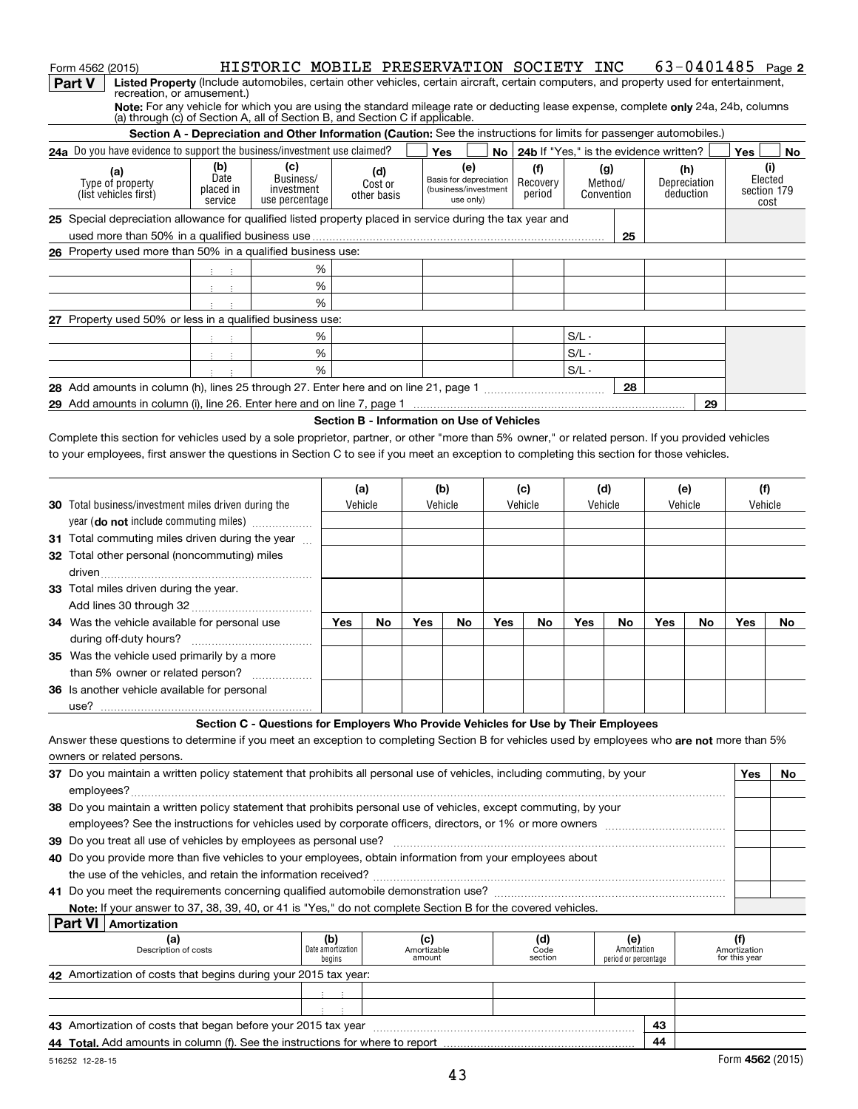| Form 4562 (2015)                                                                                                                                                  |                                                                                     | HISTORIC MOBILE PRESERVATION SOCIETY INC                                                                             |                          |                |                    |                                                |     |                                           |         |                      |     | $63 - 0401485$ Page 2 |                     |                        |
|-------------------------------------------------------------------------------------------------------------------------------------------------------------------|-------------------------------------------------------------------------------------|----------------------------------------------------------------------------------------------------------------------|--------------------------|----------------|--------------------|------------------------------------------------|-----|-------------------------------------------|---------|----------------------|-----|-----------------------|---------------------|------------------------|
| Listed Property (Include automobiles, certain other vehicles, certain aircraft, certain computers, and property used for entertainment,<br><b>Part V</b>          |                                                                                     |                                                                                                                      |                          |                |                    |                                                |     |                                           |         |                      |     |                       |                     |                        |
| recreation, or amusement.)<br>Note: For any vehicle for which you are using the standard mileage rate or deducting lease expense, complete only 24a, 24b, columns |                                                                                     |                                                                                                                      |                          |                |                    |                                                |     |                                           |         |                      |     |                       |                     |                        |
| (a) through (c) of Section A, all of Section B, and Section C if applicable.                                                                                      |                                                                                     |                                                                                                                      |                          |                |                    |                                                |     |                                           |         |                      |     |                       |                     |                        |
|                                                                                                                                                                   |                                                                                     | Section A - Depreciation and Other Information (Caution: See the instructions for limits for passenger automobiles.) |                          |                |                    |                                                |     |                                           |         |                      |     |                       |                     |                        |
| 24a Do you have evidence to support the business/investment use claimed?                                                                                          |                                                                                     |                                                                                                                      |                          |                |                    | <b>Yes</b>                                     |     | No 24b If "Yes," is the evidence written? |         |                      |     |                       | Yes                 | No                     |
| (a)                                                                                                                                                               | (b)                                                                                 | (c)                                                                                                                  |                          | (d)            |                    | (e)                                            |     | (f)                                       |         | (g)                  |     | (h)                   |                     | (i)                    |
| Type of property                                                                                                                                                  | Date<br>placed in                                                                   | Business/<br>investment                                                                                              |                          | Cost or        |                    | Basis for depreciation<br>(business/investment |     | Recovery                                  |         | Method/              |     | Depreciation          |                     | Elected<br>section 179 |
| (list vehicles first)                                                                                                                                             | service                                                                             | use percentage                                                                                                       |                          | other basis    |                    | use only)                                      |     | period                                    |         | Convention           |     | deduction             |                     | cost                   |
| 25 Special depreciation allowance for qualified listed property placed in service during the tax year and                                                         |                                                                                     |                                                                                                                      |                          |                |                    |                                                |     |                                           |         |                      |     |                       |                     |                        |
|                                                                                                                                                                   |                                                                                     |                                                                                                                      |                          |                |                    |                                                |     |                                           |         | 25                   |     |                       |                     |                        |
| 26 Property used more than 50% in a qualified business use:                                                                                                       |                                                                                     |                                                                                                                      |                          |                |                    |                                                |     |                                           |         |                      |     |                       |                     |                        |
|                                                                                                                                                                   |                                                                                     |                                                                                                                      | %                        |                |                    |                                                |     |                                           |         |                      |     |                       |                     |                        |
|                                                                                                                                                                   | $\mathbf{1}^{\prime}$ , $\mathbf{1}^{\prime}$ ,                                     |                                                                                                                      | %                        |                |                    |                                                |     |                                           |         |                      |     |                       |                     |                        |
|                                                                                                                                                                   | $\mathbf{1}^{\mathrm{H}}$ , $\mathbf{1}^{\mathrm{H}}$ , $\mathbf{1}^{\mathrm{H}}$ , |                                                                                                                      | %                        |                |                    |                                                |     |                                           |         |                      |     |                       |                     |                        |
| 27 Property used 50% or less in a qualified business use:                                                                                                         |                                                                                     |                                                                                                                      |                          |                |                    |                                                |     |                                           |         |                      |     |                       |                     |                        |
|                                                                                                                                                                   |                                                                                     |                                                                                                                      | %                        |                |                    |                                                |     |                                           | $S/L -$ |                      |     |                       |                     |                        |
|                                                                                                                                                                   | $\mathbf{1}^{\prime}=\mathbf{1}^{\prime}$ .                                         |                                                                                                                      | %                        |                |                    |                                                |     |                                           | $S/L -$ |                      |     |                       |                     |                        |
|                                                                                                                                                                   | $\mathbf{1}^{\mathrm{H}}$ , $\mathbf{1}^{\mathrm{H}}$ , $\mathbf{1}^{\mathrm{H}}$ , |                                                                                                                      | $\%$                     |                |                    |                                                |     |                                           | $S/L -$ |                      |     |                       |                     |                        |
|                                                                                                                                                                   |                                                                                     |                                                                                                                      |                          |                |                    |                                                |     |                                           |         | 28                   |     |                       |                     |                        |
|                                                                                                                                                                   |                                                                                     |                                                                                                                      |                          |                |                    |                                                |     |                                           |         |                      |     | 29                    |                     |                        |
|                                                                                                                                                                   |                                                                                     |                                                                                                                      |                          |                |                    | Section B - Information on Use of Vehicles     |     |                                           |         |                      |     |                       |                     |                        |
| Complete this section for vehicles used by a sole proprietor, partner, or other "more than 5% owner," or related person. If you provided vehicles                 |                                                                                     |                                                                                                                      |                          |                |                    |                                                |     |                                           |         |                      |     |                       |                     |                        |
| to your employees, first answer the questions in Section C to see if you meet an exception to completing this section for those vehicles.                         |                                                                                     |                                                                                                                      |                          |                |                    |                                                |     |                                           |         |                      |     |                       |                     |                        |
|                                                                                                                                                                   |                                                                                     |                                                                                                                      |                          |                |                    |                                                |     |                                           |         |                      |     |                       |                     |                        |
|                                                                                                                                                                   |                                                                                     |                                                                                                                      |                          |                |                    |                                                |     |                                           |         |                      |     |                       |                     |                        |
|                                                                                                                                                                   |                                                                                     |                                                                                                                      |                          | (a)<br>Vehicle |                    | (b)<br>Vehicle                                 |     | (c)<br>Vehicle                            |         | (d)<br>Vehicle       |     | (e)<br>Vehicle        | (f)<br>Vehicle      |                        |
| <b>30</b> Total business/investment miles driven during the                                                                                                       |                                                                                     |                                                                                                                      |                          |                |                    |                                                |     |                                           |         |                      |     |                       |                     |                        |
| year (do not include commuting miles)                                                                                                                             |                                                                                     |                                                                                                                      |                          |                |                    |                                                |     |                                           |         |                      |     |                       |                     |                        |
| 31 Total commuting miles driven during the year                                                                                                                   |                                                                                     |                                                                                                                      |                          |                |                    |                                                |     |                                           |         |                      |     |                       |                     |                        |
| 32 Total other personal (noncommuting) miles                                                                                                                      |                                                                                     |                                                                                                                      |                          |                |                    |                                                |     |                                           |         |                      |     |                       |                     |                        |
|                                                                                                                                                                   |                                                                                     |                                                                                                                      |                          |                |                    |                                                |     |                                           |         |                      |     |                       |                     |                        |
| 33 Total miles driven during the year.                                                                                                                            |                                                                                     |                                                                                                                      |                          |                |                    |                                                |     |                                           |         |                      |     |                       |                     |                        |
|                                                                                                                                                                   |                                                                                     |                                                                                                                      |                          |                |                    |                                                |     |                                           |         |                      |     |                       |                     |                        |
| 34 Was the vehicle available for personal use                                                                                                                     |                                                                                     |                                                                                                                      | Yes                      | No             | Yes                | No                                             | Yes | No                                        | Yes     | No                   | Yes | No                    | Yes                 | No                     |
|                                                                                                                                                                   |                                                                                     |                                                                                                                      |                          |                |                    |                                                |     |                                           |         |                      |     |                       |                     |                        |
| 35 Was the vehicle used primarily by a more                                                                                                                       |                                                                                     |                                                                                                                      |                          |                |                    |                                                |     |                                           |         |                      |     |                       |                     |                        |
| than 5% owner or related person?                                                                                                                                  |                                                                                     |                                                                                                                      |                          |                |                    |                                                |     |                                           |         |                      |     |                       |                     |                        |
| 36 Is another vehicle available for personal                                                                                                                      |                                                                                     |                                                                                                                      |                          |                |                    |                                                |     |                                           |         |                      |     |                       |                     |                        |
| use?                                                                                                                                                              |                                                                                     |                                                                                                                      |                          |                |                    |                                                |     |                                           |         |                      |     |                       |                     |                        |
|                                                                                                                                                                   |                                                                                     | Section C - Questions for Employers Who Provide Vehicles for Use by Their Employees                                  |                          |                |                    |                                                |     |                                           |         |                      |     |                       |                     |                        |
| Answer these questions to determine if you meet an exception to completing Section B for vehicles used by employees who are not more than 5%                      |                                                                                     |                                                                                                                      |                          |                |                    |                                                |     |                                           |         |                      |     |                       |                     |                        |
| owners or related persons.                                                                                                                                        |                                                                                     |                                                                                                                      |                          |                |                    |                                                |     |                                           |         |                      |     |                       |                     |                        |
| 37 Do you maintain a written policy statement that prohibits all personal use of vehicles, including commuting, by your                                           |                                                                                     |                                                                                                                      |                          |                |                    |                                                |     |                                           |         |                      |     |                       | Yes                 | No                     |
| employees?                                                                                                                                                        |                                                                                     |                                                                                                                      |                          |                |                    |                                                |     |                                           |         |                      |     |                       |                     |                        |
| 38 Do you maintain a written policy statement that prohibits personal use of vehicles, except commuting, by your                                                  |                                                                                     |                                                                                                                      |                          |                |                    |                                                |     |                                           |         |                      |     |                       |                     |                        |
| employees? See the instructions for vehicles used by corporate officers, directors, or 1% or more owners manu-                                                    |                                                                                     |                                                                                                                      |                          |                |                    |                                                |     |                                           |         |                      |     |                       |                     |                        |
|                                                                                                                                                                   |                                                                                     |                                                                                                                      |                          |                |                    |                                                |     |                                           |         |                      |     |                       |                     |                        |
| 40 Do you provide more than five vehicles to your employees, obtain information from your employees about                                                         |                                                                                     |                                                                                                                      |                          |                |                    |                                                |     |                                           |         |                      |     |                       |                     |                        |
|                                                                                                                                                                   |                                                                                     |                                                                                                                      |                          |                |                    |                                                |     |                                           |         |                      |     |                       |                     |                        |
|                                                                                                                                                                   |                                                                                     |                                                                                                                      |                          |                |                    |                                                |     |                                           |         |                      |     |                       |                     |                        |
| Note: If your answer to 37, 38, 39, 40, or 41 is "Yes," do not complete Section B for the covered vehicles.                                                       |                                                                                     |                                                                                                                      |                          |                |                    |                                                |     |                                           |         |                      |     |                       |                     |                        |
| <b>Part VI</b><br>Amortization                                                                                                                                    |                                                                                     |                                                                                                                      |                          |                |                    |                                                |     |                                           |         |                      |     |                       |                     |                        |
| (a)<br>Description of costs                                                                                                                                       |                                                                                     |                                                                                                                      | (b)<br>Date amortization |                | (c)<br>Amortizable |                                                |     | (d)<br>Code                               |         | (e)<br>Amortization  |     |                       | (f)<br>Amortization |                        |
|                                                                                                                                                                   |                                                                                     |                                                                                                                      | begins                   |                | amount             |                                                |     | section                                   |         | period or percentage |     |                       | for this year       |                        |
| 42 Amortization of costs that begins during your 2015 tax year:                                                                                                   |                                                                                     |                                                                                                                      |                          |                |                    |                                                |     |                                           |         |                      |     |                       |                     |                        |
|                                                                                                                                                                   |                                                                                     |                                                                                                                      |                          |                |                    |                                                |     |                                           |         |                      |     |                       |                     |                        |
|                                                                                                                                                                   |                                                                                     |                                                                                                                      | $\mathbb{C}^{\times}$    |                |                    |                                                |     |                                           |         |                      |     |                       |                     |                        |
|                                                                                                                                                                   |                                                                                     |                                                                                                                      |                          |                |                    |                                                |     |                                           |         |                      | 43  |                       |                     |                        |
|                                                                                                                                                                   |                                                                                     |                                                                                                                      |                          |                |                    |                                                |     |                                           |         |                      | 44  |                       |                     |                        |